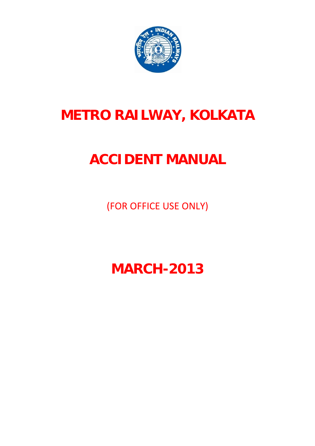

# **METRO RAILWAY, KOLKATA**

# **ACCIDENT MANUAL**

(FOR OFFICE USE ONLY)

**MARCH-2013**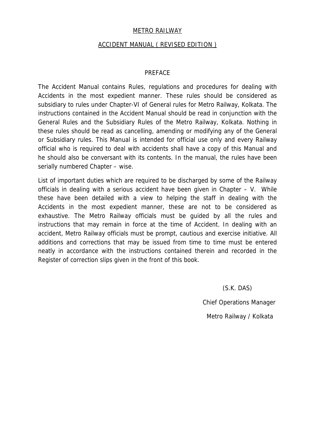#### METRO RAILWAY

## ACCIDENT MANUAL ( REVISED EDITION )

#### PREFACE

The Accident Manual contains Rules, regulations and procedures for dealing with Accidents in the most expedient manner. These rules should be considered as subsidiary to rules under Chapter-VI of General rules for Metro Railway, Kolkata. The instructions contained in the Accident Manual should be read in conjunction with the General Rules and the Subsidiary Rules of the Metro Railway, Kolkata. Nothing in these rules should be read as cancelling, amending or modifying any of the General or Subsidiary rules. This Manual is intended for official use only and every Railway official who is required to deal with accidents shall have a copy of this Manual and he should also be conversant with its contents. In the manual, the rules have been serially numbered Chapter – wise.

List of important duties which are required to be discharged by some of the Railway officials in dealing with a serious accident have been given in Chapter – V. While these have been detailed with a view to helping the staff in dealing with the Accidents in the most expedient manner, these are not to be considered as exhaustive. The Metro Railway officials must be guided by all the rules and instructions that may remain in force at the time of Accident. In dealing with an accident, Metro Railway officials must be prompt, cautious and exercise initiative. All additions and corrections that may be issued from time to time must be entered neatly in accordance with the instructions contained therein and recorded in the Register of correction slips given in the front of this book.

(S.K. DAS)

Chief Operations Manager

Metro Railway / Kolkata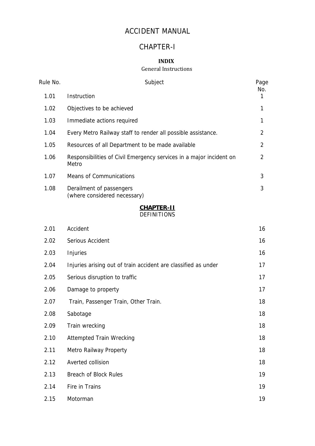## ACCIDENT MANUAL

## CHAPTER-I

## **INDIX**

#### General Instructions

| Rule No. | Subject                                                                      | Page<br>No.    |
|----------|------------------------------------------------------------------------------|----------------|
| 1.01     | Instruction                                                                  | 1              |
| 1.02     | Objectives to be achieved                                                    | 1              |
| 1.03     | Immediate actions required                                                   | 1              |
| 1.04     | Every Metro Railway staff to render all possible assistance.                 | $\overline{2}$ |
| 1.05     | Resources of all Department to be made available                             | $\overline{2}$ |
| 1.06     | Responsibilities of Civil Emergency services in a major incident on<br>Metro | $\overline{2}$ |
| 1.07     | <b>Means of Communications</b>                                               | 3              |
| 1.08     | Derailment of passengers<br>(where considered necessary)                     | 3              |
|          | CHAPTER-II<br><b>DEFINITIONS</b>                                             |                |
| 2.01     | Accident                                                                     | 16             |
| 2.02     | Serious Accident                                                             | 16             |

| 2.03 | Injuries                                                       | 16 |
|------|----------------------------------------------------------------|----|
| 2.04 | Injuries arising out of train accident are classified as under | 17 |
| 2.05 | Serious disruption to traffic                                  | 17 |
| 2.06 | Damage to property                                             | 17 |
| 2.07 | Train, Passenger Train, Other Train.                           | 18 |
| 2.08 | Sabotage                                                       | 18 |
| 2.09 | Train wrecking                                                 | 18 |
| 2.10 | <b>Attempted Train Wrecking</b>                                | 18 |
| 2.11 | Metro Railway Property                                         | 18 |
| 2.12 | Averted collision                                              | 18 |
| 2.13 | <b>Breach of Block Rules</b>                                   | 19 |
| 2.14 | Fire in Trains                                                 | 19 |
| 2.15 | Motorman                                                       | 19 |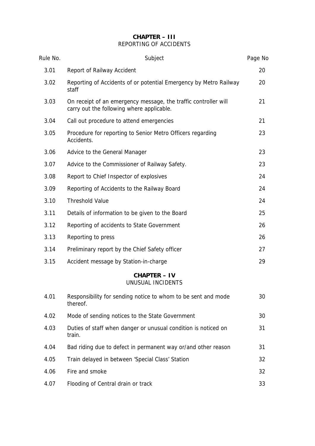## **CHAPTER – III** REPORTING OF ACCIDENTS

| Rule No. | Subject                                                                                                      | Page No |
|----------|--------------------------------------------------------------------------------------------------------------|---------|
| 3.01     | Report of Railway Accident                                                                                   | 20      |
| 3.02     | Reporting of Accidents of or potential Emergency by Metro Railway<br>staff                                   | 20      |
| 3.03     | On receipt of an emergency message, the traffic controller will<br>carry out the following where applicable. | 21      |
| 3.04     | Call out procedure to attend emergencies                                                                     | 21      |
| 3.05     | Procedure for reporting to Senior Metro Officers regarding<br>Accidents.                                     | 23      |
| 3.06     | Advice to the General Manager                                                                                | 23      |
| 3.07     | Advice to the Commissioner of Railway Safety.                                                                | 23      |
| 3.08     | Report to Chief Inspector of explosives                                                                      | 24      |
| 3.09     | Reporting of Accidents to the Railway Board                                                                  | 24      |
| 3.10     | <b>Threshold Value</b>                                                                                       | 24      |
| 3.11     | Details of information to be given to the Board                                                              | 25      |
| 3.12     | Reporting of accidents to State Government                                                                   | 26      |
| 3.13     | Reporting to press                                                                                           | 26      |
| 3.14     | Preliminary report by the Chief Safety officer                                                               | 27      |
| 3.15     | Accident message by Station-in-charge                                                                        | 29      |
|          | CHAPTER - IV<br>UNUSUAL INCIDENTS                                                                            |         |
| 4.01     | Responsibility for sending notice to whom to be sent and mode<br>thereof.                                    | 30      |
| 4.02     | Mode of sending notices to the State Government                                                              | 30      |
| 4.03     | Duties of staff when danger or unusual condition is noticed on<br>train.                                     | 31      |
| 4.04     | Bad riding due to defect in permanent way or/and other reason                                                | 31      |
| 4.05     | Train delayed in between 'Special Class' Station                                                             | 32      |
| 4.06     | Fire and smoke                                                                                               | 32      |
| 4.07     | Flooding of Central drain or track                                                                           | 33      |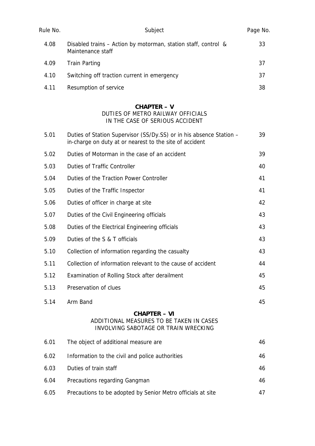| Rule No. | Subject                                                                                                                        | Page No. |
|----------|--------------------------------------------------------------------------------------------------------------------------------|----------|
| 4.08     | Disabled trains - Action by motorman, station staff, control &<br>Maintenance staff                                            | 33       |
| 4.09     | <b>Train Parting</b>                                                                                                           | 37       |
| 4.10     | Switching off traction current in emergency                                                                                    | 37       |
| 4.11     | Resumption of service                                                                                                          | 38       |
|          | <b>CHAPTER - V</b><br>DUTIES OF METRO RAILWAY OFFICIALS<br>IN THE CASE OF SERIOUS ACCIDENT                                     |          |
| 5.01     | Duties of Station Supervisor (SS/Dy.SS) or in his absence Station -<br>in-charge on duty at or nearest to the site of accident | 39       |
| 5.02     | Duties of Motorman in the case of an accident                                                                                  | 39       |
| 5.03     | <b>Duties of Traffic Controller</b>                                                                                            | 40       |
| 5.04     | Duties of the Traction Power Controller                                                                                        | 41       |
| 5.05     | Duties of the Traffic Inspector                                                                                                | 41       |
| 5.06     | Duties of officer in charge at site                                                                                            | 42       |
| 5.07     | Duties of the Civil Engineering officials                                                                                      | 43       |
| 5.08     | Duties of the Electrical Engineering officials                                                                                 | 43       |
| 5.09     | Duties of the S & T officials                                                                                                  | 43       |
| 5.10     | Collection of information regarding the casualty                                                                               | 43       |
| 5.11     | Collection of information relevant to the cause of accident                                                                    | 44       |
| 5.12     | Examination of Rolling Stock after derailment                                                                                  | 45       |
| 5.13     | Preservation of clues                                                                                                          | 45       |
| 5.14     | Arm Band                                                                                                                       | 45       |

## **CHAPTER – VI** ADDITIONAL MEASURES TO BE TAKEN IN CASES INVOLVING SABOTAGE OR TRAIN WRECKING

| 6.01 | The object of additional measure are                        | 46 |
|------|-------------------------------------------------------------|----|
| 6.02 | Information to the civil and police authorities             | 46 |
| 6.03 | Duties of train staff                                       | 46 |
| 6.04 | Precautions regarding Gangman                               | 46 |
| 6.05 | Precautions to be adopted by Senior Metro officials at site |    |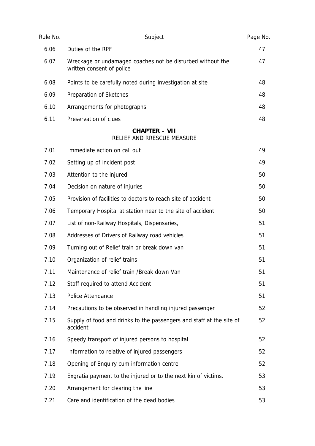| Rule No. | Subject                                                                                 | Page No. |
|----------|-----------------------------------------------------------------------------------------|----------|
| 6.06     | Duties of the RPF                                                                       | 47       |
| 6.07     | Wreckage or undamaged coaches not be disturbed without the<br>written consent of police | 47       |
| 6.08     | Points to be carefully noted during investigation at site                               | 48       |
| 6.09     | Preparation of Sketches                                                                 | 48       |
| 6.10     | Arrangements for photographs                                                            | 48       |
| 6.11     | Preservation of clues                                                                   | 48       |
|          | CHAPTER - VII<br>RELIEF AND RRESCUE MEASURE                                             |          |
| 7.01     | Immediate action on call out                                                            | 49       |
| 7.02     | Setting up of incident post                                                             | 49       |
| 7.03     | Attention to the injured                                                                | 50       |
| 7.04     | Decision on nature of injuries                                                          | 50       |
| 7.05     | Provision of facilities to doctors to reach site of accident                            | 50       |
| 7.06     | Temporary Hospital at station near to the site of accident                              | 50       |
| 7.07     | List of non-Railway Hospitals, Dispensaries,                                            | 51       |
| 7.08     | Addresses of Drivers of Railway road vehicles                                           | 51       |
| 7.09     | Turning out of Relief train or break down van                                           | 51       |
| 7.10     | Organization of relief trains                                                           | 51       |
| 7.11     | Maintenance of relief train / Break down Van                                            | 51       |
| 7.12     | Staff required to attend Accident                                                       | 51       |
| 7.13     | Police Attendance                                                                       | 51       |
| 7.14     | Precautions to be observed in handling injured passenger                                | 52       |
| 7.15     | Supply of food and drinks to the passengers and staff at the site of<br>accident        | 52       |
| 7.16     | Speedy transport of injured persons to hospital                                         | 52       |
| 7.17     | Information to relative of injured passengers                                           | 52       |
| 7.18     | Opening of Enquiry cum information centre                                               | 52       |
| 7.19     | Exgratia payment to the injured or to the next kin of victims.                          | 53       |
| 7.20     | Arrangement for clearing the line                                                       | 53       |
| 7.21     | Care and identification of the dead bodies                                              | 53       |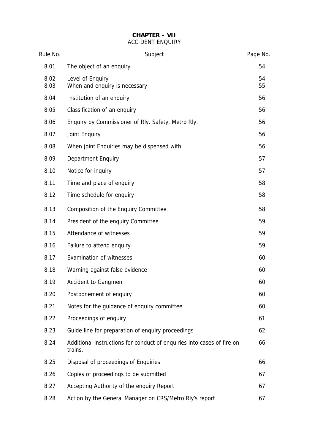## **CHAPTER – VII** ACCIDENT ENQUIRY

| Rule No.     | Subject                                                                           | Page No. |
|--------------|-----------------------------------------------------------------------------------|----------|
| 8.01         | The object of an enquiry                                                          | 54       |
| 8.02<br>8.03 | Level of Enquiry<br>When and enquiry is necessary                                 | 54<br>55 |
| 8.04         | Institution of an enquiry                                                         | 56       |
| 8.05         | Classification of an enquiry                                                      | 56       |
| 8.06         | Enquiry by Commissioner of Rly. Safety, Metro Rly.                                | 56       |
| 8.07         | Joint Enquiry                                                                     | 56       |
| 8.08         | When joint Enquiries may be dispensed with                                        | 56       |
| 8.09         | <b>Department Enquiry</b>                                                         | 57       |
| 8.10         | Notice for inquiry                                                                | 57       |
| 8.11         | Time and place of enquiry                                                         | 58       |
| 8.12         | Time schedule for enquiry                                                         | 58       |
| 8.13         | Composition of the Enquiry Committee                                              | 58       |
| 8.14         | President of the enquiry Committee                                                | 59       |
| 8.15         | Attendance of witnesses                                                           | 59       |
| 8.16         | Failure to attend enquiry                                                         | 59       |
| 8.17         | <b>Examination of witnesses</b>                                                   | 60       |
| 8.18         | Warning against false evidence                                                    | 60       |
| 8.19         | <b>Accident to Gangmen</b>                                                        | 60       |
| 8.20         | Postponement of enquiry                                                           | 60       |
| 8.21         | Notes for the guidance of enquiry committee                                       | 60       |
| 8.22         | Proceedings of enquiry                                                            | 61       |
| 8.23         | Guide line for preparation of enquiry proceedings                                 | 62       |
| 8.24         | Additional instructions for conduct of enquiries into cases of fire on<br>trains. | 66       |
| 8.25         | Disposal of proceedings of Enquiries                                              | 66       |
| 8.26         | Copies of proceedings to be submitted                                             | 67       |
| 8.27         | Accepting Authority of the enquiry Report                                         | 67       |
| 8.28         | Action by the General Manager on CRS/Metro Rly's report                           | 67       |
|              |                                                                                   |          |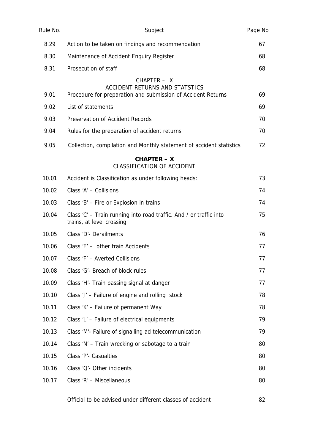| Rule No. | Subject                                                                                         | Page No |
|----------|-------------------------------------------------------------------------------------------------|---------|
| 8.29     | Action to be taken on findings and recommendation                                               | 67      |
| 8.30     | Maintenance of Accident Enquiry Register                                                        | 68      |
| 8.31     | Prosecution of staff                                                                            | 68      |
|          | CHAPTER - IX<br><b>ACCIDENT RETURNS AND STATSTICS</b>                                           |         |
| 9.01     | Procedure for preparation and submission of Accident Returns                                    | 69      |
| 9.02     | List of statements                                                                              | 69      |
| 9.03     | <b>Preservation of Accident Records</b>                                                         | 70      |
| 9.04     | Rules for the preparation of accident returns                                                   | 70      |
| 9.05     | Collection, compilation and Monthly statement of accident statistics                            | 72      |
|          | $CHAPTER - X$<br><b>CLASSIFICATION OF ACCIDENT</b>                                              |         |
| 10.01    | Accident is Classification as under following heads:                                            | 73      |
| 10.02    | Class 'A' - Collisions                                                                          | 74      |
| 10.03    | Class 'B' - Fire or Explosion in trains                                                         | 74      |
| 10.04    | Class 'C' - Train running into road traffic. And / or traffic into<br>trains, at level crossing | 75      |
| 10.05    | Class 'D'- Derailments                                                                          | 76      |
| 10.06    | Class 'E' - other train Accidents                                                               | 77      |
| 10.07    | Class 'F' - Averted Collisions                                                                  | 77      |
| 10.08    | Class 'G'- Breach of block rules                                                                | 77      |
| 10.09    | Class 'H'- Train passing signal at danger                                                       | 77      |
| 10.10    | Class 'J' - Failure of engine and rolling stock                                                 | 78      |
| 10.11    | Class 'K' - Failure of permanent Way                                                            | 78      |
| 10.12    | Class 'L' - Failure of electrical equipments                                                    | 79      |
| 10.13    | Class 'M'- Failure of signalling ad telecommunication                                           | 79      |
| 10.14    | Class 'N' - Train wrecking or sabotage to a train                                               | 80      |
| 10.15    | Class 'P'- Casualties                                                                           | 80      |
| 10.16    | Class 'Q'- Other incidents                                                                      | 80      |
| 10.17    | Class 'R' - Miscellaneous                                                                       | 80      |
|          | Official to be advised under different classes of accident                                      | 82      |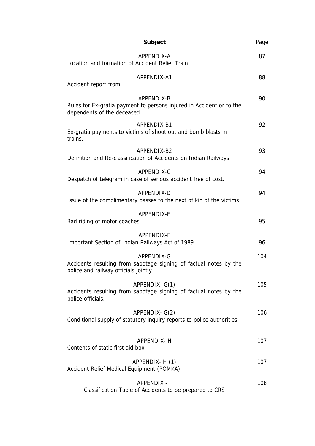| Subject                                                                                                                 | Page |
|-------------------------------------------------------------------------------------------------------------------------|------|
| APPENDIX-A<br>Location and formation of Accident Relief Train                                                           | 87   |
| APPENDIX-A1<br>Accident report from                                                                                     | 88   |
| APPENDIX-B<br>Rules for Ex-gratia payment to persons injured in Accident or to the<br>dependents of the deceased.       | 90   |
| APPENDIX-B1<br>Ex-gratia payments to victims of shoot out and bomb blasts in<br>trains.                                 | 92   |
| APPFNDIX-B2<br>Definition and Re-classification of Accidents on Indian Railways                                         | 93   |
| APPENDIX-C<br>Despatch of telegram in case of serious accident free of cost.                                            | 94   |
| APPENDIX-D<br>Issue of the complimentary passes to the next of kin of the victims                                       | 94   |
| APPENDIX-E<br>Bad riding of motor coaches                                                                               | 95   |
| APPENDIX-F<br>Important Section of Indian Railways Act of 1989                                                          | 96   |
| APPENDIX-G<br>Accidents resulting from sabotage signing of factual notes by the<br>police and railway officials jointly | 104  |
| APPENDIX- G(1)<br>Accidents resulting from sabotage signing of factual notes by the<br>police officials.                | 105  |
| APPENDIX- G(2)<br>Conditional supply of statutory inquiry reports to police authorities.                                | 106  |
| APPENDIX- H<br>Contents of static first aid box                                                                         | 107  |
| APPENDIX- H (1)<br>Accident Relief Medical Equipment (POMKA)                                                            | 107  |
| APPENDIX - J<br>Classification Table of Accidents to be prepared to CRS                                                 | 108  |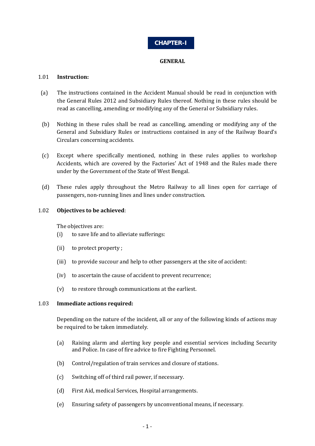## **CHAPTER-I**

### **GENERAL**

### 1.01 **Instruction:**

- (a) The instructions contained in the Accident Manual should be read in conjunction with the General Rules 2012 and Subsidiary Rules thereof. Nothing in these rules should be read as cancelling, amending or modifying any of the General or Subsidiary rules.
- (b) Nothing in these rules shall be read as cancelling, amending or modifying any of the General and Subsidiary Rules or instructions contained in any of the Railway Board's Circulars concerning accidents.
- (c) Except where specifically mentioned, nothing in these rules applies to workshop Accidents, which are covered by the Factories' Act of 1948 and the Rules made there under by the Government of the State of West Bengal.
- (d) These rules apply throughout the Metro Railway to all lines open for carriage of passengers, non-running lines and lines under construction.

## 1.02 **Objectives to be achieved**:

The objectives are:

- (i) to save life and to alleviate sufferings:
- (ii) to protect property ;
- (iii) to provide succour and help to other passengers at the site of accident:
- (iv) to ascertain the cause of accident to prevent recurrence;
- (v) to restore through communications at the earliest.

#### 1.03 **Immediate actions required:**

Depending on the nature of the incident, all or any of the following kinds of actions may be required to be taken immediately.

- (a) Raising alarm and alerting key people and essential services including Security and Police. In case of fire advice to fire Fighting Personnel.
- (b) Control/regulation of train services and closure of stations.
- (c) Switching off of third rail power, if necessary.
- (d) First Aid, medical Services, Hospital arrangements.
- (e) Ensuring safety of passengers by unconventional means, if necessary.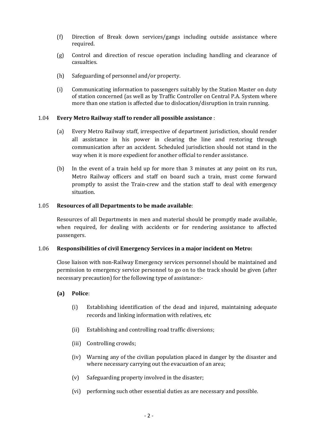- (f) Direction of Break down services/gangs including outside assistance where required.
- (g) Control and direction of rescue operation including handling and clearance of casualties.
- (h) Safeguarding of personnel and/or property.
- (i) Communicating information to passengers suitably by the Station Master on duty of station concerned (as well as by Traffic Controller on Central P.A. System where more than one station is affected due to dislocation/disruption in train running.

#### 1.04 **Every Metro Railway staff to render all possible assistance** :

- (a) Every Metro Railway staff, irrespective of department jurisdiction, should render all assistance in his power in clearing the line and restoring through communication after an accident. Scheduled jurisdiction should not stand in the way when it is more expedient for another official to render assistance.
- (b) In the event of a train held up for more than 3 minutes at any point on its run, Metro Railway officers and staff on board such a train, must come forward promptly to assist the Train-crew and the station staff to deal with emergency situation.

#### 1.05 **Resources of all Departments to be made available**:

Resources of all Departments in men and material should be promptly made available, when required, for dealing with accidents or for rendering assistance to affected passengers.

#### 1.06 **Responsibilities of civil Emergency Services in a major incident on Metro:**

Close liaison with non-Railway Emergency services personnel should be maintained and permission to emergency service personnel to go on to the track should be given (after necessary precaution) for the following type of assistance:-

#### **(a) Police**:

- (i) Establishing identification of the dead and injured, maintaining adequate records and linking information with relatives, etc
- (ii) Establishing and controlling road traffic diversions;
- (iii) Controlling crowds;
- (iv) Warning any of the civilian population placed in danger by the disaster and where necessary carrying out the evacuation of an area;
- (v) Safeguarding property involved in the disaster;
- (vi) performing such other essential duties as are necessary and possible.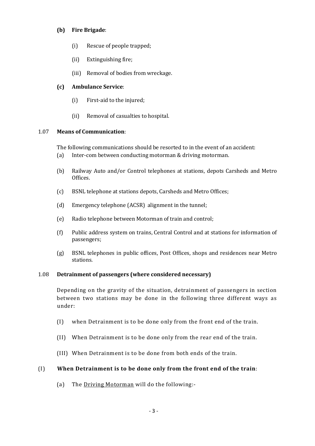## **(b) Fire Brigade**:

- (i) Rescue of people trapped;
- (ii) Extinguishing fire;
- (iii) Removal of bodies from wreckage.

## **(c) Ambulance Service**:

- (i) First-aid to the injured;
- (ii) Removal of casualties to hospital.

#### 1.07 **Means of Communication**:

The following communications should be resorted to in the event of an accident:

- (a) Inter-com between conducting motorman & driving motorman.
- (b) Railway Auto and/or Control telephones at stations, depots Carsheds and Metro Offices.
- (c) BSNL telephone at stations depots, Carsheds and Metro Offices;
- (d) Emergency telephone (ACSR) alignment in the tunnel;
- (e) Radio telephone between Motorman of train and control;
- (f) Public address system on trains, Central Control and at stations for information of passengers;
- (g) BSNL telephones in public offices, Post Offices, shops and residences near Metro stations.

#### 1.08 **Detrainment of passengers (where considered necessary)**

Depending on the gravity of the situation, detrainment of passengers in section between two stations may be done in the following three different ways as under:

- (I) when Detrainment is to be done only from the front end of the train.
- (II) When Detrainment is to be done only from the rear end of the train.
- (III) When Detrainment is to be done from both ends of the train.

## (I) **When Detrainment is to be done only from the front end of the train**:

(a) The Driving Motorman will do the following:-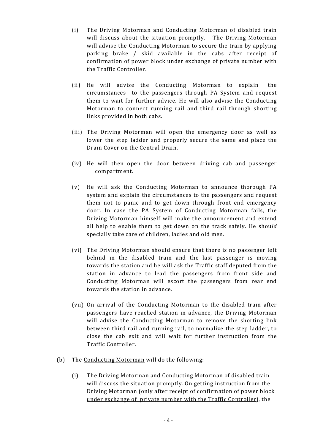- (i) The Driving Motorman and Conducting Motorman of disabled train will discuss about the situation promptly. The Driving Motorman will advise the Conducting Motorman to secure the train by applying parking brake / skid available in the cabs after receipt of confirmation of power block under exchange of private number with the Traffic Controller.
- (ii) He will advise the Conducting Motorman to explain the circumstances to the passengers through PA System and request them to wait for further advice. He will also advise the Conducting Motorman to connect running rail and third rail through shorting links provided in both cabs.
- (iii) The Driving Motorman will open the emergency door as well as lower the step ladder and properly secure the same and place the Drain Cover on the Central Drain.
- (iv) He will then open the door between driving cab and passenger compartment.
- (v) He will ask the Conducting Motorman to announce thorough PA system and explain the circumstances to the passengers and request them not to panic and to get down through front end emergency door. In case the PA System of Conducting Motorman fails, the Driving Motorman himself will make the announcement and extend all help to enable them to get down on the track safely. He shou*ld*  specially take care of children, ladies and old men.
- (vi) The Driving Motorman should ensure that there is no passenger left behind in the disabled train and the last passenger is moving towards the station and he will ask the Traffic staff deputed from the station in advance to lead the passengers from front side and Conducting Motorman will escort the passengers from rear end towards the station in advance.
- (vii) On arrival of the Conducting Motorman to the disabled train after passengers have reached station in advance, the Driving Motorman will advise the Conducting Motorman to remove the shorting link between third rail and running rail, to normalize the step ladder, to close the cab exit and will wait for further instruction from the Traffic Controller.
- (b) The Conducting Motorman will do the following:
	- (i) The Driving Motorman and Conducting Motorman of disabled train will discuss the situation promptly. On getting instruction from the Driving Motorman (only after receipt of confirmation of power block under exchange of private number with the Traffic Controller), the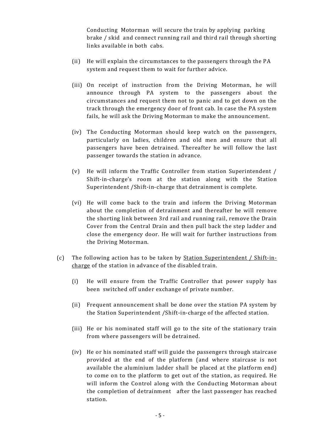Conducting Motorman will secure the train by applying parking brake / skid and connect running rail and third rail through shorting links available in both cabs.

- (ii) He will explain the circumstances to the passengers through the PA system and request them to wait for further advice.
- (iii) On receipt of instruction from the Driving Motorman, he will announce through PA system to the passengers about the circumstances and request them not to panic and to get down on the track through the emergency door of front cab. In case the PA system fails, he will ask the Driving Motorman to make the announcement.
- (iv) The Conducting Motorman should keep watch on the passengers, particularly on ladies, children and old men and ensure that all passengers have been detrained. Thereafter he will follow the last passenger towards the station in advance.
- (v) He will inform the Traffic Controller from station Superintendent / Shift-in-charge's room at the station along with the Station Superintendent /Shift-in-charge that detrainment is complete.
- (vi) He will come back to the train and inform the Driving Motorman about the completion of detrainment and thereafter he will remove the shorting link between 3rd rail and running rail, remove the Drain Cover from the Central Drain and then pull back the step ladder and close the emergency door. He will wait for further instructions from the Driving Motorman.
- (c) The following action has to be taken by Station Superintendent / Shift-incharge of the station in advance of the disabled train.
	- (i) He will ensure from the Traffic Controller that power supply has been switched off under exchange of private number.
	- (ii) Frequent announcement shall be done over the station PA system by the Station Superintendent /Shift-in-charge of the affected station.
	- (iii) He or his nominated staff will go to the site of the stationary train from where passengers will be detrained.
	- (iv) He or his nominated staff will guide the passengers through staircase provided at the end of the platform (and where staircase is not available the aluminium ladder shall be placed at the platform end) to come on to the platform to get out of the station, as required. He will inform the Control along with the Conducting Motorman about the completion of detrainment after the last passenger has reached station.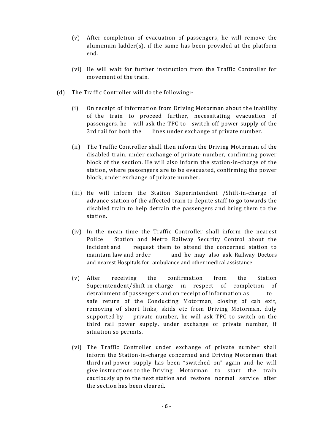- (v) After completion of evacuation of passengers, he will remove the aluminium ladder(s), if the same has been provided at the platform end.
- (vi) He will wait for further instruction from the Traffic Controller for movement of the train.
- (d) The Traffic Controller will do the following:-
	- (i) On receipt of information from Driving Motorman about the inability of the train to proceed further, necessitating evacuation of passengers, he will ask the TPC to switch off power supply of the 3rd rail <u>for both the lines</u> under exchange of private number.
	- (ii) The Traffic Controller shall then inform the Driving Motorman of the disabled train, under exchange of private number, confirming power block of the section. He will also inform the station-in-charge of the station, where passengers are to be evacuated, confirming the power block, under exchange of private number.
	- (iii) He will inform the Station Superintendent /Shift-in-charge of advance station of the affected train to depute staff to go towards the disabled train to help detrain the passengers and bring them to the station.
	- (iv) In the mean time the Traffic Controller shall inform the nearest Police Station and Metro Railway Security Control about the incident and request them to attend the concerned station to maintain law and order and he may also ask Railway Doctors and nearest Hospitals for ambulance and other medical assistance.
	- (v) After receiving the confirmation from the Station Superintendent/Shift-in-charge in respect of completion of detrainment of passengers and on receipt of information as to safe return of the Conducting Motorman, closing of cab exit, removing of short links, skids etc from Driving Motorman, duly supported by private number, he will ask TPC to switch on the third rail power supply, under exchange of private number, if situation so permits.
	- (vi) The Traffic Controller under exchange of private number shall inform the Station-in-charge concerned and Driving Motorman that third rail power supply has been "switched on" again and he will give instructions to the Driving Motorman to start the train cautiously up to the next station and restore normal service after the section has been cleared.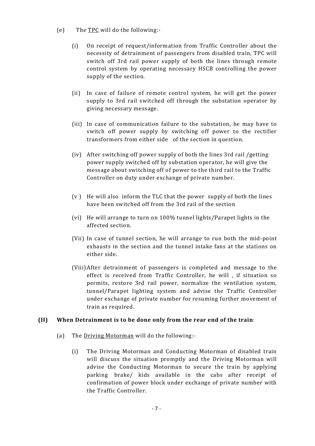- (e) The TPC will do the following:-
	- (i) On receipt of request/information from Traffic Controller about the necessity of detrainment of passengers from disabled train, TPC will switch off 3rd rail power supply of both the lines through remote control system by operating necessary HSCB controlling the power supply of the section.
	- (ii) In case of failure of remote control system, he will get the power supply to 3rd rail switched off through the substation operator by giving necessary message.
	- (iii) In case of communication failure to the substation, he may have to switch off power supply by switching off power to the rectifier transformers from either side of the section in question.
	- (iv) After switching off power supply of both the lines 3rd rail /getting power supply switched off by substation operator, he will give the message about switching off of power to the third rail to the Traffic Controller on duty under exchange of private number.
	- $(v)$  He will also inform the TLC that the power supply of both the lines have been switched off from the 3rd rail of the section
	- (vi) He will arrange to turn on 100% tunnel lights/Parapet lights in the affected section.
	- (Vii) In case of tunnel section, he will arrange to run both the mid-point exhausts in the section and the tunnel intake fans at the stations on either side.
	- (Viii)After detrainment of passengers is completed and message to the effect is received from Traffic Controller, he will , if situation so permits, restore 3rd rail power, normalize the ventilation system, tunnel/Parapet lighting system and advise the Traffic Controller under exchange of private number for resuming further movement of train as required.

#### **(II) When Detrainment is to be done only from the rear end of the train**:

- (a) The Driving Motorman will do the following:-
	- (i) The Driving Motorman and Conducting Motorman of disabled train will discuss the situation promptly and the Driving Motorman will advise the Conducting Motorman to secure the train by applying parking brake/ kids available in the cabs after receipt of confirmation of power block under exchange of private number with the Traffic Controller.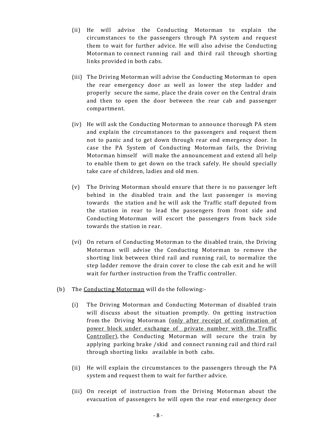- (ii) He will advise the Conducting Motorman to explain the circumstances to the passengers through PA system and request them to wait for further advice. He will also advise the Conducting Motorman to connect running rail and third rail through shorting links provided in both cabs.
- (iii) The Driving Motorman will advise the Conducting Motorman to open the rear emergency door as well as lower the step ladder and properlysecure the same, place the drain cover on the Central drain and then to open the door between the rear cab and passenger compartment.
- (iv) He will ask the Conducting Motorman to announce thorough PA stem and explain the circumstances to the passengers and request them not to panic and to get down through rear end emergency door. In case the PA System of Conducting Motorman fails, the Driving Motorman himself will make the announcement and extend all help to enable them to get down on the track safely. He should specially take care of children, ladies and old men.
- (v) The Driving Motorman should ensure that there is no passenger left behind in the disabled train and the last passenger is moving towards the station and he will ask the Traffic staff deputed from the station in rear to lead the passengers from front side and Conducting Motorman will escort the passengers from back side towards the station in rear.
- (vi) On return of Conducting Motorman to the disabled train, the Driving Motorman will advise the Conducting Motorman to remove the shorting link between third rail and running rail, to normalize the step ladder remove the drain cover to close the cab exit and he will wait for further instruction from the Traffic controller.
- (b) The Conducting Motorman will do the following:-
	- (i) The Driving Motorman and Conducting Motorman of disabled train will discuss about the situation promptly. On getting instruction from the Driving Motorman (only after receipt of confirmation of power block under exchange of private number with the Traffic Controller), the Conducting Motorman will secure the train by applying parking brake /skid and connect running rail and third rail through shorting links available in both cabs.
	- (ii) He will explain the circumstances to the passengers through the PA system and request them to wait for further advice.
	- (iii) On receipt of instruction from the Driving Motorman about the evacuation of passengers he will open the rear end emergency door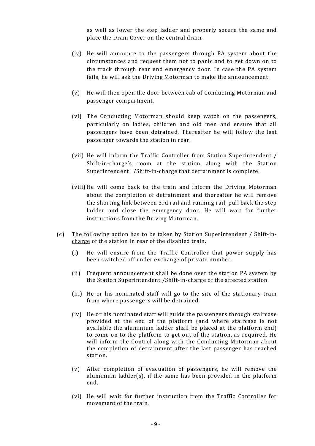as well as lower the step ladder and properly secure the same and place the Drain Cover on the central drain.

- (iv) He will announce to the passengers through PA system about the circumstances and request them not to panic and to get down on to the track through rear end emergency door. In case the PA system fails, he will ask the Driving Motorman to make the announcement.
- (v) He will then open the door between cab of Conducting Motorman and passenger compartment.
- (vi) The Conducting Motorman should keep watch on the passengers, particularly on ladies, children and old men and ensure that all passengers have been detrained. Thereafter he will follow the last passenger towards the station in rear.
- (vii) He will inform the Traffic Controller from Station Superintendent / Shift-in-charge's room at the station along with the Station Superintendent /Shift-in-charge that detrainment is complete.
- (viii) He will come back to the train and inform the Driving Motorman about the completion of detrainment and thereafter he will remove the shorting link between 3rd rail and running rail, pull back the step ladder and close the emergency door. He will wait for further instructions from the Driving Motorman.
- (c) The following action has to be taken by Station Superintendent / Shift-incharge of the station in rear of the disabled train.
	- (i) He will ensure from the Traffic Controller that power supply has been switched off under exchange of private number.
	- (ii) Frequent announcement shall be done over the station PA system by the Station Superintendent /Shift-in-charge of the affected station.
	- (iii) He or his nominated staff will go to the site of the stationary train from where passengers will be detrained.
	- (iv) He or his nominated staff will guide the passengers through staircase provided at the end of the platform (and where staircase is not available the aluminium ladder shall be placed at the platform end) to come on to the platform to get out of the station, as required. He will inform the Control along with the Conducting Motorman about the completion of detrainment after the last passenger has reached station.
	- (v) After completion of evacuation of passengers, he will remove the aluminium ladder(s), if the same has been provided in the platform end.
	- (vi) He will wait for further instruction from the Traffic Controller for movement of the train.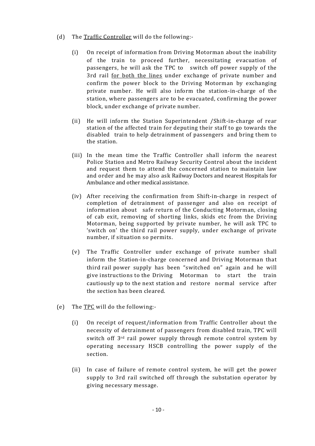- (d) The Traffic Controller will do the following:-
	- (i) On receipt of information from Driving Motorman about the inability of the train to proceed further, necessitating evacuation of passengers, he will ask the TPC to switch off power supply of the 3rd rail for both the lines under exchange of private number and confirm the power block to the Driving Motorman by exchanging private number. He will also inform the station-in-charge of the station, where passengers are to be evacuated, confirming the power block, under exchange of private number.
	- (ii) He will inform the Station Superintendent /Shift-in-charge of rear station of the affected train for deputing their staff to go towards the disabled train to help detrainment of passengers and bring them to the station.
	- (iii) In the mean time the Traffic Controller shall inform the nearest Police Station and Metro Railway Security Control about the incident and request them to attend the concerned station to maintain law and order and he may also ask Railway Doctors and nearest Hospitals for Ambulance and other medical assistance.
	- (iv) After receiving the confirmation from Shift-in-charge in respect of completion of detrainment of passenger and also on receipt of information about safe return of the Conducting Motorman, closing of cab exit, removing of shorting links, skids etc from the Driving Motorman, being supported by private number, he will ask TPC to 'switch on' the third rail power supply, under exchange of private number, if situation so permits.
	- (v) The Traffic Controller under exchange of private number shall inform the Station-in-charge concerned and Driving Motorman that third rail power supply has been "switched on" again and he will give instructions to the Driving Motorman to start the train cautiously up to the next station and restore normal service after the section has been cleared.
- (e) The TPC will do the following:-
	- (i) On receipt of request/information from Traffic Controller about the necessity of detrainment of passengers from disabled train, TPC will switch off 3rd rail power supply through remote control system by operating necessary HSCB controlling the power supply of the section.
	- (ii) In case of failure of remote control system, he will get the power supply to 3rd rail switched off through the substation operator by giving necessary message.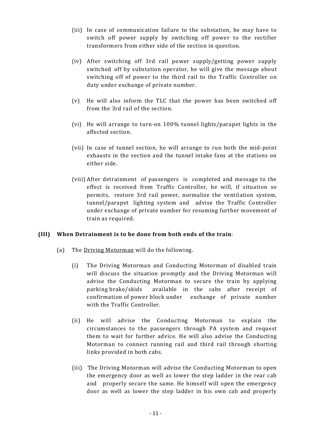- (iii) In case of communication failure to the substation, he may have to switch off power supply by switching off power to the rectifier transformers from either side of the section in question.
- (iv) After switching off 3rd rail power supply/getting power supply switched off by substation operator, he will give the message about switching off of power to the third rail to the Traffic Controller on duty under exchange of private number.
- (v) He will also inform the TLC that the power has been switched off from the 3rd rail of the section.
- (vi) He will arrange to turn-on 100% tunnel lights/parapet lights in the affected section.
- (vii) In case of tunnel section, he will arrange to run both the mid-point exhausts in the section and the tunnel intake fans at the stations on either side.
- (viii) After detrainment of passengers is completed and message to the effect is received from Traffic Controller, he will, if situation so permits, restore 3rd rail power, normalize the ventilation system, tunnel/parapet lighting system and advise the Traffic Controller under exchange of private number for resuming further movement of train as required.

## **(III) When Detrainment is to be done from both ends of the train**:

- (a) The Driving Motorman will do the following.
	- (i) The Driving Motorman and Conducting Motorman of disabled train will discuss the situation promptly and the Driving Motorman will advise the Conducting Motorman to secure the train by applying parking brake/skids available in the cabs after receipt of confirmation of power block under exchange of private number with the Traffic Controller.
	- (ii) He will advise the Conducting Motorman to explain the circumstances to the passengers through PA system and request them to wait for further advice. He will also advise the Conducting Motorman to connect running rail and third rail through shorting links provided in both cabs.
	- (iii) The Driving Motorman will advise the Conducting Motorman to open the emergency door as well as lower the step ladder in the rear cab and properly secure the same. He himself will open the emergency door as well as lower the step ladder in his own cab and properly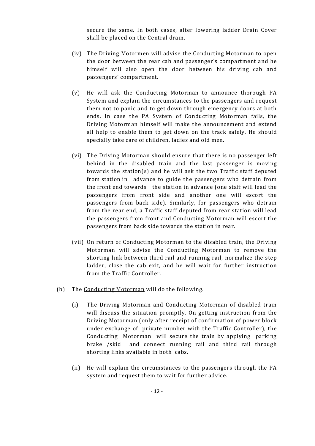secure the same. In both cases, after lowering ladder Drain Cover shall be placed on the Central drain.

- (iv) The Driving Motormen will advise the Conducting Motorman to open the door between the rear cab and passenger's compartment and he himself will also open the door between his driving cab and passengers' compartment.
- (v) He will ask the Conducting Motorman to announce thorough PA System and explain the circumstances to the passengers and request them not to panic and to get down through emergency doors at both ends. In case the PA System of Conducting Motorman fails, the Driving Motorman himself will make the announcement and extend all help to enable them to get down on the track safely. He should specially take care of children, ladies and old men.
- (vi) The Driving Motorman should ensure that there is no passenger left behind in the disabled train and the last passenger is moving towards the station(s) and he will ask the two Traffic staff deputed from station in advance to guide the passengers who detrain from the front end towards the station in advance (one staff will lead the passengers from front side and another one will escort the passengers from back side). Similarly, for passengers who detrain from the rear end, a Traffic staff deputed from rear station will lead the passengers from front and Conducting Motorman will escort the passengers from back side towards the station in rear.
- (vii) On return of Conducting Motorman to the disabled train, the Driving Motorman will advise the Conducting Motorman to remove the shorting link between third rail and running rail, normalize the step ladder, close the cab exit, and he will wait for further instruction from the Traffic Controller.
- (b) The Conducting Motorman will do the following.
	- (i) The Driving Motorman and Conducting Motorman of disabled train will discuss the situation promptly. On getting instruction from the Driving Motorman (only after receipt of confirmation of power block under exchange of private number with the Traffic Controller), the Conducting Motorman will secure the train by applying parking brake /skid and connect running rail and third rail through shorting links available in both cabs.
	- (ii) He will explain the circumstances to the passengers through the PA system and request them to wait for further advice.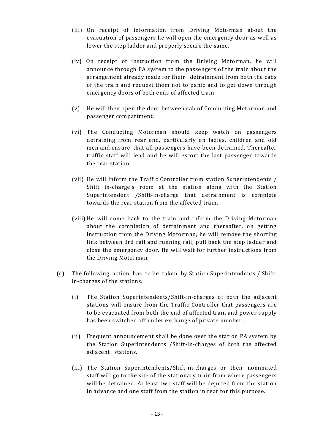- (iii) On receipt of information from Driving Motorman about the evacuation of passengers he will open the emergency door as well as lower the step ladder and properly secure the same.
- (iv) On receipt of instruction from the Driving Motorman, he will announce through PA system to the passengers of the train about the arrangement already made for their detrainment from both the cabs of the train and request them not to panic and to get down through emergency doors of both ends of affected train.
- (v) He will then open the door between cab of Conducting Motorman and passenger compartment.
- (vi) The Conducting Motorman should keep watch on passengers detraining from rear end, particularly on ladies, children and old men and ensure that all passengers have been detrained. Thereafter traffic staff will lead and he will escort the last passenger towards the rear station.
- (vii) He will inform the Traffic Controller from station Superintendents / Shift in-charge's room at the station along with the Station Superintendent /Shift-in-charge that detrainment is complete towards the rear station from the affected train.
- (viii) He will come back to the train and inform the Driving Motorman about the completion of detrainment and thereafter, on getting instruction from the Driving Motorman, he will remove the shorting link between 3rd rail and running rail, pull back the step ladder and close the emergency door. He will wait for further instructions from the Driving Motorman.
- (c) The following action has to be taken by Station Superintendents / Shiftin-charges of the stations.
	- (i) The Station Superintendents/Shift-in-charges of both the adjacent stations will ensure from the Traffic Controller that passengers are to be evacuated from both the end of affected train and power supply has been switched off under exchange of private number.
	- (ii) Frequent announcement shall be done over the station PA system by the Station Superintendents /Shift-in-charges of both the affected adjacent stations.
	- (iii) The Station Superintendents/Shift-in-charges or their nominated staff will go to the site of the stationary train from where passengers will be detrained. At least two staff will be deputed from the station in advance and one staff from the station in rear for this purpose.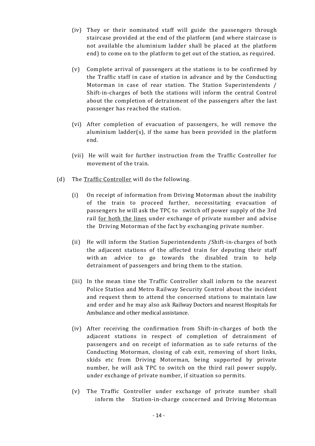- (iv) They or their nominated staff will guide the passengers through staircase provided at the end of the platform (and where staircase is not available the aluminium ladder shall be placed at the platform end) to come on to the platform to get out of the station, as required.
- (v) Complete arrival of passengers at the stations is to be confirmed by the Traffic staff in case of station in advance and by the Conducting Motorman in case of rear station. The Station Superintendents / Shift-in-charges of both the stations will inform the central Control about the completion of detrainment of the passengers after the last passenger has reached the station.
- (vi) After completion of evacuation of passengers, he will remove the aluminium ladder(s), if the same has been provided in the platform end.
- (vii) He will wait for further instruction from the Traffic Controller for movement of the train.
- (d) The Traffic Controller will do the following.
	- (i) On receipt of information from Driving Motorman about the inability of the train to proceed further, necessitating evacuation of passengers he will ask the TPC to switch off power supply of the 3rd rail for both the lines under exchange of private number and advise the Driving Motorman of the fact by exchanging private number.
	- (ii) He will inform the Station Superintendents /Shift-in-charges of both the adjacent stations of the affected train for deputing their staff with an advice to go towards the disabled train to help detrainment of passengers and bring them to the station.
	- (iii) In the mean time the Traffic Controller shall inform to the nearest Police Station and Metro Railway Security Control about the incident and request them to attend the concerned stations to maintain law and order and he may also ask Railway Doctors and nearest Hospitals for Ambulance and other medical assistance.
	- (iv) After receiving the confirmation from Shift-in-charges of both the adjacent stations in respect of completion of detrainment of passengers and on receipt of information as to safe returns of the Conducting Motorman, closing of cab exit, removing of short links, skids etc from Driving Motorman, being supported by private number, he will ask TPC to switch on the third rail power supply, under exchange of private number, if situation so permits.
	- (v) The Traffic Controller under exchange of private number shall inform the Station-in-charge concerned and Driving Motorman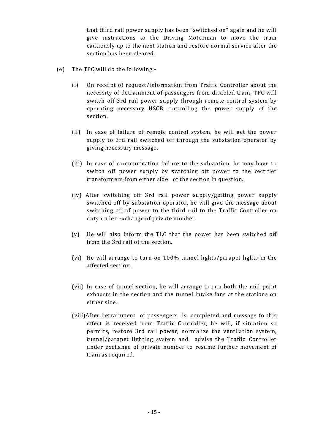that third rail power supply has been "switched on" again and he will give instructions to the Driving Motorman to move the train cautiously up to the next station and restore normal service after the section has been cleared.

- (e) The TPC will do the following:-
	- (i) On receipt of request/information from Traffic Controller about the necessity of detrainment of passengers from disabled train, TPC will switch off 3rd rail power supply through remote control system by operating necessary HSCB controlling the power supply of the section.
	- (ii) In case of failure of remote control system, he will get the power supply to 3rd rail switched off through the substation operator by giving necessary message.
	- (iii) In case of communication failure to the substation, he may have to switch off power supply by switching off power to the rectifier transformers from either side of the section in question.
	- (iv) After switching off 3rd rail power supply/getting power supply switched off by substation operator, he will give the message about switching off of power to the third rail to the Traffic Controller on duty under exchange of private number.
	- (v) He will also inform the TLC that the power has been switched off from the 3rd rail of the section.
	- (vi) He will arrange to turn-on 100% tunnel lights/parapet lights in the affected section.
	- (vii) In case of tunnel section, he will arrange to run both the mid-point exhausts in the section and the tunnel intake fans at the stations on either side.
	- (viii)After detrainment of passengers is completed and message to this effect is received from Traffic Controller, he will, if situation so permits, restore 3rd rail power, normalize the ventilation system, tunnel/parapet lighting system and advise the Traffic Controller under exchange of private number to resume further movement of train as required.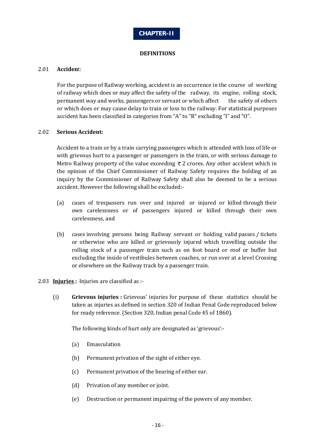

#### **DEFINITIONS**

#### 2.01 **Acciden**t:

For the purpose of Railway working, accident is an occurrence in the course of working of railway which does or may affect the safety of the railway, its engine, rolling stock, permanent way and works, passengers or servant or which affect the safety of others or which does or may cause delay to train or loss to the railway. For statistical purposes accident has been classified in categories from "A" to "R" excluding "I" and "O".

#### 2.02 **Serious Accident:**

Accident to a train or by a train carrying passengers which is attended with loss of life or with grievous hurt to a passenger or passengers in the train, or with serious damage to Metro Railway property of the value exceeding  $\bar{\tau}$  2 crores. Any other accident which in the opinion of the Chief Commissioner of Railway Safety requires the holding of an inquiry by the Commissioner of Railway Safety shall also be deemed to be a serious accident. However the following shall be excluded:-

- (a) cases of trespassers run over and injured or injured or killed through their own carelessness or of passengers injured or killed through their own carelessness, and
- (b) cases involving persons being Railway servant or holding valid passes / tickets or otherwise who are killed or grievously injured which travelling outside the rolling stock of a passenger train such as on foot board or roof or buffer but excluding the inside of vestibules between coaches, or run over at a level Crossing or elsewhere on the Railway track by a passenger train.
- 2.03 **Injuries :** Injuries are classified as :-
	- (i) **Grievous injuries :** Grievous' injuries for purpose of these statistics should be taken as injuries as defined in section 320 of Indian Penal Code reproduced below for ready reference. (Section 320, Indian penal Code 45 of 1860).

The following kinds of hurt only are designated as 'grievous':-

- (a) Emasculation
- (b) Permanent privation of the sight of either eye.
- (c) Permanent privation of the hearing of either ear.
- (d) Privation of any member or joint.
- (e) Destruction or permanent impairing of the powers of any member.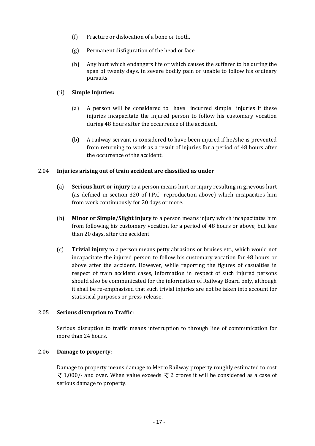- (f) Fracture or dislocation of a bone or tooth.
- (g) Permanent disfiguration of the head or face.
- (h) Any hurt which endangers life or which causes the sufferer to be during the span of twenty days, in severe bodily pain or unable to follow his ordinary pursuits.

## (ii) **Simple Injuries:**

- (a) A person will be considered to have incurred simple injuries if these injuries incapacitate the injured person to follow his customary vocation during 48 hours after the occurrence of the accident.
- (b) A railway servant is considered to have been injured if he/she is prevented from returning to work as a result of injuries for a period of 48 hours after the occurrence of the accident.

## 2.04 **Injuries arising out of train accident are classified as under**

- (a) **Serious hurt or injury** to a person means hurt or injury resulting in grievous hurt (as defined in section 320 of I.P.C reproduction above) which incapacities him from work continuously for 20 days or more.
- (b) **Minor or Simple/Slight injury** to a person means injury which incapacitates him from following his customary vocation for a period of 48 hours or above, but less than 20 days, after the accident.
- (c) **Trivial injury** to a person means petty abrasions or bruises etc., which would not incapacitate the injured person to follow his customary vocation for 48 hours or above after the accident. However, while reporting the figures of casualties in respect of train accident cases, information in respect of such injured persons should also be communicated for the information of Railway Board only, although it shall be re-emphasised that such trivial injuries are not be taken into account for statistical purposes or press-release.

#### 2.05 **Serious disruption to Traffic**:

Serious disruption to traffic means interruption to through line of communication for more than 24 hours.

#### 2.06 **Damage to property**:

Damage to property means damage to Metro Railway property roughly estimated to cost  $\bar{\xi}$  1,000/- and over. When value exceeds  $\bar{\xi}$  2 crores it will be considered as a case of serious damage to property.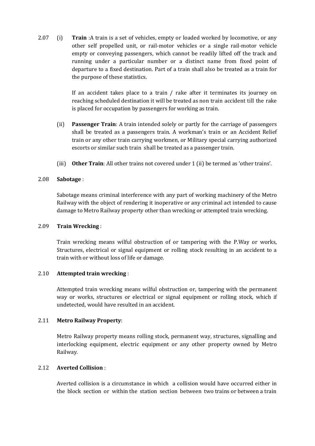2.07 (i) **Train** :A train is a set of vehicles, empty or loaded worked by locomotive, or any other self propelled unit, or rail-motor vehicles or a single rail-motor vehicle empty or conveying passengers, which cannot be readily lifted off the track and running under a particular number or a distinct name from fixed point of departure to a fixed destination. Part of a train shall also be treated as a train for the purpose of these statistics.

> If an accident takes place to a train / rake after it terminates its journey on reaching scheduled destination it will be treated as non train accident till the rake is placed for occupation by passengers for working as train.

- (ii) **Passenger Train**: A train intended solely or partly for the carriage of passengers shall be treated as a passengers train. A workman's train or an Accident Relief train or any other train carrying workmen, or Military special carrying authorized escorts or similar such train shall be treated as a passenger train.
- (iii) **Other Train**: All other trains not covered under 1 (ii) be termed as 'other trains'.

#### 2.08 **Sabotage** :

Sabotage means criminal interference with any part of working machinery of the Metro Railway with the object of rendering it inoperative or any criminal act intended to cause damage to Metro Railway property other than wrecking or attempted train wrecking.

#### 2.09 **Train Wrecking** :

Train wrecking means wilful obstruction of or tampering with the P.Way or works, Structures, electrical or signal equipment or rolling stock resulting in an accident to a train with or without loss of life or damage.

#### 2.10 **Attempted train wrecking** :

Attempted train wrecking means wilful obstruction or, tampering with the permanent way or works, structures or electrical or signal equipment or rolling stock, which if undetected, would have resulted in an accident.

#### 2.11 **Metro Railway Property**:

Metro Railway property means rolling stock, permanent way, structures, signalling and interlocking equipment, electric equipment or any other property owned by Metro Railway.

## 2.12 **Averted Collision** :

Averted collision is a circumstance in which a collision would have occurred either in the block section or within the station section between two trains or between a train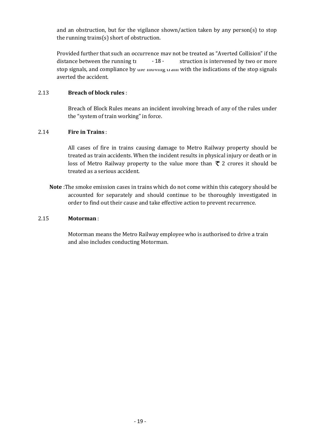and an obstruction, but for the vigilance shown/action taken by any person(s) to stop the running trains(s) short of obstruction.

Provided further that such an occurrence may not be treated as "Averted Collision" if the distance between the running training the observation is intervened by two or more stop signals, and compliance by the moving train with the indications of the stop signals averted the accident. - 18 -

## 2.13 **Breach of block rules** :

Breach of Block Rules means an incident involving breach of any of the rules under the "system of train working" in force.

## 2.14 **Fire in Trains** :

All cases of fire in trains causing damage to Metro Railway property should be treated as train accidents. When the incident results in physical injury or death or in loss of Metro Railway property to the value more than  $\bar{\tau}$  2 crores it should be treated as a serious accident.

**Note** :The smoke emission cases in trains which do not come within this category should be accounted for separately and should continue to be thoroughly investigated in order to find out their cause and take effective action to prevent recurrence.

#### 2.15 **Motorman** :

Motorman means the Metro Railway employee who is authorised to drive a train and also includes conducting Motorman.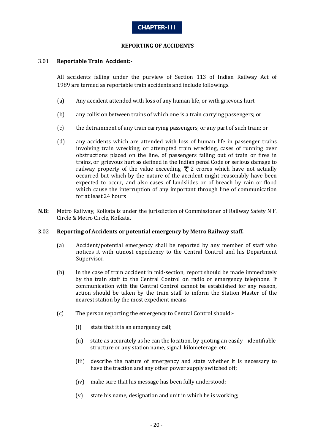

#### **REPORTING OF ACCIDENTS**

#### 3.01 **Reportable Train Accident:-**

All accidents falling under the purview of Section 113 of Indian Railway Act of 1989 are termed as reportable train accidents and include followings.

- (a) Any accident attended with loss of any human life, or with grievous hurt.
- (b) any collision between trains of which one is a train carrying passengers; or
- (c) the detrainment of any train carrying passengers, or any part of such train; or
- (d) any accidents which are attended with loss of human life in passenger trains involving train wrecking, or attempted train wrecking, cases of running over obstructions placed on the line, of passengers falling out of train or fires in trains, or grievous hurt as defined in the Indian penal Code or serious damage to railway property of the value exceeding  $\bar{\tau}$  2 crores which have not actually occurred but which by the nature of the accident might reasonably have been expected to occur, and also cases of landslides or of breach by rain or flood which cause the interruption of any important through line of communication for at least 24 hours
- **N.B:** Metro Railway, Kolkata is under the jurisdiction of Commissioner of Railway Safety N.F. Circle & Metro Circle, Kolkata.

#### 3.02 **Reporting of Accidents or potential emergency by Metro Railway staff.**

- (a) Accident/potential emergency shall be reported by any member of staff who notices it with utmost expediency to the Central Control and his Department Supervisor.
- (b) In the case of train accident in mid-section, report should be made immediately by the train staff to the Central Control on radio or emergency telephone. If communication with the Central Control cannot be established for any reason, action should be taken by the train staff to inform the Station Master of the nearest station by the most expedient means.
- (c) The person reporting the emergency to Central Control should:-
	- (i) state that it is an emergency call;
	- (ii) state as accurately as he can the location, by quoting an easily identifiable structure or any station name, signal, kilometerage, etc.
	- (iii) describe the nature of emergency and state whether it is necessary to have the traction and any other power supply switched off;
	- (iv) make sure that his message has been fully understood;
	- (v) state his name, designation and unit in which he is working;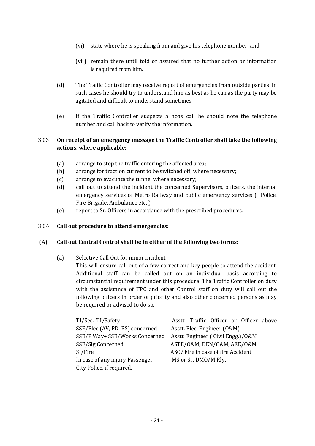- (vi) state where he is speaking from and give his telephone number; and
- (vii) remain there until told or assured that no further action or information is required from him.
- (d) The Traffic Controller may receive report of emergencies from outside parties. In such cases he should try to understand him as best as he can as the party may be agitated and difficult to understand sometimes.
- (e) If the Traffic Controller suspects a hoax call he should note the telephone number and call back to verify the information.

## 3.03 **On receipt of an emergency message the Traffic Controller shall take the following actions, where applicable**:

- (a) arrange to stop the traffic entering the affected area;
- (b) arrange for traction current to be switched off; where necessary;
- (c) arrange to evacuate the tunnel where necessary;
- (d) call out to attend the incident the concerned Supervisors, officers, the internal emergency services of Metro Railway and public emergency services ( Police, Fire Brigade, Ambulance etc. )
- (e) report to Sr. Officers in accordance with the prescribed procedures.

#### 3.04 **Call out procedure to attend emergencies**:

#### (A) **Call out Central Control shall be in either of the following two forms:**

(a) Selective Call Out for minor incident

This will ensure call out of a few correct and key people to attend the accident. Additional staff can be called out on an individual basis according to circumstantial requirement under this procedure. The Traffic Controller on duty with the assistance of TPC and other Control staff on duty will call out the following officers in order of priority and also other concerned persons as may be required or advised to do so.

| TI/Sec. TI/Safety               | Asstt. Traffic Officer or Officer above |
|---------------------------------|-----------------------------------------|
| SSE/Elec.(AV, PD, RS) concerned | Asstt. Elec. Engineer (O&M)             |
| SSE/P.Way+ SSE/Works Concerned  | Asstt. Engineer (Civil Engg.)/0&M       |
| SSE/Sig Concerned               | ASTE/O&M, DEN/O&M, AEE/O&M              |
| SI/Fire                         | ASC/Fire in case of fire Accident       |
| In case of any injury Passenger | MS or Sr. DMO/M.Rly.                    |
| City Police, if required.       |                                         |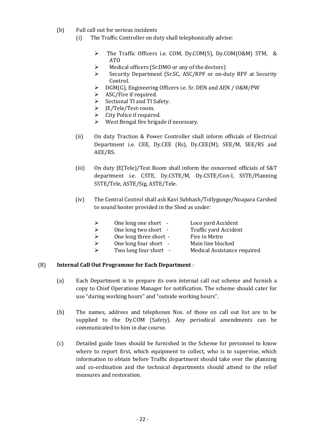- (b) Full call out for serious incidents
	- (i) The Traffic Controller on duty shall telephonically advise:
		- Ø The Traffic Officers i.e. COM, Dy.COM(S), Dy.COM(O&M) STM, & ATO
		- $\triangleright$  Medical officers (Sr.DMO or any of the doctors)
		- Ø Security Department (Sr.SC, ASC/RPF or on-duty RPF at Security Control.
		- Ø DGM(G), Engineering Officers i.e. Sr. DEN and AEN / O&M/PW
		- $\triangleright$  ASC/Fire if required.
		- $\triangleright$  Sectional TI and TI Safety.
		- Ø JE/Tele/Test-room.
		- $\triangleright$  City Police if required.
		- $\triangleright$  West Bengal fire brigade if necessary.
	- (ii) On duty Traction & Power Controller shall inform officials of Electrical Department i.e. CEE, Dy.CEE (Rs), Dy.CEE(M), SEE/M, SEE/RS and AEE/RS.
	- (iii) On duty JE(Tele)/Test Room shall inform the concerned officials of S&T department i.e. CSTE, Dy.CSTE/M, Dy.CSTE/Con-I, SSTE/Planning SSTE/Tele, ASTE/Sig, ASTE/Tele.
	- (iv) The Central Control shall ask Kavi Subhash/Tollygunge/Noapara Carshed to sound hooter provided in the Shed as under:

|                        | Loco yard Accident          |
|------------------------|-----------------------------|
| One long two short -   | Traffic yard Accident       |
| One long three short - | Fire in Metro               |
| One long four short -  | Main line blocked           |
| Two long four short -  | Medical Assistance required |
|                        | One long one short -        |

#### (B) **Internal Call Out Programme for Each Department** :

- (a) Each Department is to prepare its own internal call out scheme and furnish a copy to Chief Operations Manager for notification. The scheme should cater for use "during working hours" and "outside working hours".
- (b) The names, address and telephones Nos. of those on call out list are to be supplied to the Dy.COM (Safety). Any periodical amendments can be communicated to him in due course.
- (c) Detailed guide lines should be furnished in the Scheme for personnel to know where to report first, which equipment to collect, who is to supervise, which information to obtain before Traffic department should take over the planning and co-ordination and the technical departments should attend to the relief measures and restoration.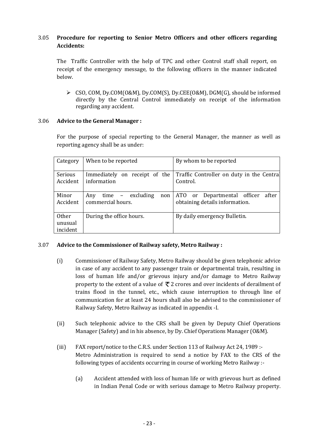## 3.05 **Procedure for reporting to Senior Metro Officers and other officers regarding Accidents:**

The Traffic Controller with the help of TPC and other Control staff shall report, on receipt of the emergency message, to the following officers in the manner indicated below.

Ø CSO, COM, Dy.COM(O&M), Dy.COM(S), Dy.CEE(O&M), DGM(G), should be informed directly by the Central Control immediately on receipt of the information regarding any accident.

#### 3.06 **Advice to the General Manager :**

For the purpose of special reporting to the General Manager, the manner as well as reporting agency shall be as under:

| Category                            | When to be reported                                   | By whom to be reported                                                 |
|-------------------------------------|-------------------------------------------------------|------------------------------------------------------------------------|
| Serious<br>Accident                 | Immediately on receipt of the<br>information          | Traffic Controller on duty in the Central<br>Control.                  |
| Minor<br>Accident                   | $time$ – excluding<br>Any<br>non<br>commercial hours. | ATO or Departmental officer<br>after<br>obtaining details information. |
| <b>Other</b><br>unusual<br>incident | During the office hours.                              | By daily emergency Bulletin.                                           |

#### 3.07 **Advice to the Commissioner of Railway safety, Metro Railway :**

- (i) Commissioner of Railway Safety, Metro Railway should be given telephonic advice in case of any accident to any passenger train or departmental train, resulting in loss of human life and/or grievous injury and/or damage to Metro Railway property to the extent of a value of  $\bar{\tau}$  2 crores and over incidents of derailment of trains flood in the tunnel, etc., which cause interruption to through line of communication for at least 24 hours shall also be advised to the commissioner of Railway Safety, Metro Railway as indicated in appendix -I.
- (ii) Such telephonic advice to the CRS shall be given by Deputy Chief Operations Manager (Safety) and in his absence, by Dy. Chief Operations Manager (O&M).
- (iii) FAX report/notice to the C.R.S. under Section 113 of Railway Act 24, 1989 :- Metro Administration is required to send a notice by FAX to the CRS of the following types of accidents occurring in course of working Metro Railway :-
	- (a) Accident attended with loss of human life or with grievous hurt as defined in Indian Penal Code or with serious damage to Metro Railway property.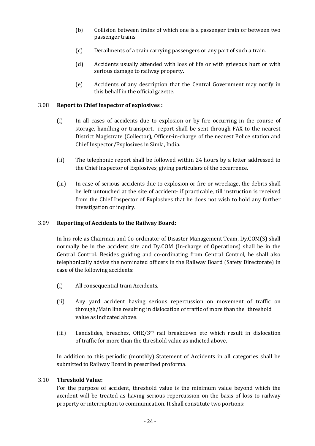- (b) Collision between trains of which one is a passenger train or between two passenger trains.
- (c) Derailments of a train carrying passengers or any part of such a train.
- (d) Accidents usually attended with loss of life or with grievous hurt or with serious damage to railway property.
- (e) Accidents of any description that the Central Government may notify in this behalf in the official gazette.

### 3.08 **Report to Chief Inspector of explosives :**

- (i) In all cases of accidents due to explosion or by fire occurring in the course of storage, handling or transport, report shall be sent through FAX to the nearest District Magistrate (Collector), Officer-in-charge of the nearest Police station and Chief Inspector/Explosives in Simla, India.
- (ii) The telephonic report shall be followed within 24 hours by a letter addressed to the Chief Inspector of Explosives, giving particulars of the occurrence.
- (iii) In case of serious accidents due to explosion or fire or wreckage, the debris shall be left untouched at the site of accident- if practicable, till instruction is received from the Chief Inspector of Explosives that he does not wish to hold any further investigation or inquiry.

#### 3.09 **Reporting of Accidents to the Railway Board:**

In his role as Chairman and Co-ordinator of Disaster Management Team, Dy.COM(S) shall normally be in the accident site and Dy.COM (In-charge of Operations) shall be in the Central Control. Besides guiding and co-ordinating from Central Control, he shall also telephonically advise the nominated officers in the Railway Board (Safety Directorate) in case of the following accidents:

- (i) All consequential train Accidents.
- (ii) Any yard accident having serious repercussion on movement of traffic on through/Main line resulting in dislocation of traffic of more than the threshold value as indicated above.
- (iii) Landslides, breaches, OHE/3rd rail breakdown etc which result in dislocation of traffic for more than the threshold value as indicted above.

In addition to this periodic (monthly) Statement of Accidents in all categories shall be submitted to Railway Board in prescribed proforma.

#### 3.10 **Threshold Value:**

For the purpose of accident, threshold value is the minimum value beyond which the accident will be treated as having serious repercussion on the basis of loss to railway property or interruption to communication. It shall constitute two portions: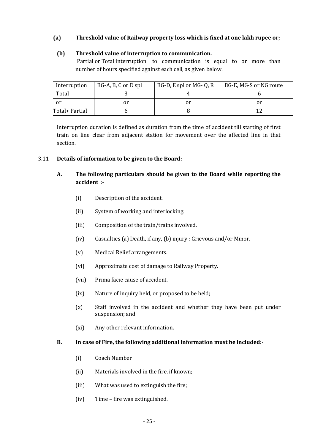## **(a) Threshold value of Railway property loss which is fixed at one lakh rupee or;**

#### **(b) Threshold value of interruption to communication.**

Partial or Total interruption to communication is equal to or more than number of hours specified against each cell, as given below.

| Interruption   | BG-A, B, C or D spl | BG-D, E spl or MG-Q, R | BG-E, MG-S or NG route |
|----------------|---------------------|------------------------|------------------------|
| Total          |                     |                        |                        |
| or             |                     | ΟÌ                     | or                     |
| Total+ Partial |                     |                        |                        |

Interruption duration is defined as duration from the time of accident till starting of first train on line clear from adjacent station for movement over the affected line in that section.

#### 3.11 **Details of information to be given to the Board:**

- **A. The following particulars should be given to the Board while reporting the accident** :-
	- (i) Description of the accident.
	- (ii) System of working and interlocking.
	- (iii) Composition of the train/trains involved.
	- (iv) Casualties (a) Death, if any, (b) injury : Grievous and/or Minor.
	- (v) Medical Relief arrangements.
	- (vi) Approximate cost of damage to Railway Property.
	- (vii) Prima facie cause of accident.
	- (ix) Nature of inquiry held, or proposed to be held;
	- (x) Staff involved in the accident and whether they have been put under suspension; and
	- (xi) Any other relevant information.

#### **B. In case of Fire, the following additional information must be included**:-

- (i) Coach Number
- (ii) Materials involved in the fire, if known;
- (iii) What was used to extinguish the fire;
- (iv) Time fire was extinguished.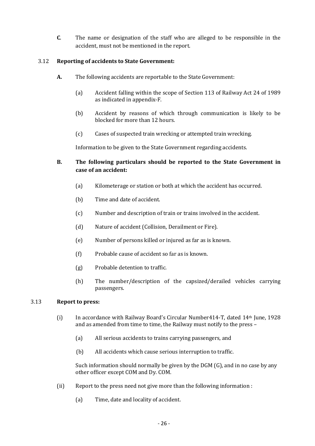**C**. The name or designation of the staff who are alleged to be responsible in the accident, must not be mentioned in the report.

### 3.12 **Reporting of accidents to State Government:**

- **A.** The following accidents are reportable to the State Government:
	- (a) Accident falling within the scope of Section 113 of Railway Act 24 of 1989 as indicated in appendix-F.
	- (b) Accident by reasons of which through communication is likely to be blocked for more than 12 hours.
	- (c) Cases of suspected train wrecking or attempted train wrecking.

Information to be given to the State Government regarding accidents.

## **B. The following particulars should be reported to the State Government in case of an accident:**

- (a) Kilometerage or station or both at which the accident has occurred.
- (b) Time and date of accident.
- (c) Number and description of train or trains involved in the accident.
- (d) Nature of accident (Collision, Derailment or Fire).
- (e) Number of persons killed or injured as far as is known.
- (f) Probable cause of accident so far as is known.
- (g) Probable detention to traffic.
- (h) The number/description of the capsized/derailed vehicles carrying passengers.

#### 3.13 **Report to press:**

- (i) In accordance with Railway Board's Circular Number414-T, dated 14th June, 1928 and as amended from time to time, the Railway must notify to the press –
	- (a) All serious accidents to trains carrying passengers, and
	- (b) All accidents which cause serious interruption to traffic.

Such information should normally be given by the DGM (G), and in no case by any other officer except COM and Dy. COM.

- (ii) Report to the press need not give more than the following information :
	- (a) Time, date and locality of accident.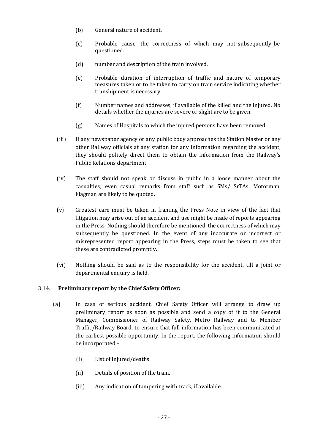- (b) General nature of accident.
- (c) Probable cause, the correctness of which may not subsequently be questioned.
- (d) number and description of the train involved.
- (e) Probable duration of interruption of traffic and nature of temporary measures taken or to be taken to carry on train service indicating whether transhipment is necessary.
- (f) Number names and addresses, if available of the killed and the injured. No details whether the injuries are severe or slight are to be given.
- (g) Names of Hospitals to which the injured persons have been removed.
- (iii) If any newspaper agency or any public body approaches the Station Master or any other Railway officials at any station for any information regarding the accident, they should politely direct them to obtain the information from the Railway's Public Relations department.
- (iv) The staff should not speak or discuss in public in a loose manner about the casualties; even casual remarks from staff such as SMs/ SrTAs, Motorman, Flagman are likely to be quoted.
- (v) Greatest care must be taken in framing the Press Note in view of the fact that litigation may arise out of an accident and use might be made of reports appearing in the Press. Nothing should therefore be mentioned, the correctness of which may subsequently be questioned. In the event of any inaccurate or incorrect or misrepresented report appearing in the Press, steps must be taken to see that these are contradicted promptly.
- (vi) Nothing should be said as to the responsibility for the accident, till a Joint or departmental enquiry is held.

## 3.14. **Preliminary report by the Chief Safety Officer:**

- (a) In case of serious accident, Chief Safety Officer will arrange to draw up preliminary report as soon as possible and send a copy of it to the General Manager, Commissioner of Railway Safety, Metro Railway and to Member Traffic/Railway Board, to ensure that full information has been communicated at the earliest possible opportunity. In the report, the following information should be incorporated –
	- (i) List of injured/deaths.
	- (ii) Details of position of the train.
	- (iii) Any indication of tampering with track, if available.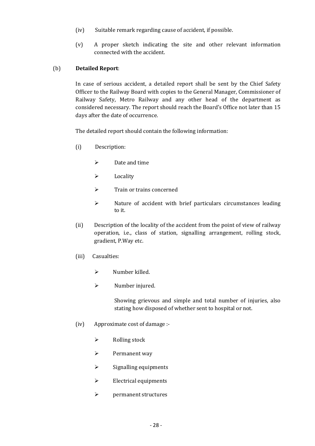- (iv) Suitable remark regarding cause of accident, if possible.
- (v) A proper sketch indicating the site and other relevant information connected with the accident.

# (b) **Detailed Report**:

In case of serious accident, a detailed report shall be sent by the Chief Safety Officer to the Railway Board with copies to the General Manager, Commissioner of Railway Safety, Metro Railway and any other head of the department as considered necessary. The report should reach the Board's Office not later than 15 days after the date of occurrence.

The detailed report should contain the following information:

- (i) Description:
	- $\triangleright$  Date and time
	- $\triangleright$  Locality
	- $\triangleright$  Train or trains concerned
	- $\triangleright$  Nature of accident with brief particulars circumstances leading to it.
- (ii) Description of the locality of the accident from the point of view of railway operation, i.e., class of station, signalling arrangement, rolling stock, gradient, P.Way etc.
- (iii) Casualties:
	- $\triangleright$  Number killed.
	- $\triangleright$  Number injured.

Showing grievous and simple and total number of injuries, also stating how disposed of whether sent to hospital or not.

- (iv) Approximate cost of damage :-
	- $\triangleright$  Rolling stock
	- $\triangleright$  Permanent way
	- $\triangleright$  Signalling equipments
	- $\triangleright$  Electrical equipments
	- $\triangleright$  permanent structures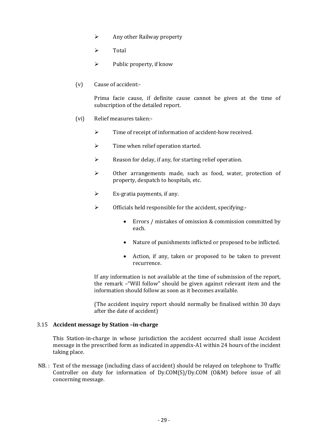- $\triangleright$  Any other Railway property
- $\triangleright$  Total
- $\triangleright$  Public property, if know
- (v) Cause of accident:-

Prima facie cause, if definite cause cannot be given at the time of subscription of the detailed report.

- (vi) Relief measures taken:-
	- $\triangleright$  Time of receipt of information of accident-how received.
	- $\triangleright$  Time when relief operation started.
	- $\triangleright$  Reason for delay, if any, for starting relief operation.
	- $\triangleright$  Other arrangements made, such as food, water, protection of property, despatch to hospitals, etc.
	- $\triangleright$  Ex-gratia payments, if any.
	- $\triangleright$  Officials held responsible for the accident, specifying:-
		- · Errors / mistakes of omission & commission committed by each.
		- · Nature of punishments inflicted or proposed to be inflicted.
		- · Action, if any, taken or proposed to be taken to prevent recurrence.

If any information is not available at the time of submission of the report, the remark –"Will follow" should be given against relevant item and the information should follow as soon as it becomes available.

(The accident inquiry report should normally be finalised within 30 days after the date of accident)

# 3.15 **Accident message by Station –in-charge**

This Station-in-charge in whose jurisdiction the accident occurred shall issue Accident message in the prescribed form as indicated in appendix-A1 within 24 hours of the incident taking place.

NB. : Text of the message (including class of accident) should be relayed on telephone to Traffic Controller on duty for information of Dy.COM(S)/Dy.COM (O&M) before issue of all concerning message.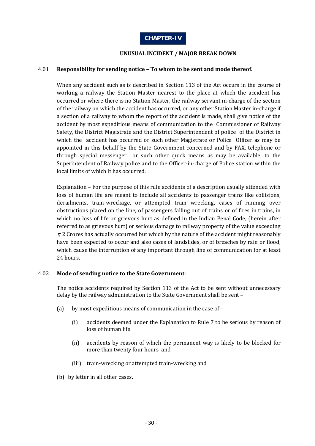# **UNUSUAL INCIDENT / MAJOR BREAK DOWN**

# 4.01 **Responsibility for sending notice – To whom to be sent and mode thereof.**

When any accident such as is described in Section 113 of the Act occurs in the course of working a railway the Station Master nearest to the place at which the accident has occurred or where there is no Station Master, the railway servant in-charge of the section of the railway on which the accident has occurred, or any other Station Master in-charge if a section of a railway to whom the report of the accident is made, shall give notice of the accident by most expeditious means of communication to the Commissioner of Railway Safety, the District Magistrate and the District Superintendent of police of the District in which the accident has occurred or such other Magistrate or Police Officer as may be appointed in this behalf by the State Government concerned and by FAX, telephone or through special messenger or such other quick means as may be available, to the Superintendent of Railway police and to the Officer-in-charge of Police station within the local limits of which it has occurred.

Explanation – For the purpose of this rule accidents of a description usually attended with loss of human life are meant to include all accidents to passenger trains like collisions, derailments, train-wreckage, or attempted train wrecking, cases of running over obstructions placed on the line, of passengers falling out of trains or of fires in trains, in which no loss of life or grievous hurt as defined in the Indian Penal Code, (herein after referred to as grievous hurt) or serious damage to railway property of the value exceeding  $z$  Crores has actually occurred but which by the nature of the accident might reasonably have been expected to occur and also cases of landslides, or of breaches by rain or flood, which cause the interruption of any important through line of communication for at least 24 hours.

# 4.02 **Mode of sending notice to the State Government**:

The notice accidents required by Section 113 of the Act to be sent without unnecessary delay by the railway administration to the State Government shall be sent –

- (a) by most expeditious means of communication in the case of
	- (i) accidents deemed under the Explanation to Rule 7 to be serious by reason of loss of human life.
	- (ii) accidents by reason of which the permanent way is likely to be blocked for more than twenty four hours and
	- (iii) train-wrecking or attempted train-wrecking and
- (b) by letter in all other cases.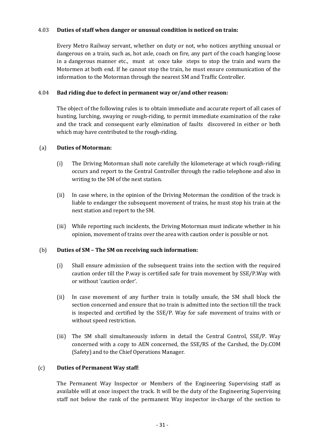# 4.03 **Duties of staff when danger or unusual condition is noticed on train:**

Every Metro Railway servant, whether on duty or not, who notices anything unusual or dangerous on a train, such as, hot axle, coach on fire, any part of the coach hanging loose in a dangerous manner etc., must at once take steps to stop the train and warn the Motormen at both end. If he cannot stop the train, he must ensure communication of the information to the Motorman through the nearest SM and Traffic Controller.

# 4.04 **Bad riding due to defect in permanent way or/and other reason:**

The object of the following rules is to obtain immediate and accurate report of all cases of hunting, lurching, swaying or rough-riding, to permit immediate examination of the rake and the track and consequent early elimination of faults discovered in either or both which may have contributed to the rough-riding.

# (a) **Duties of Motorman:**

- (i) The Driving Motorman shall note carefully the kilometerage at which rough-riding occurs and report to the Central Controller through the radio telephone and also in writing to the SM of the next station.
- (ii) In case where, in the opinion of the Driving Motorman the condition of the track is liable to endanger the subsequent movement of trains, he must stop his train at the next station and report to the SM.
- (iii) While reporting such incidents, the Driving Motorman must indicate whether in his opinion, movement of trains over the area with caution order is possible or not.

# (b) **Duties of SM – The SM on receiving such information:**

- (i) Shall ensure admission of the subsequent trains into the section with the required caution order till the P.way is certified safe for train movement by SSE/P.Way with or without 'caution order'.
- (ii) In case movement of any further train is totally unsafe, the SM shall block the section concerned and ensure that no train is admitted into the section till the track is inspected and certified by the SSE/P. Way for safe movement of trains with or without speed restriction.
- (iii) The SM shall simultaneously inform in detail the Central Control, SSE/P. Way concerned with a copy to AEN concerned, the SSE/RS of the Carshed, the Dy.COM (Safety) and to the Chief Operations Manager.

# (c) **Duties of Permanent Way staff**:

The Permanent Way Inspector or Members of the Engineering Supervising staff as available will at once inspect the track. It will be the duty of the Engineering Supervising staff not below the rank of the permanent Way inspector in-charge of the section to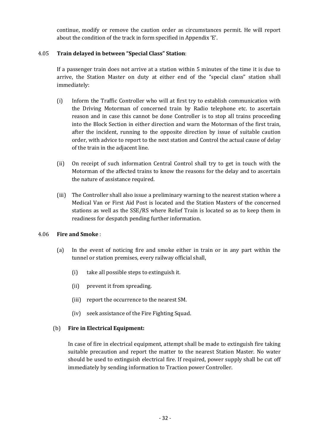continue, modify or remove the caution order as circumstances permit. He will report about the condition of the track in form specified in Appendix 'E'.

# 4.05 **Train delayed in between "Special Class" Station**:

If a passenger train does not arrive at a station within 5 minutes of the time it is due to arrive, the Station Master on duty at either end of the "special class" station shall immediately:

- (i) Inform the Traffic Controller who will at first try to establish communication with the Driving Motorman of concerned train by Radio telephone etc. to ascertain reason and in case this cannot be done Controller is to stop all trains proceeding into the Block Section in either direction and warn the Motorman of the first train, after the incident, running to the opposite direction by issue of suitable caution order, with advice to report to the next station and Control the actual cause of delay of the train in the adjacent line.
- (ii) On receipt of such information Central Control shall try to get in touch with the Motorman of the affected trains to know the reasons for the delay and to ascertain the nature of assistance required.
- (iii) The Controller shall also issue a preliminary warning to the nearest station where a Medical Van or First Aid Post is located and the Station Masters of the concerned stations as well as the SSE/RS where Relief Train is located so as to keep them in readiness for despatch pending further information.

# 4.06 **Fire and Smoke** :

- (a) In the event of noticing fire and smoke either in train or in any part within the tunnel or station premises, every railway official shall,
	- (i) take all possible steps to extinguish it.
	- (ii) prevent it from spreading.
	- (iii) report the occurrence to the nearest SM.
	- (iv) seek assistance of the Fire Fighting Squad.

# (b) **Fire in Electrical Equipment:**

In case of fire in electrical equipment, attempt shall be made to extinguish fire taking suitable precaution and report the matter to the nearest Station Master. No water should be used to extinguish electrical fire. If required, power supply shall be cut off immediately by sending information to Traction power Controller.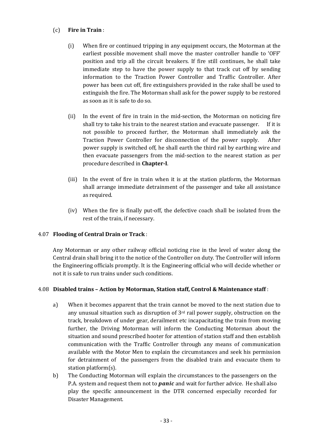# (c) **Fire in Train** :

- (i) When fire or continued tripping in any equipment occurs, the Motorman at the earliest possible movement shall move the master controller handle to 'OFF' position and trip all the circuit breakers. If fire still continues, he shall take immediate step to have the power supply to that track cut off by sending information to the Traction Power Controller and Traffic Controller. After power has been cut off, fire extinguishers provided in the rake shall be used to extinguish the fire. The Motorman shall ask for the power supply to be restored as soon as it is safe to do so.
- (ii) In the event of fire in train in the mid-section, the Motorman on noticing fire shall try to take his train to the nearest station and evacuate passenger. If it is not possible to proceed further, the Motorman shall immediately ask the Traction Power Controller for disconnection of the power supply. After power supply is switched off, he shall earth the third rail by earthing wire and then evacuate passengers from the mid-section to the nearest station as per procedure described in **Chapter-I**.
- (iii) In the event of fire in train when it is at the station platform, the Motorman shall arrange immediate detrainment of the passenger and take all assistance as required.
- (iv) When the fire is finally put-off, the defective coach shall be isolated from the rest of the train, if necessary.

# 4.07 **Flooding of Central Drain or Track** :

Any Motorman or any other railway official noticing rise in the level of water along the Central drain shall bring it to the notice of the Controller on duty. The Controller will inform the Engineering officials promptly. It is the Engineering official who will decide whether or not it is safe to run trains under such conditions.

# 4.08 **Disabled trains – Action by Motorman, Station staff, Control & Maintenance staff** :

- a) When it becomes apparent that the train cannot be moved to the next station due to any unusual situation such as disruption of  $3<sup>rd</sup>$  rail power supply, obstruction on the track, breakdown of under gear, derailment etc incapacitating the train from moving further, the Driving Motorman will inform the Conducting Motorman about the situation and sound prescribed hooter for attention of station staff and then establish communication with the Traffic Controller through any means of communication available with the Motor Men to explain the circumstances and seek his permission for detrainment of the passengers from the disabled train and evacuate them to station platform(s).
- b) The Conducting Motorman will explain the circumstances to the passengers on the P.A. system and request them not to *panic* and wait for further advice. He shall also play the specific announcement in the DTR concerned especially recorded for Disaster Management.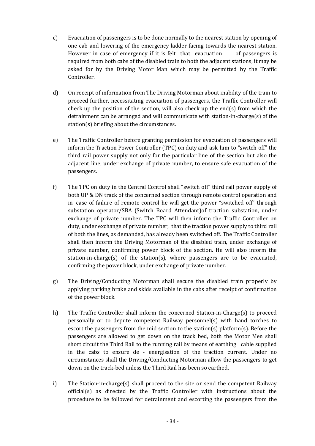- c) Evacuation of passengers is to be done normally to the nearest station by opening of one cab and lowering of the emergency ladder facing towards the nearest station. However in case of emergency if it is felt that evacuation of passengers is required from both cabs of the disabled train to both the adjacent stations, it may be asked for by the Driving Motor Man which may be permitted by the Traffic Controller.
- d) On receipt of information from The Driving Motorman about inability of the train to proceed further, necessitating evacuation of passengers, the Traffic Controller will check up the position of the section, will also check up the end(s) from which the detrainment can be arranged and will communicate with station-in-charge(s) of the station(s) briefing about the circumstances.
- e) The Traffic Controller before granting permission for evacuation of passengers will inform the Traction Power Controller (TPC) on duty and ask him to "switch off" the third rail power supply not only for the particular line of the section but also the adjacent line, under exchange of private number, to ensure safe evacuation of the passengers.
- f) The TPC on duty in the Central Control shall "switch off" third rail power supply of both UP & DN track of the concerned section through remote control operation and in case of failure of remote control he will get the power "switched off" through substation operator/SBA (Switch Board Attendant)of traction substation, under exchange of private number. The TPC will then inform the Traffic Controller on duty, under exchange of private number, that the traction power supply to third rail of both the lines, as demanded, has already been switched off. The Traffic Controller shall then inform the Driving Motorman of the disabled train, under exchange of private number, confirming power block of the section. He will also inform the station-in-charge(s) of the station(s), where passengers are to be evacuated, confirming the power block, under exchange of private number.
- g) The Driving/Conducting Motorman shall secure the disabled train properly by applying parking brake and skids available in the cabs after receipt of confirmation of the power block.
- h) The Traffic Controller shall inform the concerned Station-in-Charge(s) to proceed personally or to depute competent Railway personnel(s) with hand torches to escort the passengers from the mid section to the station(s) platform(s). Before the passengers are allowed to get down on the track bed, both the Motor Men shall short circuit the Third Rail to the running rail by means of earthing cable supplied in the cabs to ensure de - energisation of the traction current. Under no circumstances shall the Driving/Conducting Motorman allow the passengers to get down on the track-bed unless the Third Rail has been so earthed.
- i) The Station-in-charge(s) shall proceed to the site or send the competent Railway official(s) as directed by the Traffic Controller with instructions about the procedure to be followed for detrainment and escorting the passengers from the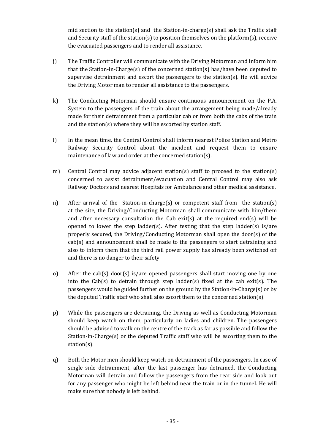mid section to the station(s) and the Station-in-charge(s) shall ask the Traffic staff and Security staff of the station(s) to position themselves on the platform(s), receive the evacuated passengers and to render all assistance.

- j) The Traffic Controller will communicate with the Driving Motorman and inform him that the Station-in-Charge(s) of the concerned station(s) has/have been deputed to supervise detrainment and escort the passengers to the station(s). He will advice the Driving Motor man to render all assistance to the passengers.
- k) The Conducting Motorman should ensure continuous announcement on the P.A. System to the passengers of the train about the arrangement being made/already made for their detrainment from a particular cab or from both the cabs of the train and the station(s) where they will be escorted by station staff.
- l) In the mean time, the Central Control shall inform nearest Police Station and Metro Railway Security Control about the incident and request them to ensure maintenance of law and order at the concerned station(s).
- m) Central Control may advice adjacent station(s) staff to proceed to the station(s) concerned to assist detrainment/evacuation and Central Control may also ask Railway Doctors and nearest Hospitals for Ambulance and other medical assistance.
- n) After arrival of the Station-in-charge(s) or competent staff from the station(s) at the site, the Driving/Conducting Motorman shall communicate with him/them and after necessary consultation the Cab exit(s) at the required end(s) will be opened to lower the step ladder(s). After testing that the step ladder(s) is/are properly secured, the Driving/Conducting Motorman shall open the door(s) of the cab(s) and announcement shall be made to the passengers to start detraining and also to inform them that the third rail power supply has already been switched off and there is no danger to their safety.
- o) After the cab(s) door(s) is/are opened passengers shall start moving one by one into the Cab(s) to detrain through step ladder(s) fixed at the cab exit(s). The passengers would be guided further on the ground by the Station-in-Charge(s) or by the deputed Traffic staff who shall also escort them to the concerned station(s).
- p) While the passengers are detraining, the Driving as well as Conducting Motorman should keep watch on them, particularly on ladies and children. The passengers should be advised to walk on the centre of the track as far as possible and follow the Station-in-Charge(s) or the deputed Traffic staff who will be escorting them to the station(s).
- q) Both the Motor men should keep watch on detrainment of the passengers. In case of single side detrainment, after the last passenger has detrained, the Conducting Motorman will detrain and follow the passengers from the rear side and look out for any passenger who might be left behind near the train or in the tunnel. He will make sure that nobody is left behind.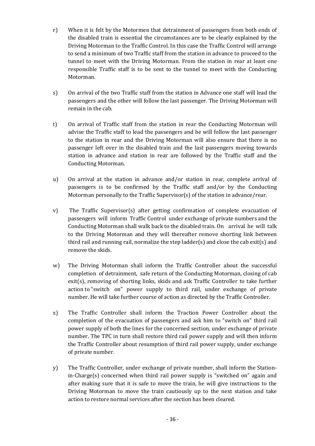- r) When it is felt by the Motormen that detrainment of passengers from both ends of the disabled train is essential the circumstances are to be clearly explained by the Driving Motorman to the Traffic Control. In this case the Traffic Control will arrange to send a minimum of two Traffic staff from the station in advance to proceed to the tunnel to meet with the Driving Motorman. From the station in rear at least one responsible Traffic staff is to be sent to the tunnel to meet with the Conducting Motorman.
- s) On arrival of the two Traffic staff from the station in Advance one staff will lead the passengers and the other will follow the last passenger. The Driving Motorman will remain in the cab.
- t) On arrival of Traffic staff from the station in rear the Conducting Motorman will advise the Traffic staff to lead the passengers and he will follow the last passenger to the station in rear and the Driving Motorman will also ensure that there is no passenger left over in the disabled train and the last passengers moving towards station in advance and station in rear are followed by the Traffic staff and the Conducting Motorman.
- u) On arrival at the station in advance and/or station in rear, complete arrival of passengers is to be confirmed by the Traffic staff and/or by the Conducting Motorman personally to the Traffic Supervisor(s) of the station in advance/rear.
- v) The Traffic Supervisor(s) after getting confirmation of complete evacuation of passengers will inform Traffic Control under exchange of private numbers and the Conducting Motorman shall walk back to the disabled train. On arrival he will talk to the Driving Motorman and they will thereafter remove shorting link between third rail and running rail, normalize the step ladder(s) and close the cab exit(s) and remove the skids.
- w) The Driving Motorman shall inform the Traffic Controller about the successful completion of detrainment, safe return of the Conducting Motorman, closing of cab exit(s), removing of shorting links, skids and ask Traffic Controller to take further action to "switch on" power supply to third rail, under exchange of private number. He will take further course of action as directed by the Traffic Controller.
- x) The Traffic Controller shall inform the Traction Power Controller about the completion of the evacuation of passengers and ask him to "switch on" third rail power supply of both the lines for the concerned section, under exchange of private number. The TPC in turn shall restore third rail power supply and will then inform the Traffic Controller about resumption of third rail power supply, under exchange of private number.
- y) The Traffic Controller, under exchange of private number, shall inform the Stationin-Charge(s) concerned when third rail power supply is "switched on" again and after making sure that it is safe to move the train, he will give instructions to the Driving Motorman to move the train cautiously up to the next station and take action to restore normal services after the section has been cleared.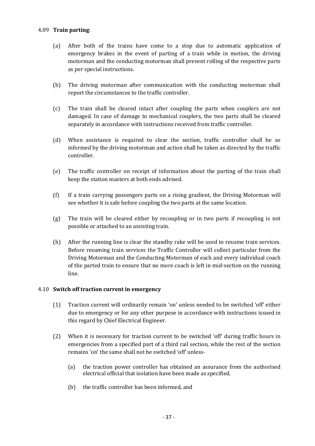## 4.09 **Train parting**:

- (a) After both of the trains have come to a stop due to automatic application of emergency brakes in the event of parting of a train while in motion, the driving motorman and the conducting motorman shall prevent rolling of the respective parts as per special instructions.
- (b) The driving motorman after communication with the conducting motorman shall report the circumstances to the traffic controller.
- (c) The train shall be cleared intact after coupling the parts when couplers are not damaged. In case of damage to mechanical couplers, the two parts shall be cleared separately in accordance with instructions received from traffic controller.
- (d) When assistance is required to clear the section, traffic controller shall be so informed by the driving motorman and action shall be taken as directed by the traffic controller.
- (e) The traffic controller on receipt of information about the parting of the train shall keep the station masters at both ends advised.
- (f) If a train carrying passengers parts on a rising gradient, the Driving Motorman will see whether it is safe before coupling the two parts at the same location.
- (g) The train will be cleared either by recoupling or in two parts if recoupling is not possible or attached to an assisting train.
- (h) After the running line is clear the standby rake will be used to resume train services. Before resuming train services the Traffic Controller will collect particular from the Driving Motorman and the Conducting Motorman of each and every individual coach of the parted train to ensure that no more coach is left in mid-section on the running line.

# 4.10 **Switch off traction current in emergency**

- (1) Traction current will ordinarily remain 'on' unless needed to be switched 'off' either due to emergency or for any other purpose in accordance with instructions issued in this regard by Chief Electrical Engineer.
- (2) When it is necessary for traction current to be switched 'off' during traffic hours in emergencies from a specified part of a third rail section, while the rest of the section remains 'on' the same shall not be switched 'off' unless-
	- (a) the traction power controller has obtained an assurance from the authorised electrical official that isolation have been made as specified.
	- (b) the traffic controller has been informed, and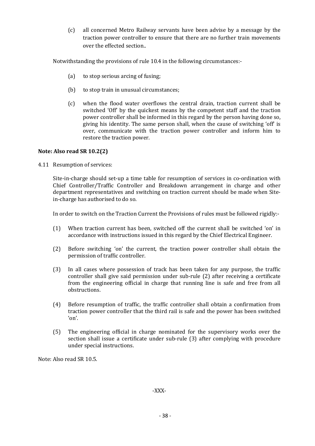(c) all concerned Metro Railway servants have been advise by a message by the traction power controller to ensure that there are no further train movements over the effected section..

Notwithstanding the provisions of rule 10.4 in the following circumstances:-

- (a) to stop serious arcing of fusing;
- (b) to stop train in unusual circumstances;
- (c) when the flood water overflows the central drain, traction current shall be switched 'Off' by the quickest means by the competent staff and the traction power controller shall be informed in this regard by the person having done so, giving his identity. The same person shall, when the cause of switching 'off' is over, communicate with the traction power controller and inform him to restore the traction power.

# **Note: Also read SR 10.2(2)**

4.11 Resumption of services:

Site-in-charge should set-up a time table for resumption of services in co-ordination with Chief Controller/Traffic Controller and Breakdown arrangement in charge and other department representatives and switching on traction current should be made when Sitein-charge has authorised to do so.

In order to switch on the Traction Current the Provisions of rules must be followed rigidly:-

- (1) When traction current has been, switched off the current shall be switched 'on' in accordance with instructions issued in this regard by the Chief Electrical Engineer.
- (2) Before switching 'on' the current, the traction power controller shall obtain the permission of traffic controller.
- (3) In all cases where possession of track has been taken for any purpose, the traffic controller shall give said permission under sub-rule (2) after receiving a certificate from the engineering official in charge that running line is safe and free from all obstructions.
- (4) Before resumption of traffic, the traffic controller shall obtain a confirmation from traction power controller that the third rail is safe and the power has been switched 'on'.
- (5) The engineering official in charge nominated for the supervisory works over the section shall issue a certificate under sub-rule (3) after complying with procedure under special instructions.

Note: Also read SR 10.5.

-XXX-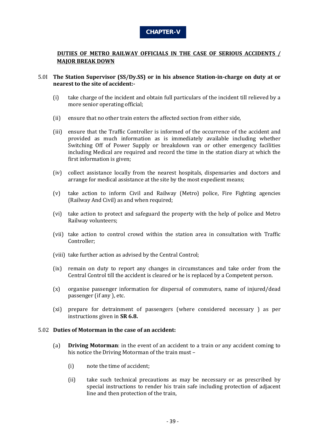

# **DUTIES OF METRO RAILWAY OFFICIALS IN THE CASE OF SERIOUS ACCIDENTS / MAJOR BREAK DOWN**

### 5.0I **The Station Supervisor (SS/Dy.SS) or in his absence Station-in-charge on duty at or nearest to the site of accident:-**

- (i) take charge of the incident and obtain full particulars of the incident till relieved by a more senior operating official;
- (ii) ensure that no other train enters the affected section from either side,
- (iii) ensure that the Traffic Controller is informed of the occurrence of the accident and provided as much information as is immediately available including whether Switching Off of Power Supply or breakdown van or other emergency facilities including Medical are required and record the time in the station diary at which the first information is given;
- (iv) collect assistance locally from the nearest hospitals, dispensaries and doctors and arrange for medical assistance at the site by the most expedient means;
- (v) take action to inform Civil and Railway (Metro) police, Fire Fighting agencies (Railway And Civil) as and when required;
- (vi) take action to protect and safeguard the property with the help of police and Metro Railway volunteers;
- (vii) take action to control crowd within the station area in consultation with Traffic Controller;
- (viii) take further action as advised by the Central Control;
- (ix) remain on duty to report any changes in circumstances and take order from the Central Control till the accident is cleared or he is replaced by a Competent person.
- (x) organise passenger information for dispersal of commuters, name of injured/dead passenger (if any ), etc.
- (xi) prepare for detrainment of passengers (where considered necessary ) as per instructions given in **SR 6.8.**

#### 5.02 **Duties of Motorman in the case of an accident:**

- (a) **Driving Motorman**: in the event of an accident to a train or any accident coming to his notice the Driving Motorman of the train must –
	- (i) note the time of accident;
	- (ii) take such technical precautions as may be necessary or as prescribed by special instructions to render his train safe including protection of adjacent line and then protection of the train,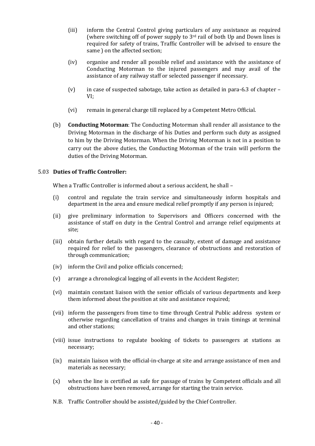- (iii) inform the Central Control giving particulars of any assistance as required (where switching off of power supply to 3rd rail of both Up and Down lines is required for safety of trains, Traffic Controller will be advised to ensure the same ) on the affected section;
- (iv) organise and render all possible relief and assistance with the assistance of Conducting Motorman to the injured passengers and may avail of the assistance of any railway staff or selected passenger if necessary.
- (v) in case of suspected sabotage, take action as detailed in para-6.3 of chapter VI;
- (vi) remain in general charge till replaced by a Competent Metro Official.
- (b) **Conducting Motorman**: The Conducting Motorman shall render all assistance to the Driving Motorman in the discharge of his Duties and perform such duty as assigned to him by the Driving Motorman. When the Driving Motorman is not in a position to carry out the above duties, the Conducting Motorman of the train will perform the duties of the Driving Motorman.

# 5.03 **Duties of Traffic Controller:**

When a Traffic Controller is informed about a serious accident, he shall -

- (i) control and regulate the train service and simultaneously inform hospitals and department in the area and ensure medical relief promptly if any person is injured;
- (ii) give preliminary information to Supervisors and Officers concerned with the assistance of staff on duty in the Central Control and arrange relief equipments at site;
- (iii) obtain further details with regard to the casualty, extent of damage and assistance required for relief to the passengers, clearance of obstructions and restoration of through communication;
- (iv) inform the Civil and police officials concerned;
- (v) arrange a chronological logging of all events in the Accident Register;
- (vi) maintain constant liaison with the senior officials of various departments and keep them informed about the position at site and assistance required;
- (vii) inform the passengers from time to time through Central Public address system or otherwise regarding cancellation of trains and changes in train timings at terminal and other stations;
- (viii) issue instructions to regulate booking of tickets to passengers at stations as necessary;
- (ix) maintain liaison with the official-in-charge at site and arrange assistance of men and materials as necessary;
- (x) when the line is certified as safe for passage of trains by Competent officials and all obstructions have been removed, arrange for starting the train service.
- N.B. Traffic Controller should be assisted/guided by the Chief Controller.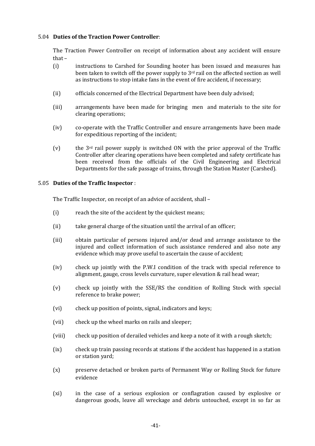## 5.04 **Duties of the Traction Power Controller**:

The Traction Power Controller on receipt of information about any accident will ensure that –

- (i) instructions to Carshed for Sounding hooter has been issued and measures has been taken to switch off the power supply to  $3<sup>rd</sup>$  rail on the affected section as well as instructions to stop intake fans in the event of fire accident, if necessary;
- (ii) officials concerned of the Electrical Department have been duly advised;
- (iii) arrangements have been made for bringing men and materials to the site for clearing operations;
- (iv) co-operate with the Traffic Controller and ensure arrangements have been made for expeditious reporting of the incident;
- (v) the 3rd rail power supply is switched ON with the prior approval of the Traffic Controller after clearing operations have been completed and safety certificate has been received from the officials of the Civil Engineering and Electrical Departments for the safe passage of trains, through the Station Master (Carshed).

#### 5.05 **Duties of the Traffic Inspector** :

The Traffic Inspector, on receipt of an advice of accident, shall –

- (i) reach the site of the accident by the quickest means;
- (ii) take general charge of the situation until the arrival of an officer;
- (iii) obtain particular of persons injured and/or dead and arrange assistance to the injured and collect information of such assistance rendered and also note any evidence which may prove useful to ascertain the cause of accident;
- (iv) check up jointly with the P.W.I condition of the track with special reference to alignment, gauge, cross levels curvature, super elevation & rail head wear;
- (v) check up jointly with the SSE/RS the condition of Rolling Stock with special reference to brake power;
- (vi) check up position of points, signal, indicators and keys;
- (vii) check up the wheel marks on rails and sleeper;
- (viii) check up position of derailed vehicles and keep a note of it with a rough sketch;
- (ix) check up train passing records at stations if the accident has happened in a station or station yard;
- (x) preserve detached or broken parts of Permanent Way or Rolling Stock for future evidence
- (xi) in the case of a serious explosion or conflagration caused by explosive or dangerous goods, leave all wreckage and debris untouched, except in so far as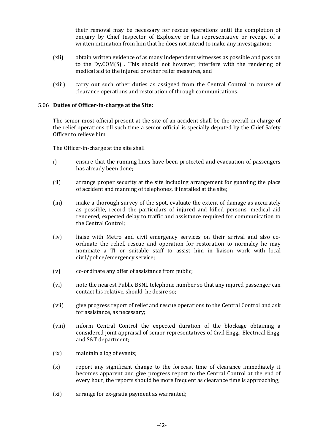their removal may be necessary for rescue operations until the completion of enquiry by Chief Inspector of Explosive or his representative or receipt of a written intimation from him that he does not intend to make any investigation;

- (xii) obtain written evidence of as many independent witnesses as possible and pass on to the Dy.COM(S) . This should not however, interfere with the rendering of medical aid to the injured or other relief measures, and
- (xiii) carry out such other duties as assigned from the Central Control in course of clearance operations and restoration of through communications.

### 5.06 **Duties of Officer-in-charge at the Site:**

The senior most official present at the site of an accident shall be the overall in-charge of the relief operations till such time a senior official is specially deputed by the Chief Safety Officer to relieve him.

The Officer-in-charge at the site shall

- i) ensure that the running lines have been protected and evacuation of passengers has already been done;
- (ii) arrange proper security at the site including arrangement for guarding the place of accident and manning of telephones, if installed at the site;
- (iii) make a thorough survey of the spot, evaluate the extent of damage as accurately as possible, record the particulars of injured and killed persons, medical aid rendered, expected delay to traffic and assistance required for communication to the Central Control;
- (iv) liaise with Metro and civil emergency services on their arrival and also coordinate the relief, rescue and operation for restoration to normalcy he may nominate a TI or suitable staff to assist him in liaison work with local civil/police/emergency service;
- (v) co-ordinate any offer of assistance from public;
- (vi) note the nearest Public BSNL telephone number so that any injured passenger can contact his relative, should he desire so;
- (vii) give progress report of relief and rescue operations to the Central Control and ask for assistance, as necessary;
- (viii) inform Central Control the expected duration of the blockage obtaining a considered joint appraisal of senior representatives of Civil Engg., Electrical Engg. and S&T department;
- (ix) maintain a log of events;
- (x) report any significant change to the forecast time of clearance immediately it becomes apparent and give progress report to the Central Control at the end of every hour, the reports should be more frequent as clearance time is approaching;
- (xi) arrange for ex-gratia payment as warranted;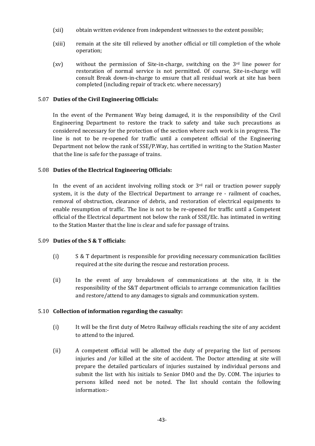- (xii) obtain written evidence from independent witnesses to the extent possible;
- (xiii) remain at the site till relieved by another official or till completion of the whole operation;
- (xv) without the permission of Site-in-charge, switching on the 3rd line power for restoration of normal service is not permitted. Of course, Site-in-charge will consult Break down-in-charge to ensure that all residual work at site has been completed (including repair of track etc. where necessary)

# 5.07 **Duties of the Civil Engineering Officials:**

In the event of the Permanent Way being damaged, it is the responsibility of the Civil Engineering Department to restore the track to safety and take such precautions as considered necessary for the protection of the section where such work is in progress. The line is not to be re-opened for traffic until a competent official of the Engineering Department not below the rank of SSE/P.Way, has certified in writing to the Station Master that the line is safe for the passage of trains.

# 5.08 **Duties of the Electrical Engineering Officials:**

In the event of an accident involving rolling stock or  $3<sup>rd</sup>$  rail or traction power supply system, it is the duty of the Electrical Department to arrange re - railment of coaches, removal of obstruction, clearance of debris, and restoration of electrical equipments to enable resumption of traffic. The line is not to be re-opened for traffic until a Competent official of the Electrical department not below the rank of SSE/Elc. has intimated in writing to the Station Master that the line is clear and safe for passage of trains.

# 5.09 **Duties of the S & T officials:**

- (i) S & T department is responsible for providing necessary communication facilities required at the site during the rescue and restoration process.
- (ii) In the event of any breakdown of communications at the site, it is the responsibility of the S&T department officials to arrange communication facilities and restore/attend to any damages to signals and communication system.

# 5.10 **Collection of information regarding the casualty:**

- (i) It will be the first duty of Metro Railway officials reaching the site of any accident to attend to the injured.
- (ii) A competent official will be allotted the duty of preparing the list of persons injuries and /or killed at the site of accident. The Doctor attending at site will prepare the detailed particulars of injuries sustained by individual persons and submit the list with his initials to Senior DMO and the Dy. COM. The injuries to persons killed need not be noted. The list should contain the following information:-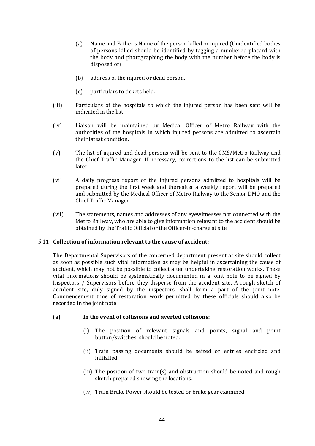- (a) Name and Father's Name of the person killed or injured (Unidentified bodies of persons killed should be identified by tagging a numbered placard with the body and photographing the body with the number before the body is disposed of)
- (b) address of the injured or dead person.
- (c) particulars to tickets held.
- (iii) Particulars of the hospitals to which the injured person has been sent will be indicated in the list.
- (iv) Liaison will be maintained by Medical Officer of Metro Railway with the authorities of the hospitals in which injured persons are admitted to ascertain their latest condition.
- (v) The list of injured and dead persons will be sent to the CMS/Metro Railway and the Chief Traffic Manager. If necessary, corrections to the list can be submitted later.
- (vi) A daily progress report of the injured persons admitted to hospitals will be prepared during the first week and thereafter a weekly report will be prepared and submitted by the Medical Officer of Metro Railway to the Senior DMO and the Chief Traffic Manager.
- (vii) The statements, names and addresses of any eyewitnesses not connected with the Metro Railway, who are able to give information relevant to the accident should be obtained by the Traffic Official or the Officer-in-charge at site.

# 5.11 **Collection of information relevant to the cause of accident:**

The Departmental Supervisors of the concerned department present at site should collect as soon as possible such vital information as may be helpful in ascertaining the cause of accident, which may not be possible to collect after undertaking restoration works. These vital informations should be systematically documented in a joint note to be signed by Inspectors / Supervisors before they disperse from the accident site. A rough sketch of accident site, duly signed by the inspectors, shall form a part of the joint note. Commencement time of restoration work permitted by these officials should also be recorded in the joint note.

# (a) **In the event of collisions and averted collisions:**

- (i) The position of relevant signals and points, signal and point button/switches, should be noted.
- (ii) Train passing documents should be seized or entries encircled and initialled.
- (iii) The position of two train(s) and obstruction should be noted and rough sketch prepared showing the locations.
- (iv) Train Brake Power should be tested or brake gear examined.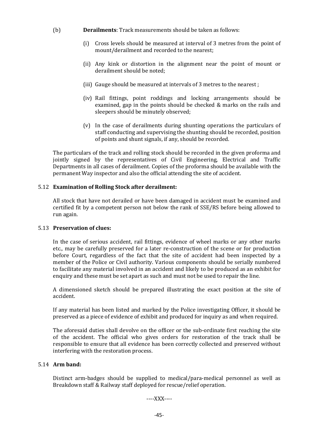- (b) **Derailments**: Track measurements should be taken as follows:
	- (i) Cross levels should be measured at interval of 3 metres from the point of mount/derailment and recorded to the nearest;
	- (ii) Any kink or distortion in the alignment near the point of mount or derailment should be noted;
	- (iii) Gauge should be measured at intervals of 3 metres to the nearest ;
	- (iv) Rail fittings, point roddings and locking arrangements should be examined, gap in the points should be checked & marks on the rails and sleepers should be minutely observed;
	- (v) In the case of derailments during shunting operations the particulars of staff conducting and supervising the shunting should be recorded, position of points and shunt signals, if any, should be recorded.

The particulars of the track and rolling stock should be recorded in the given proforma and jointly signed by the representatives of Civil Engineering, Electrical and Traffic Departments in all cases of derailment. Copies of the proforma should be available with the permanent Way inspector and also the official attending the site of accident.

# 5.12 **Examination of Rolling Stock after derailment:**

All stock that have not derailed or have been damaged in accident must be examined and certified fit by a competent person not below the rank of SSE/RS before being allowed to run again.

#### 5.13 **Preservation of clues:**

In the case of serious accident, rail fittings, evidence of wheel marks or any other marks etc., may be carefully preserved for a later re-construction of the scene or for production before Court, regardless of the fact that the site of accident had been inspected by a member of the Police or Civil authority. Various components should be serially numbered to facilitate any material involved in an accident and likely to be produced as an exhibit for enquiry and these must be set apart as such and must not be used to repair the line.

A dimensioned sketch should be prepared illustrating the exact position at the site of accident.

If any material has been listed and marked by the Police investigating Officer, it should be preserved as a piece of evidence of exhibit and produced for inquiry as and when required.

The aforesaid duties shall devolve on the officer or the sub-ordinate first reaching the site of the accident. The official who gives orders for restoration of the track shall be responsible to ensure that all evidence has been correctly collected and preserved without interfering with the restoration process.

### 5.14 **Arm band:**

Distinct arm-badges should be supplied to medical/para-medical personnel as well as Breakdown staff & Railway staff deployed for rescue/relief operation.

----XXX----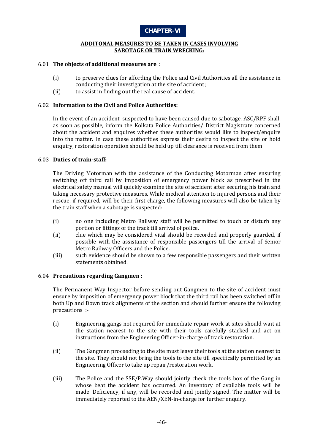

#### **ADDITONAL MEASURES TO BE TAKEN IN CASES INVOLVING SABOTAGE OR TRAIN WRECKING:**

### 6.01 **The objects of additional measures are :**

- (i) to preserve clues for affording the Police and Civil Authorities all the assistance in conducting their investigation at the site of accident ;
- (ii) to assist in finding out the real cause of accident.

### 6.02 **Information to the Civil and Police Authorities:**

In the event of an accident, suspected to have been caused due to sabotage, ASC/RPF shall, as soon as possible, inform the Kolkata Police Authorities/ District Magistrate concerned about the accident and enquires whether these authorities would like to inspect/enquire into the matter. In case these authorities express their desire to inspect the site or hold enquiry, restoration operation should be held up till clearance is received from them.

### 6.03 **Duties of train-staff:**

The Driving Motorman with the assistance of the Conducting Motorman after ensuring switching off third rail by imposition of emergency power block as prescribed in the electrical safety manual will quickly examine the site of accident after securing his train and taking necessary protective measures. While medical attention to injured persons and their rescue, if required, will be their first charge, the following measures will also be taken by the train staff when a sabotage is suspected:

- (i) no one including Metro Railway staff will be permitted to touch or disturb any portion or fittings of the track till arrival of police.
- (ii) clue which may be considered vital should be recorded and properly guarded, if possible with the assistance of responsible passengers till the arrival of Senior Metro Railway Officers and the Police.
- (iii) such evidence should be shown to a few responsible passengers and their written statements obtained.

#### 6.04 **Precautions regarding Gangmen :**

The Permanent Way Inspector before sending out Gangmen to the site of accident must ensure by imposition of emergency power block that the third rail has been switched off in both Up and Down track alignments of the section and should further ensure the following precautions :-

- (i) Engineering gangs not required for immediate repair work at sites should wait at the station nearest to the site with their tools carefully stacked and act on instructions from the Engineering Officer-in-charge of track restoration.
- (ii) The Gangmen proceeding to the site must leave their tools at the station nearest to the site. They should not bring the tools to the site till specifically permitted by an Engineering Officer to take up repair/restoration work.
- (iii) The Police and the SSE/P.Way should jointly check the tools box of the Gang in whose beat the accident has occurred. An inventory of available tools will be made. Deficiency, if any, will be recorded and jointly signed. The matter will be immediately reported to the AEN/XEN-in-charge for further enquiry.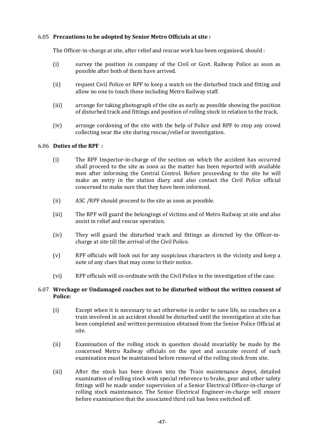# 6.05 **Precautions to be adopted by Senior Metro Officials at site :**

The Officer-in-charge at site, after relief and rescue work has been organised, should :

- (i) survey the position in company of the Civil or Govt. Railway Police as soon as possible after both of them have arrived.
- (ii) request Civil Police or RPF to keep a watch on the disturbed track and fitting and allow no one to touch these including Metro Railway staff.
- (iii) arrange for taking photograph of the site as early as possible showing the position of disturbed track and fittings and position of rolling stock in relation to the track.
- (iv) arrange cordoning of the site with the help of Police and RPF to stop any crowd collecting near the site during rescue/relief or investigation.

### 6.06 **Duties of the RPF :**

- (i) The RPF Inspector-in-charge of the section on which the accident has occurred shall proceed to the site as soon as the matter has been reported with available men after informing the Central Control. Before proceeding to the site he will make an entry in the station diary and also contact the Civil Police official concerned to make sure that they have been informed.
- (ii) ASC /RPF should proceed to the site as soon as possible.
- (iii) The RPF will guard the belongings of victims and of Metro Railway at site and also assist in relief and rescue operation.
- (iv) They will guard the disturbed track and fittings as directed by the Officer-incharge at site till the arrival of the Civil Police.
- (v) RPF officials will look out for any suspicious characters in the vicinity and keep a note of any clues that may come to their notice.
- (vi) RPF officials will co-ordinate with the Civil Police in the investigation of the case.

### 6.07 **Wreckage or Undamaged coaches not to be disturbed without the written consent of Police:**

- (i) Except when it is necessary to act otherwise in order to save life, no coaches on a train involved in an accident should be disturbed until the investigation at site has been completed and written permission obtained from the Senior Police Official at site.
- (ii) Examination of the rolling stock in question should invariably be made by the concerned Metro Railway officials on the spot and accurate record of such examination must be maintained before removal of the rolling stock from site.
- (iii) After the stock has been drawn into the Train maintenance depot, detailed examination of rolling stock with special reference to brake, gear and other safety fittings will be made under supervision of a Senior Electrical Officer-in-charge of rolling stock maintenance. The Senior Electrical Engineer-in-charge will ensure before examination that the associated third rail has been switched off.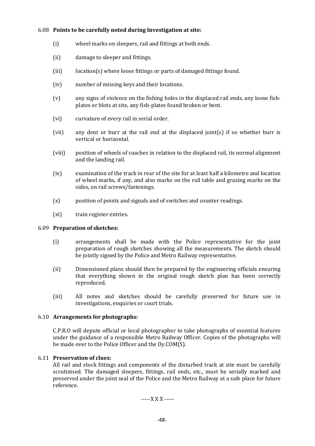# 6.08 **Points to be carefully noted during Investigation at site:**

- (i) wheel marks on sleepers, rail and fittings at both ends.
- (ii) damage to sleeper and fittings.
- (iii) location(s) where loose fittings or parts of damaged fittings found.
- (iv) number of missing keys and their locations.
- (v) any signs of violence on the fishing holes in the displaced rail ends, any loose fishplates or blots at site, any fish-plates found broken or bent.
- (vi) curvature of every rail in serial order.
- (vii) any dent or burr at the rail end at the displaced joint(s) if so whether burr is vertical or horizontal.
- (viii) position of wheels of coaches in relation to the displaced rail, its normal alignment and the landing rail.
- (ix) examination of the track in rear of the site for at least half a kilometre and location of wheel marks, if any, and also marks on the rail table and grazing marks on the sides, on rail screws/fastenings.
- (x) position of points and signals and of switches and counter readings.
- (xi) train register entries.

# 6.09 **Preparation of sketches:**

- (i) arrangements shall be made with the Police representative for the joint preparation of rough sketches showing all the measurements. The sketch should be jointly signed by the Police and Metro Railway representative.
- (ii) Dimensioned plans should then be prepared by the engineering officials ensuring that everything shown in the original rough sketch plan has been correctly reproduced.
- (iii) All notes and sketches should be carefully preserved for future use in investigations, enquiries or court trials.

# 6.10 **Arrangements for photographs:**

C.P.R.O will depute official or local photographer to take photographs of essential features under the guidance of a responsible Metro Railway Officer. Copies of the photographs will be made over to the Police Officer and the Dy.COM(S).

# 6.11 **Preservation of clues:**

All rail and stock fittings and components of the disturbed track at site must be carefully scrutinised. The damaged sleepers, fittings, rail ends, etc., must be serially marked and preserved under the joint seal of the Police and the Metro Railway at a safe place for future reference.

-----X X X -----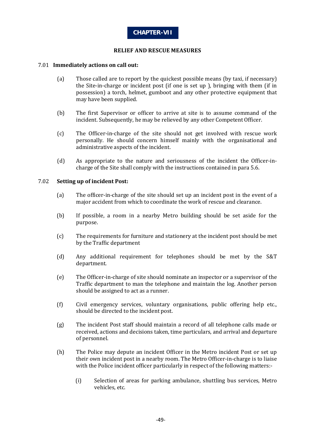

### **RELIEF AND RESCUE MEASURES**

### 7.01 **Immediately actions on call out:**

- (a) Those called are to report by the quickest possible means (by taxi, if necessary) the Site-in-charge or incident post (if one is set up ), bringing with them (if in possession) a torch, helmet, gumboot and any other protective equipment that may have been supplied.
- (b) The first Supervisor or officer to arrive at site is to assume command of the incident. Subsequently, he may be relieved by any other Competent Officer.
- (c) The Officer-in-charge of the site should not get involved with rescue work personally. He should concern himself mainly with the organisational and administrative aspects of the incident.
- (d) As appropriate to the nature and seriousness of the incident the Officer-incharge of the Site shall comply with the instructions contained in para 5.6.

#### 7.02 **Setting up of incident Post:**

- (a) The officer-in-charge of the site should set up an incident post in the event of a major accident from which to coordinate the work of rescue and clearance.
- (b) If possible, a room in a nearby Metro building should be set aside for the purpose.
- (c) The requirements for furniture and stationery at the incident post should be met by the Traffic department
- (d) Any additional requirement for telephones should be met by the S&T department.
- (e) The Officer-in-charge of site should nominate an inspector or a supervisor of the Traffic department to man the telephone and maintain the log. Another person should be assigned to act as a runner.
- (f) Civil emergency services, voluntary organisations, public offering help etc., should be directed to the incident post.
- (g) The incident Post staff should maintain a record of all telephone calls made or received, actions and decisions taken, time particulars, and arrival and departure of personnel.
- (h) The Police may depute an incident Officer in the Metro incident Post or set up their own incident post in a nearby room. The Metro Officer-in-charge is to liaise with the Police incident officer particularly in respect of the following matters:-
	- (i) Selection of areas for parking ambulance, shuttling bus services, Metro vehicles, etc.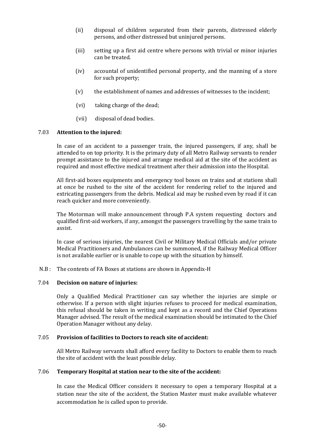- (ii) disposal of children separated from their parents, distressed elderly persons, and other distressed but uninjured persons.
- (iii) setting up a first aid centre where persons with trivial or minor injuries can be treated.
- (iv) accountal of unidentified personal property, and the manning of a store for such property;
- (v) the establishment of names and addresses of witnesses to the incident;
- (vi) taking charge of the dead;
- (vii) disposal of dead bodies.

#### 7.03 **Attention to the injured:**

In case of an accident to a passenger train, the injured passengers, if any, shall be attended to on top priority. It is the primary duty of all Metro Railway servants to render prompt assistance to the injured and arrange medical aid at the site of the accident as required and most effective medical treatment after their admission into the Hospital.

All first-aid boxes equipments and emergency tool boxes on trains and at stations shall at once be rushed to the site of the accident for rendering relief to the injured and extricating passengers from the debris. Medical aid may be rushed even by road if it can reach quicker and more conveniently.

The Motorman will make announcement through P.A system requesting doctors and qualified first-aid workers, if any, amongst the passengers travelling by the same train to assist.

In case of serious injuries, the nearest Civil or Military Medical Officials and/or private Medical Practitioners and Ambulances can be summoned, if the Railway Medical Officer is not available earlier or is unable to cope up with the situation by himself.

N.B : The contents of FA Boxes at stations are shown in Appendix-H

#### 7.04 **Decision on nature of injuries:**

Only a Qualified Medical Practitioner can say whether the injuries are simple or otherwise. If a person with slight injuries refuses to proceed for medical examination, this refusal should be taken in writing and kept as a record and the Chief Operations Manager advised. The result of the medical examination should be intimated to the Chief Operation Manager without any delay.

#### 7.05 **Provision of facilities to Doctors to reach site of accident:**

All Metro Railway servants shall afford every facility to Doctors to enable them to reach the site of accident with the least possible delay.

### 7.06 **Temporary Hospital at station near to the site of the accident:**

In case the Medical Officer considers it necessary to open a temporary Hospital at a station near the site of the accident, the Station Master must make available whatever accommodation he is called upon to provide.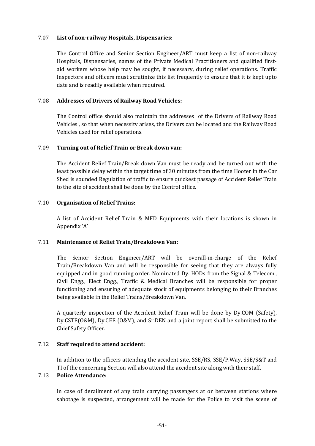# 7.07 **List of non-railway Hospitals, Dispensaries:**

The Control Office and Senior Section Engineer/ART must keep a list of non-railway Hospitals, Dispensaries, names of the Private Medical Practitioners and qualified firstaid workers whose help may be sought, if necessary, during relief operations. Traffic Inspectors and officers must scrutinize this list frequently to ensure that it is kept upto date and is readily available when required.

# 7.08 **Addresses of Drivers of Railway Road Vehicles:**

The Control office should also maintain the addresses of the Drivers of Railway Road Vehicles , so that when necessity arises, the Drivers can be located and the Railway Road Vehicles used for relief operations.

# 7.09 **Turning out of Relief Train or Break down van:**

The Accident Relief Train/Break down Van must be ready and be turned out with the least possible delay within the target time of 30 minutes from the time Hooter in the Car Shed is sounded Regulation of traffic to ensure quickest passage of Accident Relief Train to the site of accident shall be done by the Control office.

# 7.10 **Organisation of Relief Trains:**

A list of Accident Relief Train & MFD Equipments with their locations is shown in Appendix 'A'

# 7.11 **Maintenance of Relief Train/Breakdown Van:**

The Senior Section Engineer/ART will be overall-in-charge of the Relief Train/Breakdown Van and will be responsible for seeing that they are always fully equipped and in good running order. Nominated Dy. HODs from the Signal & Telecom., Civil Engg., Elect Engg., Traffic & Medical Branches will be responsible for proper functioning and ensuring of adequate stock of equipments belonging to their Branches being available in the Relief Trains/Breakdown Van.

A quarterly inspection of the Accident Relief Train will be done by Dy.COM (Safety), Dy.CSTE(O&M), Dy.CEE (O&M), and Sr.DEN and a joint report shall be submitted to the Chief Safety Officer.

# 7.12 **Staff required to attend accident:**

In addition to the officers attending the accident site, SSE/RS, SSE/P.Way, SSE/S&T and TI of the concerning Section will also attend the accident site along with their staff.

# 7.13 **Police Attendance:**

In case of derailment of any train carrying passengers at or between stations where sabotage is suspected, arrangement will be made for the Police to visit the scene of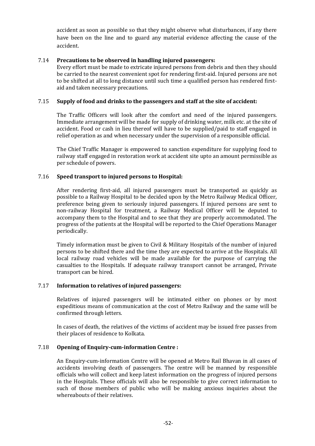accident as soon as possible so that they might observe what disturbances, if any there have been on the line and to guard any material evidence affecting the cause of the accident.

### 7.14 **Precautions to be observed in handling injured passengers:**

Every effort must be made to extricate injured persons from debris and then they should be carried to the nearest convenient spot for rendering first-aid. Injured persons are not to be shifted at all to long distance until such time a qualified person has rendered firstaid and taken necessary precautions.

### 7.15 **Supply of food and drinks to the passengers and staff at the site of accident:**

The Traffic Officers will look after the comfort and need of the injured passengers. Immediate arrangement will be made for supply of drinking water, milk etc. at the site of accident. Food or cash in lieu thereof will have to be supplied/paid to staff engaged in relief operation as and when necessary under the supervision of a responsible official.

The Chief Traffic Manager is empowered to sanction expenditure for supplying food to railway staff engaged in restoration work at accident site upto an amount permissible as per schedule of powers.

### 7.16 **Speed transport to injured persons to Hospital:**

After rendering first-aid, all injured passengers must be transported as quickly as possible to a Railway Hospital to be decided upon by the Metro Railway Medical Officer, preference being given to seriously injured passengers. If injured persons are sent to non-railway Hospital for treatment, a Railway Medical Officer will be deputed to accompany them to the Hospital and to see that they are properly accommodated. The progress of the patients at the Hospital will be reported to the Chief Operations Manager periodically.

Timely information must be given to Civil & Military Hospitals of the number of injured persons to be shifted there and the time they are expected to arrive at the Hospitals. All local railway road vehicles will be made available for the purpose of carrying the casualties to the Hospitals. If adequate railway transport cannot be arranged, Private transport can be hired.

#### 7.17 **Information to relatives of injured passengers:**

Relatives of injured passengers will be intimated either on phones or by most expeditious means of communication at the cost of Metro Railway and the same will be confirmed through letters.

In cases of death, the relatives of the victims of accident may be issued free passes from their places of residence to Kolkata.

### 7.18 **Opening of Enquiry-cum-information Centre :**

An Enquiry-cum-information Centre will be opened at Metro Rail Bhavan in all cases of accidents involving death of passengers. The centre will be manned by responsible officials who will collect and keep latest information on the progress of injured persons in the Hospitals. These officials will also be responsible to give correct information to such of those members of public who will be making anxious inquiries about the whereabouts of their relatives.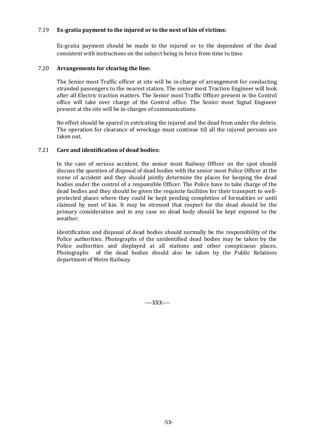# 7.19 **Ex-gratia payment to the injured or to the next of kin of victims:**

Ex-gratia payment should be made to the injured or to the dependent of the dead consistent with instructions on the subject being in force from time to time.

### 7.20 **Arrangements for clearing the line:**

The Senior most Traffic officer at site will be in-charge of arrangement for conducting stranded passengers to the nearest station. The senior most Traction Engineer will look after all Electric traction matters. The Senior most Traffic Officer present in the Control office will take over charge of the Control office. The Senior most Signal Engineer present at the site will be in-charges of communications.

No effort should be spared in extricating the injured and the dead from under the debris. The operation for clearance of wreckage must continue till all the injured persons are taken out.

### 7.21 **Care and identification of dead bodies:**

In the case of serious accident, the senior most Railway Officer on the spot should discuss the question of disposal of dead bodies with the senior most Police Officer at the scene of accident and they should jointly determine the places for keeping the dead bodies under the control of a responsible Officer. The Police have to take charge of the dead bodies and they should be given the requisite facilities for their transport to wellprotected places where they could be kept pending completion of formalities or until claimed by next of kin. It may be stressed that respect for the dead should be the primary consideration and in any case no dead body should be kept exposed to the weather.

Identification and disposal of dead bodies should normally be the responsibility of the Police authorities. Photographs of the unidentified dead bodies may be taken by the Police authorities and displayed at all stations and other conspicuous places. Photographs of the dead bodies should also be taken by the Public Relations department of Metro Railway.

----XXX----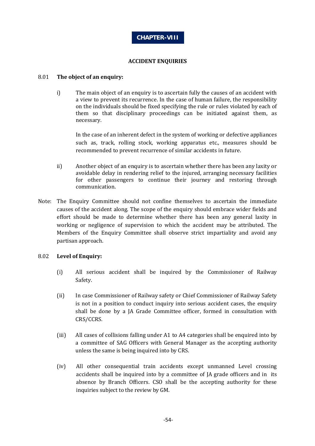

### **ACCIDENT ENQUIRIES**

### 8.01 **The object of an enquiry:**

i) The main object of an enquiry is to ascertain fully the causes of an accident with a view to prevent its recurrence. In the case of human failure, the responsibility on the individuals should be fixed specifying the rule or rules violated by each of them so that disciplinary proceedings can be initiated against them, as necessary.

In the case of an inherent defect in the system of working or defective appliances such as, track, rolling stock, working apparatus etc., measures should be recommended to prevent recurrence of similar accidents in future.

- ii) Another object of an enquiry is to ascertain whether there has been any laxity or avoidable delay in rendering relief to the injured, arranging necessary facilities for other passengers to continue their journey and restoring through communication.
- Note: The Enquiry Committee should not confine themselves to ascertain the immediate causes of the accident along. The scope of the enquiry should embrace wider fields and effort should be made to determine whether there has been any general laxity in working or negligence of supervision to which the accident may be attributed. The Members of the Enquiry Committee shall observe strict impartiality and avoid any partisan approach.

# 8.02 **Level of Enquiry:**

- (i) All serious accident shall be inquired by the Commissioner of Railway Safety.
- (ii) In case Commissioner of Railway safety or Chief Commissioner of Railway Safety is not in a position to conduct inquiry into serious accident cases, the enquiry shall be done by a JA Grade Committee officer, formed in consultation with CRS/CCRS.
- (iii) All cases of collisions falling under A1 to A4 categories shall be enquired into by a committee of SAG Officers with General Manager as the accepting authority unless the same is being inquired into by CRS.
- (iv) All other consequential train accidents except unmanned Level crossing accidents shall be inquired into by a committee of JA grade officers and in its absence by Branch Officers. CSO shall be the accepting authority for these inquiries subject to the review by GM.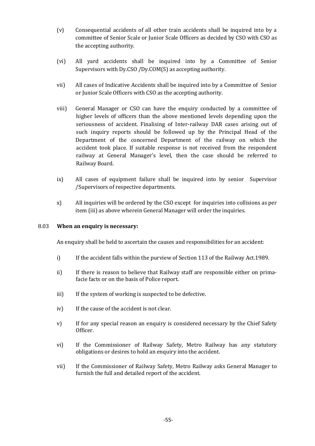- (v) Consequential accidents of all other train accidents shall be inquired into by a committee of Senior Scale or Junior Scale Officers as decided by CSO with CSO as the accepting authority.
- (vi) All yard accidents shall be inquired into by a Committee of Senior Supervisors with Dy.CSO /Dy.COM(S) as accepting authority.
- vii) All cases of Indicative Accidents shall be inquired into by a Committee of Senior or Junior Scale Officers with CSO as the accepting authority.
- viii) General Manager or CSO can have the enquiry conducted by a committee of higher levels of officers than the above mentioned levels depending upon the seriousness of accident. Finalising of Inter-railway DAR cases arising out of such inquiry reports should be followed up by the Principal Head of the Department of the concerned Department of the railway on which the accident took place. If suitable response is not received from the respondent railway at General Manager's level, then the case should be referred to Railway Board.
- ix) All cases of equipment failure shall be inquired into by senior Supervisor /Supervisors of respective departments.
- x) All inquiries will be ordered by the CSO except for inquiries into collisions as per item (iii) as above wherein General Manager will order the inquiries.

# 8.03 **When an enquiry is necessary:**

An enquiry shall be held to ascertain the causes and responsibilities for an accident:

- i) If the accident falls within the purview of Section 113 of the Railway Act.1989.
- ii) If there is reason to believe that Railway staff are responsible either on primafacie facts or on the basis of Police report.
- iii) If the system of working is suspected to be defective.
- iv) If the cause of the accident is not clear.
- v) If for any special reason an enquiry is considered necessary by the Chief Safety Officer.
- vi) If the Commissioner of Railway Safety, Metro Railway has any statutory obligations or desires to hold an enquiry into the accident.
- vii) If the Commissioner of Railway Safety, Metro Railway asks General Manager to furnish the full and detailed report of the accident.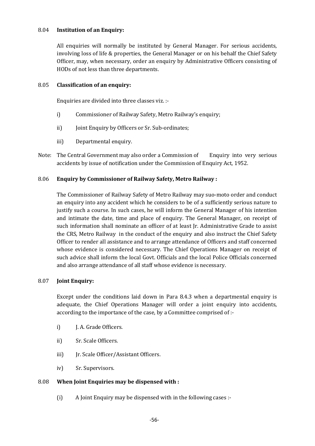## 8.04 **Institution of an Enquiry:**

All enquiries will normally be instituted by General Manager. For serious accidents, involving loss of life & properties, the General Manager or on his behalf the Chief Safety Officer, may, when necessary, order an enquiry by Administrative Officers consisting of HODs of not less than three departments.

### 8.05 **Classification of an enquiry:**

Enquiries are divided into three classes viz. :-

- i) Commissioner of Railway Safety, Metro Railway's enquiry;
- ii) Joint Enquiry by Officers or Sr. Sub-ordinates;
- iii) Departmental enquiry.
- Note: The Central Government may also order a Commission of Enquiry into very serious accidents by issue of notification under the Commission of Enquiry Act, 1952.

### 8.06 **Enquiry by Commissioner of Railway Safety, Metro Railway :**

The Commissioner of Railway Safety of Metro Railway may suo-moto order and conduct an enquiry into any accident which he considers to be of a sufficiently serious nature to justify such a course. In such cases, he will inform the General Manager of his intention and intimate the date, time and place of enquiry. The General Manager, on receipt of such information shall nominate an officer of at least Jr. Administrative Grade to assist the CRS, Metro Railway in the conduct of the enquiry and also instruct the Chief Safety Officer to render all assistance and to arrange attendance of Officers and staff concerned whose evidence is considered necessary. The Chief Operations Manager on receipt of such advice shall inform the local Govt. Officials and the local Police Officials concerned and also arrange attendance of all staff whose evidence is necessary.

#### 8.07 **Joint Enquiry:**

Except under the conditions laid down in Para 8.4.3 when a departmental enquiry is adequate, the Chief Operations Manager will order a joint enquiry into accidents, according to the importance of the case, by a Committee comprised of :-

- i) J. A. Grade Officers.
- ii) Sr. Scale Officers.
- iii) Jr. Scale Officer/Assistant Officers.
- iv) Sr. Supervisors.

#### 8.08 **When Joint Enquiries may be dispensed with :**

(i) A Joint Enquiry may be dispensed with in the following cases :-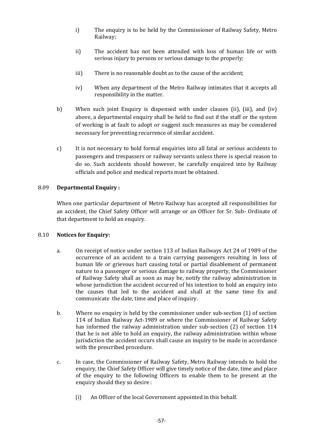- i) The enquiry is to be held by the Commissioner of Railway Safety, Metro Railway;
- ii) The accident has not been attended with loss of human life or with serious injury to persons or serious damage to the properly;
- iii) There is no reasonable doubt as to the cause of the accident;
- iv) When any department of the Metro Railway intimates that it accepts all responsibility in the matter.
- b) When such joint Enquiry is dispensed with under clauses (ii), (iii), and (iv) above, a departmental enquiry shall be held to find out if the staff or the system of working is at fault to adopt or suggest such measures as may be considered necessary for preventing recurrence of similar accident.
- c) It is not necessary to hold formal enquiries into all fatal or serious accidents to passengers and trespassers or railway servants unless there is special reason to do so. Such accidents should however, be carefully enquired into by Railway officials and police and medical reports must be obtained.

# 8.09 **Departmental Enquiry :**

When one particular department of Metro Railway has accepted all responsibilities for an accident, the Chief Safety Officer will arrange or an Officer for Sr. Sub- Ordinate of that department to hold an enquiry.

# 8.10 **Notices for Enquiry:**

- a. On receipt of notice under section 113 of Indian Railways Act 24 of 1989 of the occurrence of an accident to a train carrying passengers resulting in loss of human life or grievous hurt causing total or partial disablement of permanent nature to a passenger or serious damage to railway property, the Commissioner of Railway Safety shall as soon as may be, notify the railway administration in whose jurisdiction the accident occurred of his intention to hold an enquiry into the causes that led to the accident and shall at the same time fix and communicate the date, time and place of inquiry.
- b. Where no enquiry is held by the commissioner under sub-section (1) of section 114 of Indian Railway Act-1989 or where the Commissioner of Railway Safety has informed the railway administration under sub-section (2) of section 114 that he is not able to hold an enquiry, the railway administration within whose jurisdiction the accident occurs shall cause an inquiry to be made in accordance with the prescribed procedure.
- c. In case, the Commissioner of Railway Safety, Metro Railway intends to hold the enquiry, the Chief Safety Officer will give timely notice of the date, time and place of the enquiry to the following Officers to enable them to be present at the enquiry should they so desire :
	- (i) An Officer of the local Government appointed in this behalf.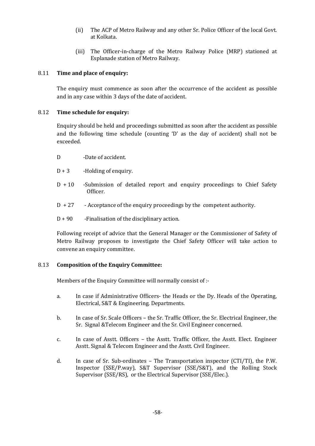- (ii) The ACP of Metro Railway and any other Sr. Police Officer of the local Govt. at Kolkata.
- (iii) The Officer-in-charge of the Metro Railway Police (MRP) stationed at Esplanade station of Metro Railway.

# 8.11 **Time and place of enquiry:**

The enquiry must commence as soon after the occurrence of the accident as possible and in any case within 3 days of the date of accident.

# 8.12 **Time schedule for enquiry:**

Enquiry should be held and proceedings submitted as soon after the accident as possible and the following time schedule (counting 'D' as the day of accident) shall not be exceeded.

- D -Date of accident.
- $D + 3$  -Holding of enquiry.
- D + 10 -Submission of detailed report and enquiry proceedings to Chief Safety Officer.
- D + 27 Acceptance of the enquiry proceedings by the competent authority.
- $D + 90$  -Finalisation of the disciplinary action.

Following receipt of advice that the General Manager or the Commissioner of Safety of Metro Railway proposes to investigate the Chief Safety Officer will take action to convene an enquiry committee.

# 8.13 **Composition of the Enquiry Committee:**

Members of the Enquiry Committee will normally consist of :-

- a. In case if Administrative Officers- the Heads or the Dy. Heads of the Operating, Electrical, S&T & Engineering. Departments.
- b. In case of Sr. Scale Officers the Sr. Traffic Officer, the Sr. Electrical Engineer, the Sr. Signal &Telecom Engineer and the Sr. Civil Engineer concerned.
- c. In case of Asstt. Officers the Asstt. Traffic Officer, the Asstt. Elect. Engineer Asstt. Signal & Telecom Engineer and the Asstt. Civil Engineer.
- d. In case of Sr. Sub-ordinates The Transportation inspector (CTI/TI), the P.W. Inspector (SSE/P.way), S&T Supervisor (SSE/S&T), and the Rolling Stock Supervisor (SSE/RS), or the Electrical Supervisor (SSE/Elec.).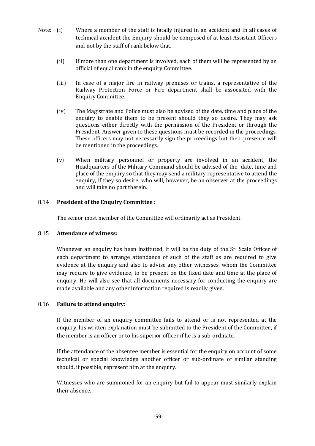- Note: (i) Where a member of the staff is fatally injured in an accident and in all cases of technical accident the Enquiry should be composed of at least Assistant Officers and not by the staff of rank below that.
	- (ii) If more than one department is involved, each of them will be represented by an official of equal rank in the enquiry Committee.
	- (iii) In case of a major fire in railway premises or trains, a representative of the Railway Protection Force or Fire department shall be associated with the Enquiry Committee.
	- (iv) The Magistrate and Police must also be advised of the date, time and place of the enquiry to enable them to be present should they so desire. They may ask questions either directly with the permission of the President or through the President. Answer given to these questions must be recorded in the proceedings. These officers may not necessarily sign the proceedings but their presence will be mentioned in the proceedings.
	- (v) When military personnel or property are involved in an accident, the Headquarters of the Military Command should be advised of the date, time and place of the enquiry so that they may send a military representative to attend the enquiry, if they so desire, who will, however, be an observer at the proceedings and will take no part therein.

# 8.14 **President of the Enquiry Committee :**

The senior most member of the Committee will ordinarily act as President.

# 8.15 **Attendance of witness:**

Whenever an enquiry has been instituted, it will be the duty of the Sr. Scale Officer of each department to arrange attendance of such of the staff as are required to give evidence at the enquiry and also to advise any other witnesses, whom the Committee may require to give evidence, to be present on the fixed date and time at the place of enquiry. He will also see that all documents necessary for conducting the enquiry are made available and any other information required is readily given.

# 8.16 **Failure to attend enquiry:**

If the member of an enquiry committee fails to attend or is not represented at the enquiry, his written explanation must be submitted to the President of the Committee, if the member is an officer or to his superior officer if he is a sub-ordinate.

If the attendance of the absentee member is essential for the enquiry on account of some technical or special knowledge another officer or sub-ordinate of similar standing should, if possible, represent him at the enquiry.

Witnesses who are summoned for an enquiry but fail to appear must similarly explain their absence.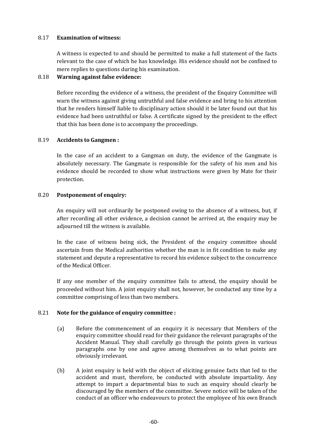## 8.17 **Examination of witness:**

A witness is expected to and should be permitted to make a full statement of the facts relevant to the case of which he has knowledge. His evidence should not be confined to mere replies to questions during his examination.

### 8.18 **Warning against false evidence:**

Before recording the evidence of a witness, the president of the Enquiry Committee will warn the witness against giving untruthful and false evidence and bring to his attention that he renders himself liable to disciplinary action should it be later found out that his evidence had been untruthful or false. A certificate signed by the president to the effect that this has been done is to accompany the proceedings.

### 8.19 **Accidents to Gangmen :**

In the case of an accident to a Gangman on duty, the evidence of the Gangmate is absolutely necessary. The Gangmate is responsible for the safety of his men and his evidence should be recorded to show what instructions were given by Mate for their protection.

### 8.20 **Postponement of enquiry:**

An enquiry will not ordinarily be postponed owing to the absence of a witness, but, if after recording all other evidence, a decision cannot be arrived at, the enquiry may be adjourned till the witness is available.

In the case of witness being sick, the President of the enquiry committee should ascertain from the Medical authorities whether the man is in fit condition to make any statement and depute a representative to record his evidence subject to the concurrence of the Medical Officer.

If any one member of the enquiry committee fails to attend, the enquiry should be proceeded without him. A joint enquiry shall not, however, be conducted any time by a committee comprising of less than two members.

#### 8.21 **Note for the guidance of enquiry committee :**

- (a) Before the commencement of an enquiry it is necessary that Members of the enquiry committee should read for their guidance the relevant paragraphs of the Accident Manual. They shall carefully go through the points given in various paragraphs one by one and agree among themselves as to what points are obviously irrelevant.
- (b) A joint enquiry is held with the object of eliciting genuine facts that led to the accident and must, therefore, be conducted with absolute impartiality. Any attempt to impart a departmental bias to such an enquiry should clearly be discouraged by the members of the committee. Severe notice will be taken of the conduct of an officer who endeavours to protect the employee of his own Branch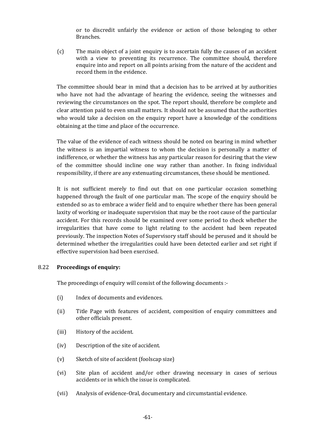or to discredit unfairly the evidence or action of those belonging to other Branches.

(c) The main object of a joint enquiry is to ascertain fully the causes of an accident with a view to preventing its recurrence. The committee should, therefore enquire into and report on all points arising from the nature of the accident and record them in the evidence.

The committee should bear in mind that a decision has to be arrived at by authorities who have not had the advantage of hearing the evidence, seeing the witnesses and reviewing the circumstances on the spot. The report should, therefore be complete and clear attention paid to even small matters. It should not be assumed that the authorities who would take a decision on the enquiry report have a knowledge of the conditions obtaining at the time and place of the occurrence.

The value of the evidence of each witness should be noted on bearing in mind whether the witness is an impartial witness to whom the decision is personally a matter of indifference, or whether the witness has any particular reason for desiring that the view of the committee should incline one way rather than another. In fixing individual responsibility, if there are any extenuating circumstances, these should be mentioned.

It is not sufficient merely to find out that on one particular occasion something happened through the fault of one particular man. The scope of the enquiry should be extended so as to embrace a wider field and to enquire whether there has been general laxity of working or inadequate supervision that may be the root cause of the particular accident. For this records should be examined over some period to check whether the irregularities that have come to light relating to the accident had been repeated previously. The inspection Notes of Supervisory staff should be perused and it should be determined whether the irregularities could have been detected earlier and set right if effective supervision had been exercised.

# 8.22 **Proceedings of enquiry:**

The proceedings of enquiry will consist of the following documents :-

- (i) Index of documents and evidences.
- (ii) Title Page with features of accident, composition of enquiry committees and other officials present.
- (iii) History of the accident.
- (iv) Description of the site of accident.
- (v) Sketch of site of accident (foolscap size)
- (vi) Site plan of accident and/or other drawing necessary in cases of serious accidents or in which the issue is complicated.
- (vii) Analysis of evidence-Oral, documentary and circumstantial evidence.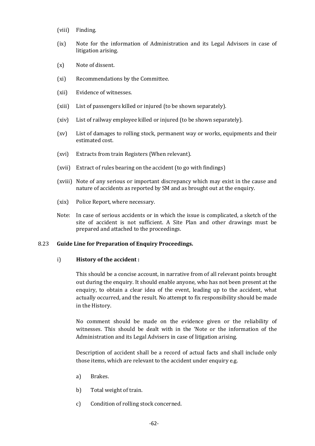- (viii) Finding.
- (ix) Note for the information of Administration and its Legal Advisors in case of litigation arising.
- (x) Note of dissent.
- (xi) Recommendations by the Committee.
- (xii) Evidence of witnesses.
- (xiii) List of passengers killed or injured (to be shown separately).
- (xiv) List of railway employee killed or injured (to be shown separately).
- (xv) List of damages to rolling stock, permanent way or works, equipments and their estimated cost.
- (xvi) Extracts from train Registers (When relevant).
- (xvii) Extract of rules bearing on the accident (to go with findings)
- (xviii) Note of any serious or important discrepancy which may exist in the cause and nature of accidents as reported by SM and as brought out at the enquiry.
- (xix) Police Report, where necessary.
- Note: In case of serious accidents or in which the issue is complicated, a sketch of the site of accident is not sufficient. A Site Plan and other drawings must be prepared and attached to the proceedings.

#### 8.23 **Guide Line for Preparation of Enquiry Proceedings.**

#### i) **History of the accident :**

This should be a concise account, in narrative from of all relevant points brought out during the enquiry. It should enable anyone, who has not been present at the enquiry, to obtain a clear idea of the event, leading up to the accident, what actually occurred, and the result. No attempt to fix responsibility should be made in the History.

No comment should be made on the evidence given or the reliability of witnesses. This should be dealt with in the 'Note or the information of the Administration and its Legal Advisers in case of litigation arising.

Description of accident shall be a record of actual facts and shall include only those items, which are relevant to the accident under enquiry e.g.

- a) Brakes.
- b) Total weight of train.
- c) Condition of rolling stock concerned.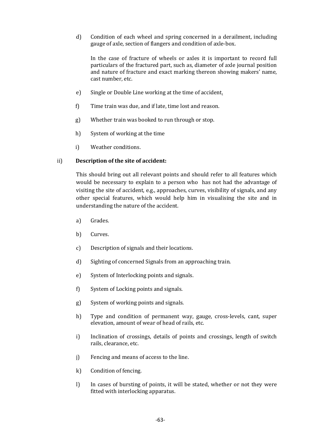d) Condition of each wheel and spring concerned in a derailment, including gauge of axle, section of flangers and condition of axle-box.

In the case of fracture of wheels or axles it is important to record full particulars of the fractured part, such as, diameter of axle journal position and nature of fracture and exact marking thereon showing makers' name, cast number, etc.

- e) Single or Double Line working at the time of accident.
- f) Time train was due, and if late, time lost and reason.
- g) Whether train was booked to run through or stop.
- h) System of working at the time
- i) Weather conditions.

### ii) **Description of the site of accident:**

This should bring out all relevant points and should refer to all features which would be necessary to explain to a person who has not had the advantage of visiting the site of accident, e.g., approaches, curves, visibility of signals, and any other special features, which would help him in visualising the site and in understanding the nature of the accident.

- a) Grades.
- b) Curves.
- c) Description of signals and their locations.
- d) Sighting of concerned Signals from an approaching train.
- e) System of Interlocking points and signals.
- f) System of Locking points and signals.
- g) System of working points and signals.
- h) Type and condition of permanent way, gauge, cross-levels, cant, super elevation, amount of wear of head of rails, etc.
- i) Inclination of crossings, details of points and crossings, length of switch rails, clearance, etc.
- j) Fencing and means of access to the line.
- k) Condition of fencing.
- l) In cases of bursting of points, it will be stated, whether or not they were fitted with interlocking apparatus.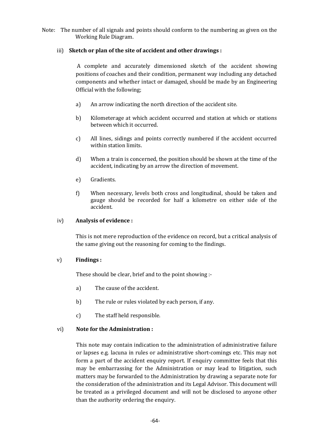Note: The number of all signals and points should conform to the numbering as given on the Working Rule Diagram.

# iii) **Sketch or plan of the site of accident and other drawings :**

A complete and accurately dimensioned sketch of the accident showing positions of coaches and their condition, permanent way including any detached components and whether intact or damaged, should be made by an Engineering Official with the following;

- a) An arrow indicating the north direction of the accident site.
- b) Kilometerage at which accident occurred and station at which or stations between which it occurred.
- c) All lines, sidings and points correctly numbered if the accident occurred within station limits.
- d) When a train is concerned, the position should be shown at the time of the accident, indicating by an arrow the direction of movement.
- e) Gradients.
- f) When necessary, levels both cross and longitudinal, should be taken and gauge should be recorded for half a kilometre on either side of the accident.

#### iv) **Analysis of evidence :**

This is not mere reproduction of the evidence on record, but a critical analysis of the same giving out the reasoning for coming to the findings.

#### v) **Findings :**

These should be clear, brief and to the point showing :-

- a) The cause of the accident.
- b) The rule or rules violated by each person, if any.
- c) The staff held responsible.

#### vi) **Note for the Administration :**

This note may contain indication to the administration of administrative failure or lapses e.g. lacuna in rules or administrative short-comings etc. This may not form a part of the accident enquiry report. If enquiry committee feels that this may be embarrassing for the Administration or may lead to litigation, such matters may be forwarded to the Administration by drawing a separate note for the consideration of the administration and its Legal Advisor. This document will be treated as a privileged document and will not be disclosed to anyone other than the authority ordering the enquiry.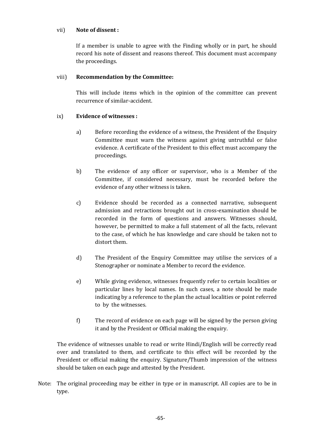#### vii) **Note of dissent :**

If a member is unable to agree with the Finding wholly or in part, he should record his note of dissent and reasons thereof. This document must accompany the proceedings.

# viii) **Recommendation by the Committee:**

This will include items which in the opinion of the committee can prevent recurrence of similar-accident.

# ix) **Evidence of witnesses :**

- a) Before recording the evidence of a witness, the President of the Enquiry Committee must warn the witness against giving untruthful or false evidence. A certificate of the President to this effect must accompany the proceedings.
- b) The evidence of any officer or supervisor, who is a Member of the Committee, if considered necessary, must be recorded before the evidence of any other witness is taken.
- c) Evidence should be recorded as a connected narrative, subsequent admission and retractions brought out in cross-examination should be recorded in the form of questions and answers. Witnesses should, however, be permitted to make a full statement of all the facts, relevant to the case, of which he has knowledge and care should be taken not to distort them.
- d) The President of the Enquiry Committee may utilise the services of a Stenographer or nominate a Member to record the evidence.
- e) While giving evidence, witnesses frequently refer to certain localities or particular lines by local names. In such cases, a note should be made indicating by a reference to the plan the actual localities or point referred to by the witnesses.
- f) The record of evidence on each page will be signed by the person giving it and by the President or Official making the enquiry.

The evidence of witnesses unable to read or write Hindi/English will be correctly read over and translated to them, and certificate to this effect will be recorded by the President or official making the enquiry. Signature/Thumb impression of the witness should be taken on each page and attested by the President.

Note: The original proceeding may be either in type or in manuscript. All copies are to be in type.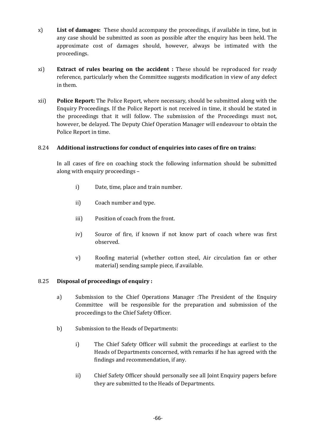- x) **List of damages:** These should accompany the proceedings, if available in time, but in any case should be submitted as soon as possible after the enquiry has been held. The approximate cost of damages should, however, always be intimated with the proceedings.
- xi) **Extract of rules bearing on the accident :** These should be reproduced for ready reference, particularly when the Committee suggests modification in view of any defect in them.
- xii) **Police Report:** The Police Report, where necessary, should be submitted along with the Enquiry Proceedings. If the Police Report is not received in time, it should be stated in the proceedings that it will follow. The submission of the Proceedings must not, however, be delayed. The Deputy Chief Operation Manager will endeavour to obtain the Police Report in time.

# 8.24 **Additional instructions for conduct of enquiries into cases of fire on trains:**

In all cases of fire on coaching stock the following information should be submitted along with enquiry proceedings –

- i) Date, time, place and train number.
- ii) Coach number and type.
- iii) Position of coach from the front.
- iv) Source of fire, if known if not know part of coach where was first observed.
- v) Roofing material (whether cotton steel, Air circulation fan or other material) sending sample piece, if available.

#### 8.25 **Disposal of proceedings of enquiry :**

- a) Submission to the Chief Operations Manager :The President of the Enquiry Committee will be responsible for the preparation and submission of the proceedings to the Chief Safety Officer.
- b) Submission to the Heads of Departments:
	- i) The Chief Safety Officer will submit the proceedings at earliest to the Heads of Departments concerned, with remarks if he has agreed with the findings and recommendation, if any.
	- ii) Chief Safety Officer should personally see all Joint Enquiry papers before they are submitted to the Heads of Departments.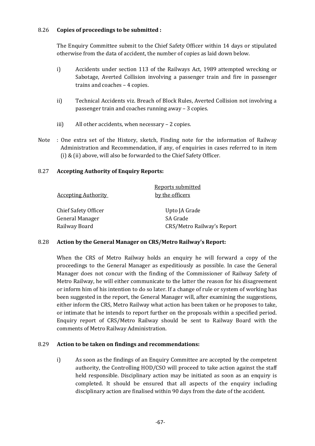# 8.26 **Copies of proceedings to be submitted :**

The Enquiry Committee submit to the Chief Safety Officer within 14 days or stipulated otherwise from the data of accident, the number of copies as laid down below.

- i) Accidents under section 113 of the Railways Act, 1989 attempted wrecking or Sabotage, Averted Collision involving a passenger train and fire in passenger trains and coaches – 4 copies.
- ii) Technical Accidents viz. Breach of Block Rules, Averted Collision not involving a passenger train and coaches running away – 3 copies.
- iii) All other accidents, when necessary 2 copies.
- Note : One extra set of the History, sketch, Finding note for the information of Railway Administration and Recommendation, if any, of enquiries in cases referred to in item (i) & (ii) above, will also be forwarded to the Chief Safety Officer.

# 8.27 **Accepting Authority of Enquiry Reports:**

|                            | Reports submitted          |
|----------------------------|----------------------------|
| <b>Accepting Authority</b> | by the officers            |
| Chief Safety Officer       | Upto JA Grade              |
| General Manager            | SA Grade                   |
| Railway Board              | CRS/Metro Railway's Report |

#### 8.28 **Action by the General Manager on CRS/Metro Railway's Report:**

When the CRS of Metro Railway holds an enquiry he will forward a copy of the proceedings to the General Manager as expeditiously as possible. In case the General Manager does not concur with the finding of the Commissioner of Railway Safety of Metro Railway, he will either communicate to the latter the reason for his disagreement or inform him of his intention to do so later. If a change of rule or system of working has been suggested in the report, the General Manager will, after examining the suggestions, either inform the CRS, Metro Railway what action has been taken or he proposes to take, or intimate that he intends to report further on the proposals within a specified period. Enquiry report of CRS/Metro Railway should be sent to Railway Board with the comments of Metro Railway Administration.

#### 8.29 **Action to be taken on findings and recommendations:**

i) As soon as the findings of an Enquiry Committee are accepted by the competent authority, the Controlling HOD/CSO will proceed to take action against the staff held responsible. Disciplinary action may be initiated as soon as an enquiry is completed. It should be ensured that all aspects of the enquiry including disciplinary action are finalised within 90 days from the date of the accident.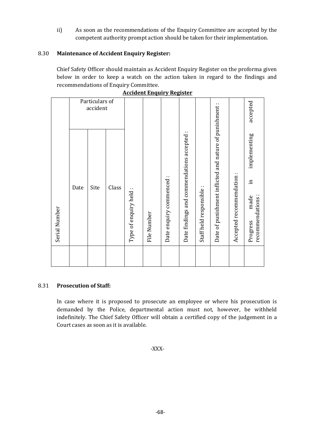ii) As soon as the recommendations of the Enquiry Committee are accepted by the competent authority prompt action should be taken for their implementation.

# 8.30 **Maintenance of Accident Enquiry Register:**

Chief Safety Officer should maintain as Accident Enquiry Register on the proforma given below in order to keep a watch on the action taken in regard to the findings and recommendations of Enquiry Committee.

|               | <u> Accident Engun y Register</u> |      |       |                        |             |                         |                                            |                          |                                                        |                         |                                   |
|---------------|-----------------------------------|------|-------|------------------------|-------------|-------------------------|--------------------------------------------|--------------------------|--------------------------------------------------------|-------------------------|-----------------------------------|
|               | Particulars of<br>accident        |      |       |                        |             |                         |                                            |                          | accepted                                               |                         |                                   |
|               |                                   |      |       |                        |             |                         |                                            |                          | ٠.                                                     | implementing            |                                   |
| Serial Number | Date                              | Site | Class | Type of enquiry held : | File Number | Date enquiry commenced: | Date findings and commendations accepted : | Staff held responsible : | Date of punishment inflicted and nature of punishment: | Accepted recommendation | $\Xi$<br>recommendations:<br>made |
|               |                                   |      |       |                        |             |                         |                                            |                          |                                                        |                         | Progress                          |

|  | <b>Accident Enguiry Register</b> |
|--|----------------------------------|
|  |                                  |

#### 8.31 **Prosecution of Staff:**

In case where it is proposed to prosecute an employee or where his prosecution is demanded by the Police, departmental action must not, however, be withheld indefinitely. The Chief Safety Officer will obtain a certified copy of the judgement in a Court cases as soon as it is available.

-XXX-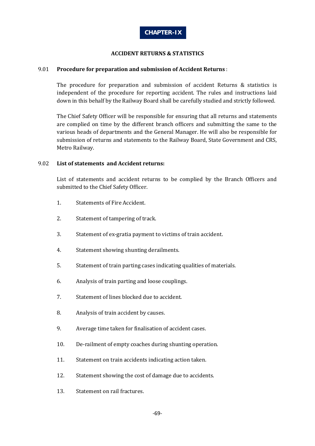

#### **ACCIDENT RETURNS & STATISTICS**

#### 9.01 **Procedure for preparation and submission of Accident Returns** :

The procedure for preparation and submission of accident Returns & statistics is independent of the procedure for reporting accident. The rules and instructions laid down in this behalf by the Railway Board shall be carefully studied and strictly followed.

The Chief Safety Officer will be responsible for ensuring that all returns and statements are complied on time by the different branch officers and submitting the same to the various heads of departments and the General Manager. He will also be responsible for submission of returns and statements to the Railway Board, State Government and CRS, Metro Railway.

#### 9.02 **List of statements and Accident returns:**

List of statements and accident returns to be complied by the Branch Officers and submitted to the Chief Safety Officer.

- 1. Statements of Fire Accident.
- 2. Statement of tampering of track.
- 3. Statement of ex-gratia payment to victims of train accident.
- 4. Statement showing shunting derailments.
- 5. Statement of train parting cases indicating qualities of materials.
- 6. Analysis of train parting and loose couplings.
- 7. Statement of lines blocked due to accident.
- 8. Analysis of train accident by causes.
- 9. Average time taken for finalisation of accident cases.
- 10. De-railment of empty coaches during shunting operation.
- 11. Statement on train accidents indicating action taken.
- 12. Statement showing the cost of damage due to accidents.
- 13. Statement on rail fractures.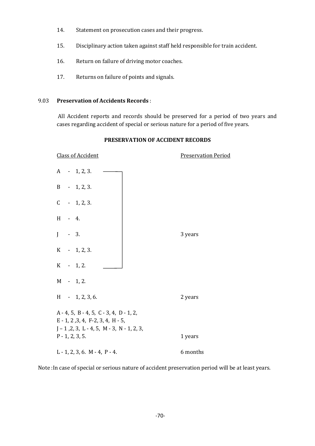- 14. Statement on prosecution cases and their progress.
- 15. Disciplinary action taken against staff held responsible for train accident.
- 16. Return on failure of driving motor coaches.
- 17. Returns on failure of points and signals.

#### 9.03 **Preservation of Accidents Records** :

All Accident reports and records should be preserved for a period of two years and cases regarding accident of special or serious nature for a period of five years.

| <b>Class of Accident</b>                                                                                                            | <b>Preservation Period</b> |
|-------------------------------------------------------------------------------------------------------------------------------------|----------------------------|
| $A - 1, 2, 3.$                                                                                                                      |                            |
| $B - 1, 2, 3.$                                                                                                                      |                            |
| $C - 1, 2, 3.$                                                                                                                      |                            |
| H - 4.                                                                                                                              |                            |
| $J - 3$ .                                                                                                                           | 3 years                    |
| $K - 1, 2, 3.$                                                                                                                      |                            |
| $K - 1, 2.$                                                                                                                         |                            |
| $M - 1, 2.$                                                                                                                         |                            |
| $H - 1, 2, 3, 6.$                                                                                                                   | 2 years                    |
| $A - 4$ , 5, B - 4, 5, C - 3, 4, D - 1, 2,<br>$E - 1, 2, 3, 4, F - 2, 3, 4, H - 5,$<br>$J - 1, 2, 3, L - 4, 5, M - 3, N - 1, 2, 3,$ |                            |
| $P - 1, 2, 3, 5.$                                                                                                                   | 1 years                    |
| $L - 1, 2, 3, 6$ . M - 4, P - 4.                                                                                                    | 6 months                   |

#### **PRESERVATION OF ACCIDENT RECORDS**

Note :In case of special or serious nature of accident preservation period will be at least years.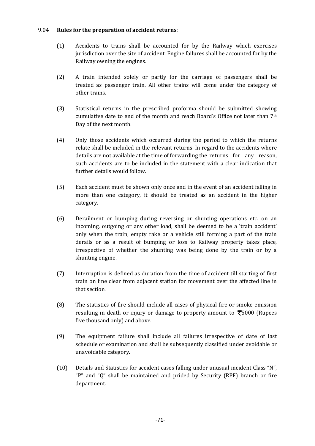#### 9.04 **Rules for the preparation of accident returns**:

- (1) Accidents to trains shall be accounted for by the Railway which exercises jurisdiction over the site of accident. Engine failures shall be accounted for by the Railway owning the engines.
- (2) A train intended solely or partly for the carriage of passengers shall be treated as passenger train. All other trains will come under the category of other trains.
- (3) Statistical returns in the prescribed proforma should be submitted showing cumulative date to end of the month and reach Board's Office not later than 7th Day of the next month.
- (4) Only those accidents which occurred during the period to which the returns relate shall be included in the relevant returns. In regard to the accidents where details are not available at the time of forwarding the returns for any reason, such accidents are to be included in the statement with a clear indication that further details would follow.
- (5) Each accident must be shown only once and in the event of an accident falling in more than one category, it should be treated as an accident in the higher category.
- (6) Derailment or bumping during reversing or shunting operations etc. on an incoming, outgoing or any other load, shall be deemed to be a 'train accident' only when the train, empty rake or a vehicle still forming a part of the train derails or as a result of bumping or loss to Railway property takes place, irrespective of whether the shunting was being done by the train or by a shunting engine.
- (7) Interruption is defined as duration from the time of accident till starting of first train on line clear from adjacent station for movement over the affected line in that section.
- (8) The statistics of fire should include all cases of physical fire or smoke emission resulting in death or injury or damage to property amount to  $\overline{\xi}5000$  (Rupees five thousand only) and above.
- (9) The equipment failure shall include all failures irrespective of date of last schedule or examination and shall be subsequently classified under avoidable or unavoidable category.
- (10) Details and Statistics for accident cases falling under unusual incident Class "N", "P" and "Q" shall be maintained and prided by Security (RPF) branch or fire department.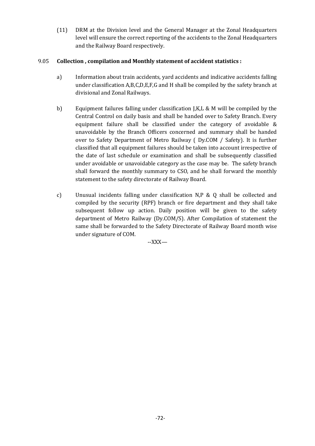(11) DRM at the Division level and the General Manager at the Zonal Headquarters level will ensure the correct reporting of the accidents to the Zonal Headquarters and the Railway Board respectively.

# 9.05 **Collection , compilation and Monthly statement of accident statistics :**

- a) Information about train accidents, yard accidents and indicative accidents falling under classification A,B,C,D,E,F,G and H shall be compiled by the safety branch at divisional and Zonal Railways.
- b) Equipment failures falling under classification J,K,L & M will be compiled by the Central Control on daily basis and shall be handed over to Safety Branch. Every equipment failure shall be classified under the category of avoidable & unavoidable by the Branch Officers concerned and summary shall be handed over to Safety Department of Metro Railway ( Dy.COM / Safety). It is further classified that all equipment failures should be taken into account irrespective of the date of last schedule or examination and shall be subsequently classified under avoidable or unavoidable category as the case may be. The safety branch shall forward the monthly summary to CSO, and he shall forward the monthly statement to the safety directorate of Railway Board.
- c) Unusual incidents falling under classification N,P & Q shall be collected and compiled by the security (RPF) branch or fire department and they shall take subsequent follow up action. Daily position will be given to the safety department of Metro Railway (Dy.COM/S). After Compilation of statement the same shall be forwarded to the Safety Directorate of Railway Board month wise under signature of COM.

--XXX—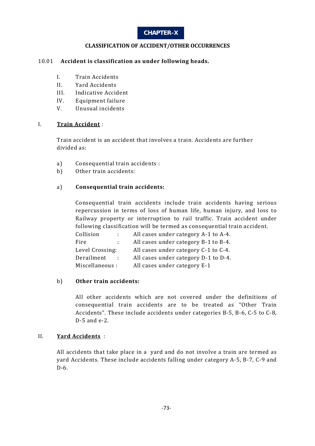# **CHAPTER-X**

# **CLASSIFICATION OF ACCIDENT/OTHER OCCURRENCES**

#### 10.01 **Accident is classification as under following heads.**

- I. Train Accidents
- II. Yard Accidents
- III. Indicative Accident
- IV. Equipment failure
- V. Unusual incidents

#### I. **Train Accident** :

Train accident is an accident that involves a train. Accidents are further divided as:

- a) Consequential train accidents :
- b) Other train accidents:

# a) **Consequential train accidents:**

Consequential train accidents include train accidents having serious repercussion in terms of loss of human life, human injury, and loss to Railway property or interruption to rail traffic. Train accident under following classification will be termed as consequential train accident.

| Collision       |    | All cases under category A-1 to A-4. |
|-----------------|----|--------------------------------------|
| Fire            | ÷. | All cases under category B-1 to B-4. |
| Level Crossing: |    | All cases under category C-1 to C-4. |
| Derailment      |    | All cases under category D-1 to D-4. |
| Miscellaneous:  |    | All cases under category E-1         |

#### b) **Other train accidents:**

All other accidents which are not covered under the definitions of consequential train accidents are to be treated as "Other Train Accidents". These include accidents under categories B-5, B-6, C-5 to C-8, D-5 and e-2.

#### II. **Yard Accidents** :

All accidents that take place in a yard and do not involve a train are termed as yard Accidents. These include accidents falling under category A-5, B-7, C-9 and D-6.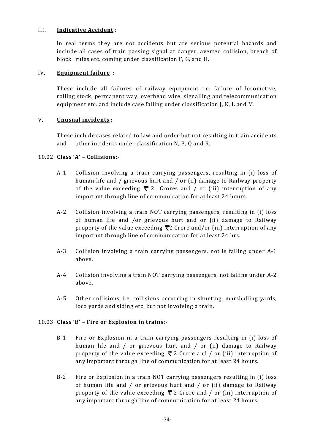# III. **Indicative Accident** :

In real terms they are not accidents but are serious potential hazards and include all cases of train passing signal at danger, averted collision, breach of block rules etc. coming under classification F, G, and H.

# IV. **Equipment failure :**

These include all failures of railway equipment i.e. failure of locomotive, rolling stock, permanent way, overhead wire, signalling and telecommunication equipment etc. and include case falling under classification J, K, L and M.

# V. **Unusual incidents :**

These include cases related to law and order but not resulting in train accidents and other incidents under classification N, P, Q and R.

# 10.02 **Class 'A' – Collisions:-**

- A-1 Collision involving a train carrying passengers, resulting in (i) loss of human life and / grievous hurt and / or (ii) damage to Railway property of the value exceeding  $\bar{\tau}$  2 Crores and / or (iii) interruption of any important through line of communication for at least 24 hours.
- A-2 Collision involving a train NOT carrying passengers, resulting in (i) loss of human life and /or grievous hurt and or (ii) damage to Railway property of the value exceeding  $\bar{\tau}$ 2 Crore and/or (iii) interruption of any important through line of communication for at least 24 hrs.
- A-3 Collision involving a train carrying passengers, not is falling under A-1 above.
- A-4 Collision involving a train NOT carrying passengers, not falling under A-2 above.
- A-5 Other collisions, i.e. collisions occurring in shunting, marshalling yards, loco yards and siding etc. but not involving a train.

#### 10.03 **Class 'B' – Fire or Explosion in trains:-**

- B-1 Fire or Explosion in a train carrying passengers resulting in (i) loss of human life and / or grievous hurt and / or (ii) damage to Railway property of the value exceeding  $\bar{\tau}$  2 Crore and / or (iii) interruption of any important through line of communication for at least 24 hours.
- B-2 Fire or Explosion in a train NOT carrying passengers resulting in (i) loss of human life and / or grievous hurt and / or (ii) damage to Railway property of the value exceeding  $\bar{\tau}$  2 Crore and / or (iii) interruption of any important through line of communication for at least 24 hours.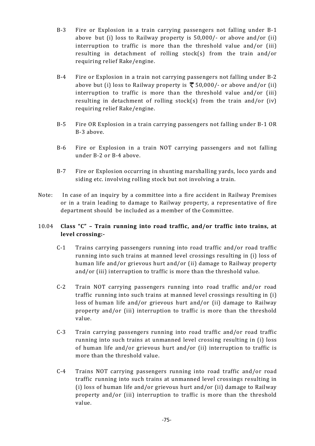- B-3 Fire or Explosion in a train carrying passengers not falling under B-1 above but (i) loss to Railway property is 50,000/- or above and/or (ii) interruption to traffic is more than the threshold value and/or (iii) resulting in detachment of rolling stock(s) from the train and/or requiring relief Rake/engine.
- B-4 Fire or Explosion in a train not carrying passengers not falling under B-2 above but (i) loss to Railway property is  $\bar{\mathcal{F}}$  50,000/- or above and/or (ii) interruption to traffic is more than the threshold value and/or (iii) resulting in detachment of rolling stock(s) from the train and/or (iv) requiring relief Rake/engine.
- B-5 Fire OR Explosion in a train carrying passengers not falling under B-1 OR B-3 above.
- B-6 Fire or Explosion in a train NOT carrying passengers and not falling under B-2 or B-4 above.
- B-7 Fire or Explosion occurring in shunting marshalling yards, loco yards and siding etc. involving rolling stock but not involving a train.
- Note: In case of an inquiry by a committee into a fire accident in Railway Premises or in a train leading to damage to Railway property, a representative of fire department should be included as a member of the Committee.

# 10.04 **Class "C" – Train running into road traffic, and/or traffic into trains, at level crossing:-**

- C-1 Trains carrying passengers running into road traffic and/or road traffic running into such trains at manned level crossings resulting in (i) loss of human life and/or grievous hurt and/or (ii) damage to Railway property and/or (iii) interruption to traffic is more than the threshold value.
- C-2 Train NOT carrying passengers running into road traffic and/or road traffic running into such trains at manned level crossings resulting in (i) loss of human life and/or grievous hurt and/or (ii) damage to Railway property and/or (iii) interruption to traffic is more than the threshold value.
- C-3 Train carrying passengers running into road traffic and/or road traffic running into such trains at unmanned level crossing resulting in (i) loss of human life and/or grievous hurt and/or (ii) interruption to traffic is more than the threshold value.
- C-4 Trains NOT carrying passengers running into road traffic and/or road traffic running into such trains at unmanned level crossings resulting in (i) loss of human life and/or grievous hurt and/or (ii) damage to Railway property and/or (iii) interruption to traffic is more than the threshold value.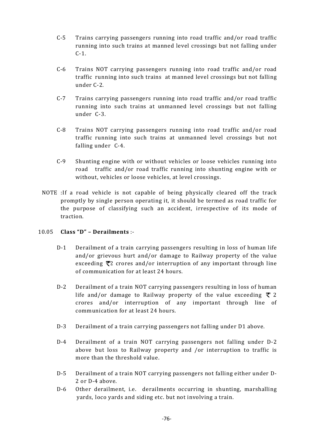- C-5 Trains carrying passengers running into road traffic and/or road traffic running into such trains at manned level crossings but not falling under C-1.
- C-6 Trains NOT carrying passengers running into road traffic and/or road traffic running into such trains at manned level crossings but not falling under C-2.
- C-7 Trains carrying passengers running into road traffic and/or road traffic running into such trains at unmanned level crossings but not falling under C-3.
- C-8 Trains NOT carrying passengers running into road traffic and/or road traffic running into such trains at unmanned level crossings but not falling under C-4.
- C-9 Shunting engine with or without vehicles or loose vehicles running into road traffic and/or road traffic running into shunting engine with or without, vehicles or loose vehicles, at level crossings.
- NOTE :If a road vehicle is not capable of being physically cleared off the track promptly by single person operating it, it should be termed as road traffic for the purpose of classifying such an accident, irrespective of its mode of traction.

# 10.05 **Class "D" – Derailments** :-

- D-1 Derailment of a train carrying passengers resulting in loss of human life and/or grievous hurt and/or damage to Railway property of the value exceeding  $\bar{\tau}$ 2 crores and/or interruption of any important through line of communication for at least 24 hours.
- D-2 Derailment of a train NOT carrying passengers resulting in loss of human life and/or damage to Railway property of the value exceeding  $\bar{\tau}$  2 crores and/or interruption of any important through line of communication for at least 24 hours.
- D-3 Derailment of a train carrying passengers not falling under D1 above.
- D-4 Derailment of a train NOT carrying passengers not falling under D-2 above but loss to Railway property and /or interruption to traffic is more than the threshold value.
- D-5 Derailment of a train NOT carrying passengers not falling either under D-2 or D-4 above.
- D-6 Other derailment, i.e. derailments occurring in shunting, marshalling yards, loco yards and siding etc. but not involving a train.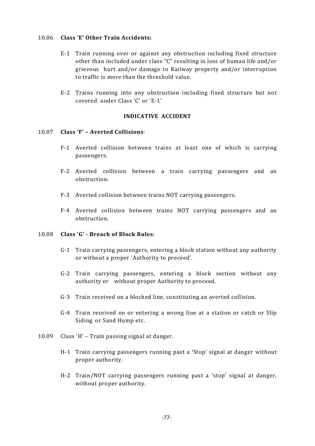#### 10.06 **Class 'E' Other Train Accidents:**

- E-1 Train running over or against any obstruction including fixed structure other than included under class "C" resulting in loss of human life and/or grievous hurt and/or damage to Railway property and/or interruption to traffic is more than the threshold value.
- E-2 Trains running into any obstruction including fixed structure but not covered under Class 'C' or 'E-1'

#### **INDICATIVE ACCIDENT**

#### 10.07 **Class 'F' – Averted Collisions**:

- F-1 Averted collision between trains at least one of which is carrying passengers.
- F-2 Averted collision between a train carrying passengers and an obstruction.
- F-3 Averted collision between trains NOT carrying passengers.
- F-4 Averted collision between trains NOT carrying passengers and an obstruction.

#### 10.08 **Class 'G' - Breach of Block Rules**:

- G-1 Train carrying passengers, entering a block station without any authority or without a proper 'Authority to proceed'.
- G-2 Train carrying passengers, entering a block section without any authority or without proper Authority to proceed.
- G-3 Train received on a blocked line, constituting an averted collision.
- G-4 Train received on or entering a wrong line at a station or catch or Slip Siding or Sand Hump etc.
- 10.09 Class 'H' Train passing signal at danger.
	- H-1 Train carrying passengers running past a 'Stop' signal at danger without proper authority.
	- H-2 Train/NOT carrying passengers running past a 'stop' signal at danger, without proper authority.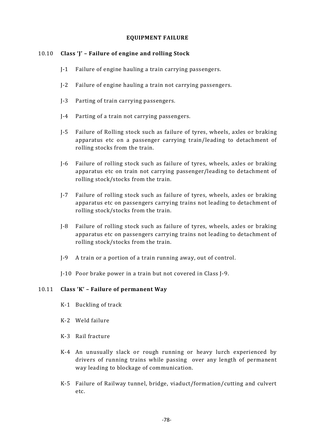#### **EQUIPMENT FAILURE**

# 10.10 **Class 'J' – Failure of engine and rolling Stock**

- J-1 Failure of engine hauling a train carrying passengers.
- J-2 Failure of engine hauling a train not carrying passengers.
- J-3 Parting of train carrying passengers.
- J-4 Parting of a train not carrying passengers.
- J-5 Failure of Rolling stock such as failure of tyres, wheels, axles or braking apparatus etc on a passenger carrying train/leading to detachment of rolling stocks from the train.
- J-6 Failure of rolling stock such as failure of tyres, wheels, axles or braking apparatus etc on train not carrying passenger/leading to detachment of rolling stock/stocks from the train.
- J-7 Failure of rolling stock such as failure of tyres, wheels, axles or braking apparatus etc on passengers carrying trains not leading to detachment of rolling stock/stocks from the train.
- J-8 Failure of rolling stock such as failure of tyres, wheels, axles or braking apparatus etc on passengers carrying trains not leading to detachment of rolling stock/stocks from the train.
- J-9 A train or a portion of a train running away, out of control.
- J-10 Poor brake power in a train but not covered in Class J-9.

#### 10.11 **Class 'K' – Failure of permanent Way**

- K-1 Buckling of track
- K-2 Weld failure
- K-3 Rail fracture
- K-4 An unusually slack or rough running or heavy lurch experienced by drivers of running trains while passing over any length of permanent way leading to blockage of communication.
- K-5 Failure of Railway tunnel, bridge, viaduct/formation/cutting and culvert etc.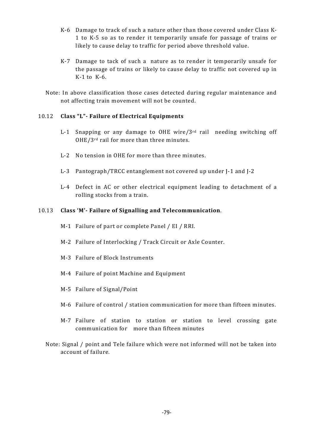- K-6 Damage to track of such a nature other than those covered under Class K-1 to K-5 so as to render it temporarily unsafe for passage of trains or likely to cause delay to traffic for period above threshold value.
- K-7 Damage to tack of such a nature as to render it temporarily unsafe for the passage of trains or likely to cause delay to traffic not covered up in K-1 to K-6.
- Note: In above classification those cases detected during regular maintenance and not affecting train movement will not be counted.

# 10.12 **Class "L"- Failure of Electrical Equipments**

- L-1 Snapping or any damage to OHE wire/ $3<sup>rd</sup>$  rail needing switching off OHE/3rd rail for more than three minutes.
- L-2 No tension in OHE for more than three minutes.
- L-3 Pantograph/TRCC entanglement not covered up under J-1 and J-2
- L-4 Defect in AC or other electrical equipment leading to detachment of a rolling stocks from a train.

# 10.13 **Class 'M'- Failure of Signalling and Telecommunication**.

- M-1 Failure of part or complete Panel / EI / RRI.
- M-2 Failure of Interlocking / Track Circuit or Axle Counter.
- M-3 Failure of Block Instruments
- M-4 Failure of point Machine and Equipment
- M-5 Failure of Signal/Point
- M-6 Failure of control / station communication for more than fifteen minutes.
- M-7 Failure of station to station or station to level crossing gate communication for more than fifteen minutes
- Note: Signal / point and Tele failure which were not informed will not be taken into account of failure.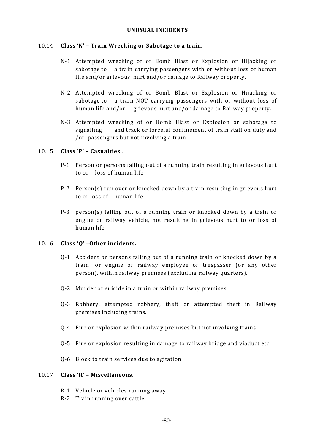#### **UNUSUAL INCIDENTS**

#### 10.14 **Class 'N' – Train Wrecking or Sabotage to a train.**

- N-1 Attempted wrecking of or Bomb Blast or Explosion or Hijacking or sabotage to a train carrying passengers with or without loss of human life and/or grievous hurt and/or damage to Railway property.
- N-2 Attempted wrecking of or Bomb Blast or Explosion or Hijacking or sabotage to a train NOT carrying passengers with or without loss of human life and/or grievous hurt and/or damage to Railway property.
- N-3 Attempted wrecking of or Bomb Blast or Explosion or sabotage to signalling and track or forceful confinement of train staff on duty and /or passengers but not involving a train.

#### 10.15 **Class 'P' – Casualties** .

- P-1 Person or persons falling out of a running train resulting in grievous hurt to or loss of human life.
- P-2 Person(s) run over or knocked down by a train resulting in grievous hurt to or loss of human life.
- P-3 person(s) falling out of a running train or knocked down by a train or engine or railway vehicle, not resulting in grievous hurt to or loss of human life.

#### 10.16 **Class 'Q' –Other incidents.**

- Q-1 Accident or persons falling out of a running train or knocked down by a train or engine or railway employee or trespasser (or any other person), within railway premises (excluding railway quarters).
- Q-2 Murder or suicide in a train or within railway premises.
- Q-3 Robbery, attempted robbery, theft or attempted theft in Railway premises including trains.
- Q-4 Fire or explosion within railway premises but not involving trains.
- Q-5 Fire or explosion resulting in damage to railway bridge and viaduct etc.
- Q-6 Block to train services due to agitation.

#### 10.17 **Class 'R' – Miscellaneous.**

- R-1 Vehicle or vehicles running away.
- R-2 Train running over cattle.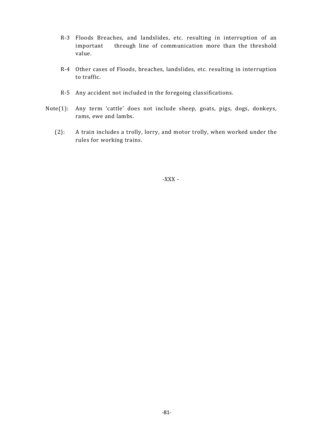- R-3 Floods Breaches, and landslides, etc. resulting in interruption of an important through line of communication more than the threshold value.
- R-4 Other cases of Floods, breaches, landslides, etc. resulting in interruption to traffic.
- R-5 Any accident not included in the foregoing classifications.
- Note(1): Any term 'cattle' does not include sheep, goats, pigs, dogs, donkeys, rams, ewe and lambs.
	- (2): A train includes a trolly, lorry, and motor trolly, when worked under the rules for working trains.

-XXX -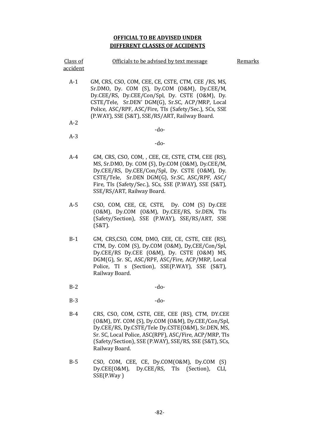#### **OFFICIAL TO BE ADVISED UNDER DIFFERENT CLASSES OF ACCIDENTS**

| Class of<br><u>accident</u> | Officials to be advised by text message                                                                                                                                                                                                                                                                                            | <b>Remarks</b> |
|-----------------------------|------------------------------------------------------------------------------------------------------------------------------------------------------------------------------------------------------------------------------------------------------------------------------------------------------------------------------------|----------------|
| $A-1$                       | GM, CRS, CSO, COM, CEE, CE, CSTE, CTM, CEE /RS, MS,<br>$Sr.DMO$ , Dy. $COM(S)$ , Dy. $COM (O&M)$ , Dy. $CEE/M$ ,<br>Dy.CEE/RS, Dy.CEE/Con/Spl, Dy. CSTE (O&M), Dy.<br>CSTE/Tele, Sr.DEN' DGM(G), Sr.SC, ACP/MRP, Local<br>Police, ASC/RPF, ASC/Fire, TIs (Safety/Sec.), SCs, SSE<br>(P.WAY), SSE (S&T), SSE/RS/ART, Railway Board. |                |
| $A-2$                       |                                                                                                                                                                                                                                                                                                                                    |                |
|                             | -do-                                                                                                                                                                                                                                                                                                                               |                |
| $A-3$                       |                                                                                                                                                                                                                                                                                                                                    |                |
|                             | $-do-$                                                                                                                                                                                                                                                                                                                             |                |
| $A-4$                       | GM, CRS, CSO, COM, , CEE, CE, CSTE, CTM, CEE (RS),<br>MS, Sr.DMO, Dy. COM (S), Dy.COM (O&M), Dy.CEE/M,<br>Dy.CEE/RS, Dy.CEE/Con/Spl, Dy. CSTE (O&M), Dy.<br>CSTE/Tele, Sr.DEN DGM(G), Sr.SC, ASC/RPF, ASC/<br>Fire, TIs (Safety/Sec.), SCs, SSE (P.WAY), SSE (S&T),<br>SSE/RS/ART, Railway Board.                                  |                |
| A-5                         | COM CEE CE CSTE<br>Dy COM (S) Dy CEE<br>CSO                                                                                                                                                                                                                                                                                        |                |

- A-5 CSO, COM, CEE, CE, CSTE, Dy. COM (S) Dy.CEE
- (O&M), Dy.COM (O&M), Dy.CEE/RS, Sr.DEN, TIs (Safety/Section), SSE (P.WAY), SSE/RS/ART, SSE (S&T).
- B-1 GM, CRS,CSO, COM, DMO, CEE, CE, CSTE, CEE (RS), CTM, Dy. COM (S), Dy.COM (O&M), Dy,CEE/Con/Spl, Dy.CEE/RS Dy.CEE (O&M), Dy. CSTE (O&M) MS, DGM(G), Sr. SC, ASC/RPF, ASC/Fire, ACP/MRP, Local Police, TI s (Section), SSE(P.WAY), SSE (S&T), Railway Board.
- $B-2$  -do-
- $B-3$  -do-
- B-4 CRS, CSO, COM, CSTE, CEE, CEE (RS), CTM, DY.CEE (O&M), DY. COM (S), Dy.COM (O&M), Dy.CEE/Con/Spl, Dy.CEE/RS, Dy.CSTE/Tele Dy.CSTE(O&M), Sr.DEN, MS, Sr. SC, Local Police, ASC(RPF), ASC/Fire, ACP/MRP, TIs (Safety/Section), SSE (P.WAY), SSE/RS, SSE (S&T), SCs, Railway Board.
- B-5 CSO, COM, CEE, CE, Dy.COM(O&M), Dy.COM (S) Dy.CEE(O&M), Dy.CEE/RS, TIs (Section), CLI, SSE(P.Way )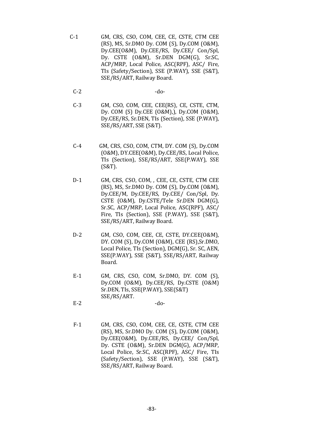- C-1 GM, CRS, CSO, COM, CEE, CE, CSTE, CTM CEE (RS), MS, Sr.DMO Dy. COM (S), Dy.COM (O&M), Dy.CEE(O&M), Dy.CEE/RS, Dy.CEE/ Con/Spl, Dy. CSTE (O&M), Sr.DEN DGM(G), Sr.SC, ACP/MRP, Local Police, ASC(RPF), ASC/ Fire, TIs (Safety/Section), SSE (P.WAY), SSE (S&T), SSE/RS/ART, Railway Board.
	- $C-2$  -do-
	- C-3 GM, CSO, COM, CEE, CEE(RS), CE, CSTE, CTM, Dy. COM (S) Dy.CEE (O&M),), Dy.COM (O&M), Dy.CEE/RS, Sr.DEN, TIs (Section), SSE (P.WAY), SSE/RS/ART, SSE (S&T).
- C-4 GM, CRS, CSO, COM, CTM, DY. COM (S), Dy.COM (O&M), DY.CEE(O&M), Dy.CEE/RS, Local Police, TIs (Section), SSE/RS/ART, SSE(P.WAY), SSE (S&T).
- D-1 GM, CRS, CSO, COM, , CEE, CE, CSTE, CTM CEE (RS), MS, Sr.DMO Dy. COM (S), Dy.COM (O&M), Dy.CEE/M, Dy.CEE/RS, Dy.CEE/ Con/Spl, Dy. CSTE (O&M), Dy.CSTE/Tele Sr.DEN DGM(G), Sr.SC, ACP/MRP, Local Police, ASC(RPF), ASC/ Fire, TIs (Section), SSE (P.WAY), SSE (S&T), SSE/RS/ART, Railway Board.
- D-2 GM, CSO, COM, CEE, CE, CSTE, DY.CEE(O&M), DY. COM (S), Dy.COM (O&M), CEE (RS),Sr.DMO, Local Police, TIs (Section), DGM(G), Sr. SC, AEN, SSE(P.WAY), SSE (S&T), SSE/RS/ART, Railway Board.
- E-1 GM, CRS, CSO, COM, Sr.DMO, DY. COM (S), Dy.COM (O&M), Dy.CEE/RS, Dy.CSTE (O&M) Sr.DEN, TIs, SSE(P.WAY), SSE(S&T) SSE/RS/ART.
- $E-2$  -do-
- F-1 GM, CRS, CSO, COM, CEE, CE, CSTE, CTM CEE (RS), MS, Sr.DMO Dy. COM (S), Dy.COM (O&M), Dy.CEE(O&M), Dy.CEE/RS, Dy.CEE/ Con/Spl, Dy. CSTE (O&M), Sr.DEN DGM(G), ACP/MRP, Local Police, Sr.SC, ASC(RPF), ASC/ Fire, TIs (Safety/Section), SSE (P.WAY), SSE (S&T), SSE/RS/ART, Railway Board.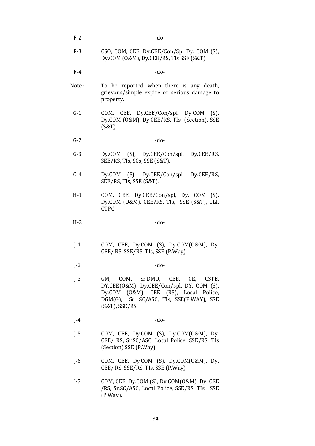- $F-2$  -do-
- F-3 CSO, COM, CEE, Dy.CEE/Con/Spl Dy. COM (S), Dy.COM (O&M), Dy.CEE/RS, TIs SSE (S&T).
- $F-4$  -do-
- Note: To be reported when there is any death, grievous/simple expire or serious damage to property.
- G-1 COM, CEE, Dy.CEE/Con/spl, Dy.COM (S), Dy.COM (O&M), Dy.CEE/RS, TIs (Section), SSE (S&T)
- $G-2$  -do-
- G-3 Dy.COM (S), Dy.CEE/Con/spl, Dy.CEE/RS, SEE/RS, TIs, SCs, SSE (S&T).
- G-4 Dy.COM (S), Dy.CEE/Con/spl, Dy.CEE/RS, SEE/RS, TIs, SSE (S&T).
- H-1 COM, CEE, Dy.CEE/Con/spl, Dy. COM (S), Dy.COM (O&M), CEE/RS, TIs, SSE (S&T), CLI, CTPC.
- $H-2$  -do-
- J-1 COM, CEE, Dy.COM (S), Dy.COM(O&M), Dy. CEE/ RS, SSE/RS, TIs, SSE (P.Way).
- $J-2$  -do-
- J-3 GM, COM, Sr.DMO, CEE, CE, CSTE, DY.CEE(O&M), Dy.CEE/Con/spl, DY. COM (S), Dy.COM (O&M), CEE (RS), Local Police, DGM(G), Sr. SC/ASC, TIs, SSE(P.WAY), SSE (S&T), SSE/RS.
- $J-4$  -do-
- J-5 COM, CEE, Dy.COM (S), Dy.COM(O&M), Dy. CEE/ RS, Sr.SC/ASC, Local Police, SSE/RS, TIs (Section) SSE (P.Way).
- J-6 COM, CEE, Dy.COM (S), Dy.COM(O&M), Dy. CEE/ RS, SSE/RS, TIs, SSE (P.Way).
- J-7 COM, CEE, Dy.COM (S), Dy.COM(O&M), Dy. CEE /RS, Sr.SC/ASC, Local Police, SSE/RS, TIs, SSE (P.Way).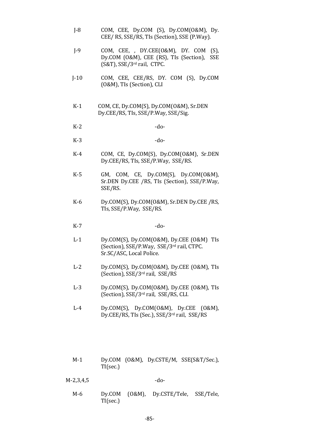- J-8 COM, CEE, Dy.COM (S), Dy.COM(O&M), Dy. CEE/ RS, SSE/RS, TIs (Section), SSE (P.Way).
- J-9 COM, CEE, , DY.CEE(O&M), DY. COM (S), Dy.COM (O&M), CEE (RS), TIs (Section), SSE (S&T), SSE/3rd rail, CTPC.
- J-10 COM, CEE, CEE/RS, DY. COM (S), Dy.COM (O&M), TIs (Section), CLI
- K-1 COM, CE, Dy.COM(S), Dy.COM(O&M), Sr.DEN Dy.CEE/RS, TIs, SSE/P.Way, SSE/Sig.
- $K-2$  -do-
- $K-3$  -do-
- K-4 COM, CE, Dy.COM(S), Dy.COM(O&M), Sr.DEN Dy.CEE/RS, TIs, SSE/P.Way, SSE/RS.
- K-5 GM, COM, CE, Dy.COM(S), Dy.COM(O&M), Sr.DEN Dy.CEE /RS, TIs (Section), SSE/P.Way, SSE/RS.
- K-6 Dy.COM(S), Dy.COM(O&M), Sr.DEN Dy.CEE /RS, TIs, SSE/P.Way, SSE/RS.
- $K-7$  -do-
- L-1 Dy.COM(S), Dy.COM(O&M), Dy.CEE (O&M) TIs (Section), SSE/P.Way, SSE/3rd rail, CTPC. Sr.SC/ASC, Local Police.
- L-2 Dy.COM(S), Dy.COM(O&M), Dy.CEE (O&M), TIs (Section), SSE/3rd rail, SSE/RS
- L-3 Dy.COM(S), Dy.COM(O&M), Dy.CEE (O&M), TIs (Section), SSE/3rd rail, SSE/RS, CLI.
- L-4 Dy.COM(S), Dy.COM(O&M), Dy.CEE (O&M), Dy.CEE/RS, TIs (Sec.), SSE/3rd rail, SSE/RS
- M-1 Dy.COM (O&M), Dy.CSTE/M, SSE(S&T/Sec.), TI(sec.)

M-2,3,4,5 -do-

M-6 Dy.COM (O&M), Dy.CSTE/Tele, SSE/Tele, TI(sec.)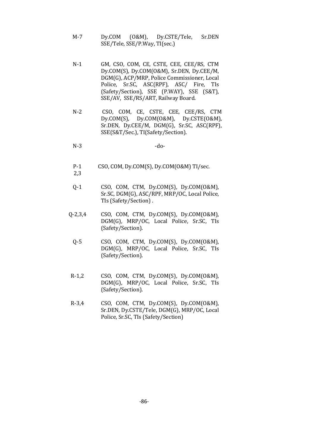- M-7 Dy.COM (O&M), Dy.CSTE/Tele, Sr.DEN SSE/Tele, SSE/P.Way, TI(sec.)
- N-1 GM, CSO, COM, CE, CSTE, CEE, CEE/RS, CTM Dy.COM(S), Dy.COM(O&M), Sr.DEN, Dy.CEE/M, DGM(G), ACP/MRP, Police Commissioner, Local Police, Sr.SC, ASC(RPF), ASC/ Fire, TIs (Safety/Section), SSE (P.WAY), SSE (S&T), SSE/AV, SSE/RS/ART, Railway Board.
- N-2 CSO, COM, CE, CSTE, CEE, CEE/RS, CTM Dy.COM(S), Dy.COM(O&M), Dy.CSTE(O&M), Sr.DEN, Dy.CEE/M, DGM(G), Sr.SC, ASC(RPF), SSE(S&T/Sec.), TI(Safety/Section).
- $N-3$  -do-
- P-1 CSO, COM, Dy.COM(S), Dy.COM(O&M) TI/sec.
- 2,3
- Q-1 CSO, COM, CTM, Dy.COM(S), Dy.COM(O&M), Sr.SC, DGM(G), ASC/RPF, MRP/OC, Local Police, TIs (Safety/Section) .
- Q-2,3,4 CSO, COM, CTM, Dy.COM(S), Dy.COM(O&M), DGM(G), MRP/OC, Local Police, Sr.SC, TIs (Safety/Section).
	- Q-5 CSO, COM, CTM, Dy.COM(S), Dy.COM(O&M), DGM(G), MRP/OC, Local Police, Sr.SC, TIs (Safety/Section).
- R-1,2 CSO, COM, CTM, Dy.COM(S), Dy.COM(O&M), DGM(G), MRP/OC, Local Police, Sr.SC, TIs (Safety/Section).
- R-3,4 CSO, COM, CTM, Dy.COM(S), Dy.COM(O&M), Sr.DEN, Dy.CSTE/Tele, DGM(G), MRP/OC, Local Police, Sr.SC, TIs (Safety/Section)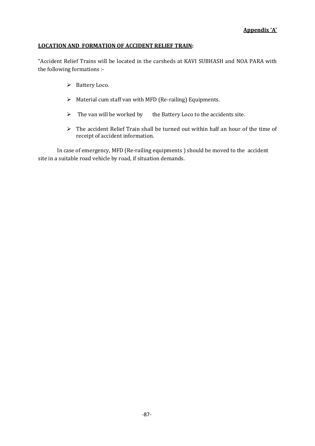#### **LOCATION AND FORMATION OF ACCIDENT RELIEF TRAIN:**

"Accident Relief Trains will be located in the carsheds at KAVI SUBHASH and NOA PARA with the following formations :-

- Ø Battery Loco.
- $\triangleright$  Material cum staff van with MFD (Re-railing) Equipments.
- $\triangleright$  The van will be worked by the Battery Loco to the accidents site.
- $\triangleright$  The accident Relief Train shall be turned out within half an hour of the time of receipt of accident information.

In case of emergency, MFD (Re-railing equipments ) should be moved to the accident site in a suitable road vehicle by road, if situation demands.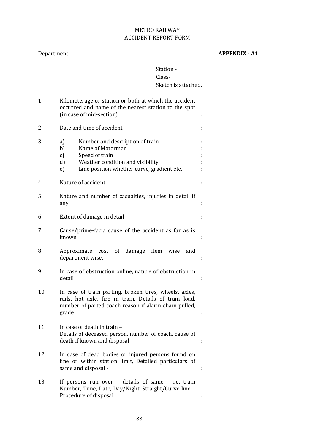# METRO RAILWAY ACCIDENT REPORT FORM

# Department – **APPENDIX - A1**

# Station - Class-

# Sketch is attached.

| 1.  | Kilometerage or station or both at which the accident<br>occurred and name of the nearest station to the spot<br>(in case of mid-section)                                             |   |
|-----|---------------------------------------------------------------------------------------------------------------------------------------------------------------------------------------|---|
| 2.  | Date and time of accident                                                                                                                                                             |   |
| 3.  | Number and description of train<br>a)<br>Name of Motorman<br>b)<br>Speed of train<br>c)<br>Weather condition and visibility<br>d)<br>Line position whether curve, gradient etc.<br>e) |   |
| 4.  | Nature of accident                                                                                                                                                                    |   |
| 5.  | Nature and number of casualties, injuries in detail if<br>any                                                                                                                         |   |
| 6.  | Extent of damage in detail                                                                                                                                                            |   |
| 7.  | Cause/prime-facia cause of the accident as far as is<br>known                                                                                                                         |   |
| 8   | Approximate cost of damage item wise<br>and<br>department wise.                                                                                                                       |   |
| 9.  | In case of obstruction online, nature of obstruction in<br>detail                                                                                                                     |   |
| 10. | In case of train parting, broken tires, wheels, axles,<br>rails, hot axle, fire in train. Details of train load,<br>number of parted coach reason if alarm chain pulled,<br>grade     |   |
| 11. | In case of death in train -<br>Details of deceased person, number of coach, cause of<br>death if known and disposal -                                                                 |   |
| 12. | In case of dead bodies or injured persons found on<br>line or within station limit, Detailed particulars of<br>same and disposal -                                                    | ÷ |
| 13. | If persons run over - details of same - i.e. train<br>Number, Time, Date, Day/Night, Straight/Curve line -<br>Procedure of disposal                                                   |   |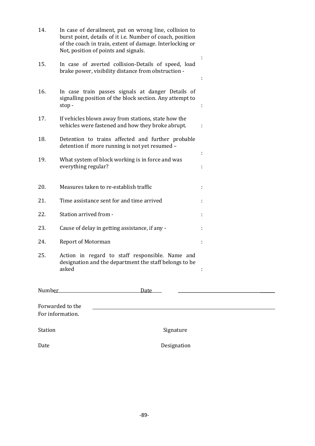| 14. | In case of derailment, put on wrong line, collision to<br>burst point, details of it i.e. Number of coach, position<br>of the coach in train, extent of damage. Interlocking or<br>Not, position of points and signals. |        |
|-----|-------------------------------------------------------------------------------------------------------------------------------------------------------------------------------------------------------------------------|--------|
| 15. | In case of averted collision-Details of speed, load<br>brake power, visibility distance from obstruction -                                                                                                              | ÷      |
| 16. | In case train passes signals at danger Details of<br>signalling position of the block section. Any attempt to<br>stop-                                                                                                  |        |
| 17. | If vehicles blown away from stations, state how the<br>vehicles were fastened and how they broke abrupt.                                                                                                                | ÷      |
| 18. | Detention to trains affected and further probable<br>detention if more running is not yet resumed -                                                                                                                     |        |
| 19. | What system of block working is in force and was<br>everything regular?                                                                                                                                                 | ÷<br>÷ |
| 20. | Measures taken to re-establish traffic                                                                                                                                                                                  | ÷      |
| 21. | Time assistance sent for and time arrived                                                                                                                                                                               |        |
| 22. | Station arrived from -                                                                                                                                                                                                  | ÷      |
| 23. | Cause of delay in getting assistance, if any -                                                                                                                                                                          | ÷      |
| 24. | <b>Report of Motorman</b>                                                                                                                                                                                               | ÷      |
| 25. | Action in regard to staff responsible. Name and<br>designation and the department the staff belongs to be<br>asked                                                                                                      | ÷      |
|     | Number Number<br>Date _____                                                                                                                                                                                             |        |
|     | Forwarded to the<br>For information.                                                                                                                                                                                    |        |

Station Station Signature Date Designation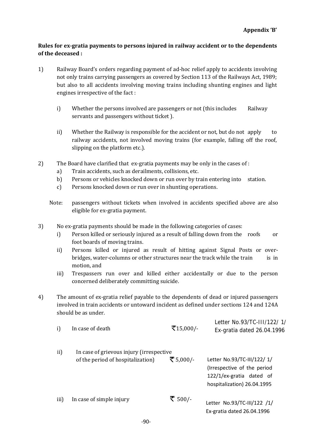# **Rules for ex-gratia payments to persons injured in railway accident or to the dependents of the deceased :**

- 1) Railway Board's orders regarding payment of ad-hoc relief apply to accidents involving not only trains carrying passengers as covered by Section 113 of the Railways Act, 1989; but also to all accidents involving moving trains including shunting engines and light engines irrespective of the fact :
	- i) Whether the persons involved are passengers or not (this includes Railway servants and passengers without ticket ).
	- ii) Whether the Railway is responsible for the accident or not, but do not apply to railway accidents, not involved moving trains (for example, falling off the roof, slipping on the platform etc.).
- 2) The Board have clarified that ex-gratia payments may be only in the cases of :
	- a) Train accidents, such as derailments, collisions, etc.
	- b) Persons or vehicles knocked down or run over by train entering into station.
	- c) Persons knocked down or run over in shunting operations.
	- Note: passengers without tickets when involved in accidents specified above are also eligible for ex-gratia payment.
- 3) No ex-gratia payments should be made in the following categories of cases:
	- i) Person killed or seriously injured as a result of falling down from the roofs or foot boards of moving trains.
	- ii) Persons killed or injured as result of hitting against Signal Posts or overbridges, water-columns or other structures near the track while the train is in motion, and
	- iii) Trespassers run over and killed either accidentally or due to the person concerned deliberately committing suicide.
- 4) The amount of ex-gratia relief payable to the dependents of dead or injured passengers involved in train accidents or untoward incident as defined under sections 124 and 124A should be as under.

| i)   | In case of death                                                              | ₹15,000/- | Letter No.93/TC-111/122/1/<br>Ex-gratia dated 26.04.1996                                                              |
|------|-------------------------------------------------------------------------------|-----------|-----------------------------------------------------------------------------------------------------------------------|
| ii)  | In case of grievous injury (irrespective<br>of the period of hospitalization) | ₹ 5,000/- | Letter No.93/TC-III/122/ 1/<br>(Irrespective of the period<br>122/1/ex-gratia dated of<br>hospitalization) 26.04.1995 |
| iii) | In case of simple injury                                                      | ₹ 500/-   | Letter No.93/TC-III/122 /1/<br>Ex-gratia dated 26.04.1996                                                             |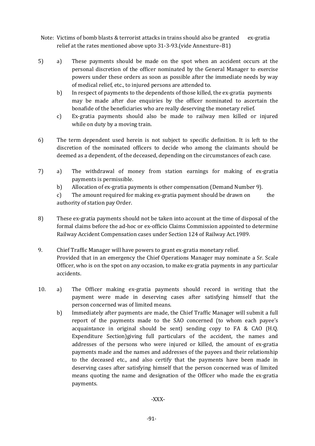- Note: Victims of bomb blasts & terrorist attacks in trains should also be granted ex-gratia relief at the rates mentioned above upto 31-3-93.(vide Annexture–B1)
- 5) a) These payments should be made on the spot when an accident occurs at the personal discretion of the officer nominated by the General Manager to exercise powers under these orders as soon as possible after the immediate needs by way of medical relief, etc., to injured persons are attended to.
	- b) In respect of payments to the dependents of those killed, the ex-gratia payments may be made after due enquiries by the officer nominated to ascertain the bonafide of the beneficiaries who are really deserving the monetary relief.
	- c) Ex-gratia payments should also be made to railway men killed or injured while on duty by a moving train.
- 6) The term dependent used herein is not subject to specific definition. It is left to the discretion of the nominated officers to decide who among the claimants should be deemed as a dependent, of the deceased, depending on the circumstances of each case.
- 7) a) The withdrawal of money from station earnings for making of ex-gratia payments is permissible.
	- b) Allocation of ex-gratia payments is other compensation (Demand Number 9).

c) The amount required for making ex-gratia payment should be drawn on the authority of station pay Order.

- 8) These ex-gratia payments should not be taken into account at the time of disposal of the formal claims before the ad-hoc or ex-officio Claims Commission appointed to determine Railway Accident Compensation cases under Section 124 of Railway Act.1989.
- 9. Chief Traffic Manager will have powers to grant ex-gratia monetary relief. Provided that in an emergency the Chief Operations Manager may nominate a Sr. Scale Officer, who is on the spot on any occasion, to make ex-gratia payments in any particular accidents.
- 10. a) The Officer making ex-gratia payments should record in writing that the payment were made in deserving cases after satisfying himself that the person concerned was of limited means.
	- b) Immediately after payments are made, the Chief Traffic Manager will submit a full report of the payments made to the SAO concerned (to whom each payee's acquaintance in original should be sent) sending copy to FA & CAO (H.Q. Expenditure Section)giving full particulars of the accident, the names and addresses of the persons who were injured or killed, the amount of ex-gratia payments made and the names and addresses of the payees and their relationship to the deceased etc., and also certify that the payments have been made in deserving cases after satisfying himself that the person concerned was of limited means quoting the name and designation of the Officer who made the ex-gratia payments.

-XXX-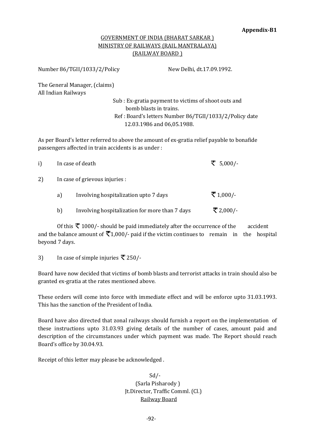# GOVERNMENT OF INDIA (BHARAT SARKAR ) MINISTRY OF RAILWAYS (RAIL MANTRALAYA) (RAILWAY BOARD )

Number 86/TGII/1033/2/Policy New Delhi, dt.17.09.1992.

The General Manager, (claims) All Indian Railways

Sub : Ex-gratia payment to victims of shoot outs and bomb blasts in trains. Ref : Board's letters Number 86/TGII/1033/2/Policy date 12.03.1986 and 06,05.1988.

As per Board's letter referred to above the amount of ex-gratia relief payable to bonafide passengers affected in train accidents is as under :

| i) |    | In case of death                               | ₹ 5,000/-  |
|----|----|------------------------------------------------|------------|
| 2) |    | In case of grievous injuries :                 |            |
|    | a) | Involving hospitalization upto 7 days          | ₹ $1,000/$ |
|    | b) | Involving hospitalization for more than 7 days | ₹ 2,000/-  |
|    |    |                                                |            |

Of this  $\bar{\tau}$  1000/- should be paid immediately after the occurrence of the accident and the balance amount of  $\overline{\mathcal{F}}1,000$ /- paid if the victim continues to remain in the hospital beyond 7 days.

3) In case of simple injuries  $\bar{\mathbf{\nabla}}$  250/-

Board have now decided that victims of bomb blasts and terrorist attacks in train should also be granted ex-gratia at the rates mentioned above.

These orders will come into force with immediate effect and will be enforce upto 31.03.1993. This has the sanction of the President of India.

Board have also directed that zonal railways should furnish a report on the implementation of these instructions upto 31.03.93 giving details of the number of cases, amount paid and description of the circumstances under which payment was made. The Report should reach Board's office by 30.04.93.

Receipt of this letter may please be acknowledged .

 Sd/- (Sarla Pisharody ) Jt.Director, Traffic Comml. (Cl.) Railway Board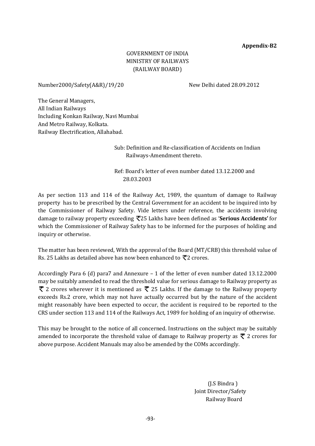#### **Appendix-B2**

# GOVERNMENT OF INDIA MINISTRY OF RAILWAYS (RAILWAY BOARD)

Number2000/Safety(A&R)/19/20 New Delhi dated 28.09.2012

The General Managers, All Indian Railways Including Konkan Railway, Navi Mumbai And Metro Railway, Kolkata. Railway Electrification, Allahabad.

> Sub: Definition and Re-classification of Accidents on Indian Railways-Amendment thereto.

Ref: Board's letter of even number dated 13.12.2000 and 28.03.2003

As per section 113 and 114 of the Railway Act, 1989, the quantum of damage to Railway property has to be prescribed by the Central Government for an accident to be inquired into by the Commissioner of Railway Safety. Vide letters under reference, the accidents involving damage to railway property exceeding 25 Lakhs have been defined as '**Serious Accidents'** for which the Commissioner of Railway Safety has to be informed for the purposes of holding and inquiry or otherwise.

The matter has been reviewed, With the approval of the Board (MT/CRB) this threshold value of Rs. 25 Lakhs as detailed above has now been enhanced to  $\overline{\mathcal{R}}$ 2 crores.

Accordingly Para 6 (d) para7 and Annexure – 1 of the letter of even number dated 13.12.2000 may be suitably amended to read the threshold value for serious damage to Railway property as  $\bar{\tau}$  2 crores wherever it is mentioned as  $\bar{\tau}$  25 Lakhs. If the damage to the Railway property exceeds Rs.2 crore, which may not have actually occurred but by the nature of the accident might reasonably have been expected to occur, the accident is required to be reported to the CRS under section 113 and 114 of the Railways Act, 1989 for holding of an inquiry of otherwise.

This may be brought to the notice of all concerned. Instructions on the subject may be suitably amended to incorporate the threshold value of damage to Railway property as  $\bar{\tau}$  2 crores for above purpose. Accident Manuals may also be amended by the COMs accordingly.

> (J.S Bindra ) Joint Director/Safety Railway Board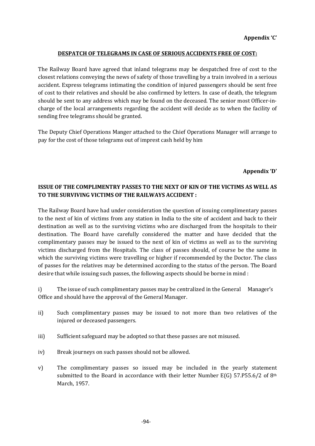#### **DESPATCH OF TELEGRAMS IN CASE OF SERIOUS ACCIDENTS FREE OF COST:**

The Railway Board have agreed that inland telegrams may be despatched free of cost to the closest relations conveying the news of safety of those travelling by a train involved in a serious accident. Express telegrams intimating the condition of injured passengers should be sent free of cost to their relatives and should be also confirmed by letters. In case of death, the telegram should be sent to any address which may be found on the deceased. The senior most Officer-incharge of the local arrangements regarding the accident will decide as to when the facility of sending free telegrams should be granted.

The Deputy Chief Operations Manger attached to the Chief Operations Manager will arrange to pay for the cost of those telegrams out of imprest cash held by him

#### **Appendix 'D'**

# **ISSUE OF THE COMPLIMENTRY PASSES TO THE NEXT OF KIN OF THE VICTIMS AS WELL AS TO THE SURVIVING VICTIMS OF THE RAILWAYS ACCIDENT :**

The Railway Board have had under consideration the question of issuing complimentary passes to the next of kin of victims from any station in India to the site of accident and back to their destination as well as to the surviving victims who are discharged from the hospitals to their destination. The Board have carefully considered the matter and have decided that the complimentary passes may be issued to the next of kin of victims as well as to the surviving victims discharged from the Hospitals. The class of passes should, of course be the same in which the surviving victims were travelling or higher if recommended by the Doctor. The class of passes for the relatives may be determined according to the status of the person. The Board desire that while issuing such passes, the following aspects should be borne in mind :

i) The issue of such complimentary passes may be centralized in the General Manager's Office and should have the approval of the General Manager.

- ii) Such complimentary passes may be issued to not more than two relatives of the injured or deceased passengers.
- iii) Sufficient safeguard may be adopted so that these passes are not misused.
- iv) Break journeys on such passes should not be allowed.
- v) The complimentary passes so issued may be included in the yearly statement submitted to the Board in accordance with their letter Number E(G) 57.P55.6/2 of  $8<sup>th</sup>$ March, 1957.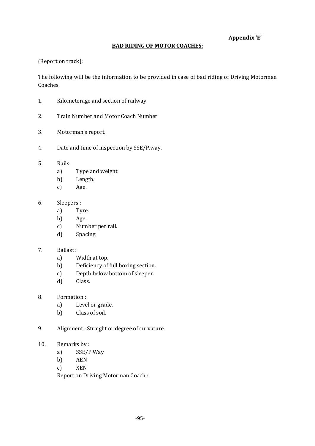# **Appendix 'E'**

#### **BAD RIDING OF MOTOR COACHES:**

(Report on track):

The following will be the information to be provided in case of bad riding of Driving Motorman Coaches.

- 1. Kilometerage and section of railway.
- 2. Train Number and Motor Coach Number
- 3. Motorman's report.
- 4. Date and time of inspection by SSE/P.way.
- 5. Rails:
	- a) Type and weight
	- b) Length.
	- c) Age.
- 6. Sleepers :
	- a) Tyre.
	- b) Age.
	- c) Number per rail.
	- d) Spacing.

# 7. Ballast :

- a) Width at top.
- b) Deficiency of full boxing section.
- c) Depth below bottom of sleeper.
- d) Class.
- 8. Formation :
	- a) Level or grade.
	- b) Class of soil.
- 9. Alignment : Straight or degree of curvature.
- 10. Remarks by :
	- a) SSE/P.Way
	- b) AEN
	- c) XEN

Report on Driving Motorman Coach :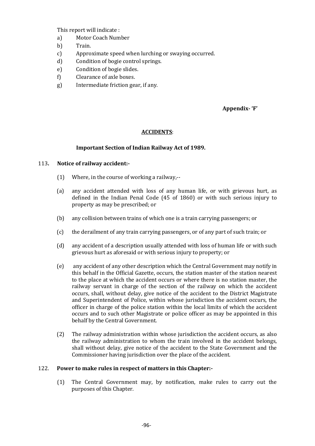This report will indicate :

- a) Motor Coach Number
- b) Train.
- c) Approximate speed when lurching or swaying occurred.
- d) Condition of bogie control springs.
- e) Condition of bogie slides.
- f) Clearance of axle boxes.
- g) Intermediate friction gear, if any.

#### **Appendix- 'F'**

#### **ACCIDENTS**:

#### **Important Section of Indian Railway Act of 1989.**

#### 113**. Notice of railway accident:-**

- (1) Where, in the course of working a railway,--
- (a) any accident attended with loss of any human life, or with grievous hurt, as defined in the Indian Penal Code (45 of 1860) or with such serious injury to property as may be prescribed; or
- (b) any collision between trains of which one is a train carrying passengers; or
- (c) the derailment of any train carrying passengers, or of any part of such train; or
- (d) any accident of a description usually attended with loss of human life or with such grievous hurt as aforesaid or with serious injury to property; or
- (e) any accident of any other description which the Central Government may notify in this behalf in the Official Gazette, occurs, the station master of the station nearest to the place at which the accident occurs or where there is no station master, the railway servant in charge of the section of the railway on which the accident occurs, shall, without delay, give notice of the accident to the District Magistrate and Superintendent of Police, within whose jurisdiction the accident occurs, the officer in charge of the police station within the local limits of which the accident occurs and to such other Magistrate or police officer as may be appointed in this behalf by the Central Government.
- (2) The railway administration within whose jurisdiction the accident occurs, as also the railway administration to whom the train involved in the accident belongs, shall without delay, give notice of the accident to the State Government and the Commissioner having jurisdiction over the place of the accident.

#### 122. **Power to make rules in respect of matters in this Chapter:-**

(1) The Central Government may, by notification, make rules to carry out the purposes of this Chapter.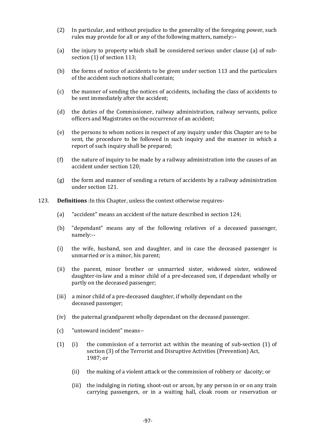- (2) In particular, and without prejudice to the generality of the foregoing power, such rules may provide for all or any of the following matters, namely:--
- (a) the injury to property which shall be considered serious under clause (a) of subsection  $(1)$  of section 113;
- (b) the forms of notice of accidents to be given under section 113 and the particulars of the accident such notices shall contain;
- (c) the manner of sending the notices of accidents, including the class of accidents to be sent immediately after the accident;
- (d) the duties of the Commissioner, railway administration, railway servants, police officers and Magistrates on the occurrence of an accident;
- (e) the persons to whom notices in respect of any inquiry under this Chapter are to be sent, the procedure to be followed in such inquiry and the manner in which a report of such inquiry shall be prepared;
- (f) the nature of inquiry to be made by a railway administration into the causes of an accident under section 120;
- (g) the form and manner of sending a return of accidents by a railway administration under section 121.
- 123. **Definitions** :In this Chapter, unless the context otherwise requires-
	- (a) "accident" means an accident of the nature described in section 124;
	- (b) "dependant" means any of the following relatives of a deceased passenger, namely:--
	- (i) the wife, husband, son and daughter, and in case the deceased passenger is unmarried or is a minor, his parent;
	- (ii) the parent, minor brother or unmarried sister, widowed sister, widowed daughter-in-law and a minor child of a pre-deceased son, if dependant wholly or partly on the deceased passenger;
	- (iii) a minor child of a pre-deceased daughter, if wholly dependant on the deceased passenger;
	- (iv) the paternal grandparent wholly dependant on the deceased passenger.
	- (c) "untoward incident" means--
	- (1) (i) the commission of a terrorist act within the meaning of sub-section (1) of section (3) of the Terrorist and Disruptive Activities (Prevention) Act, 1987; or
		- (ii) the making of a violent attack or the commission of robbery or dacoity; or
		- (iii) the indulging in rioting, shoot-out or arson, by any person in or on any train carrying passengers, or in a waiting hall, cloak room or reservation or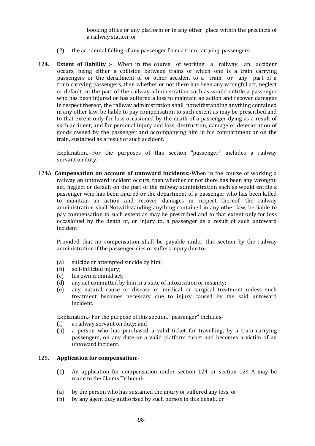booking office or any platform or in any other place within the precincts of a railway station; or

- (2) the accidental falling of any passenger from a train carrying passengers.
- 124. **Extent of liability** :- When in the course of working a railway, an accident occurs, being either a collision between trains of which one is a train carrying passengers or the derailment of or other accident to a train or any part of a train carrying passengers, then whether or not there has been any wrongful act, neglect or default on the part of the railway administration such as would entitle a passenger who has been injured or has suffered a loss to maintain an action and recover damages in respect thereof, the railway administration shall, notwithstanding anything contained in any other law, be liable to pay compensation to such extent as may be prescribed and to that extent only for loss occasioned by the death of a passenger dying as a result of such accident, and for personal injury and loss, destruction, damage or deterioration of goods owned by the passenger and accompanying him in his compartment or on the train, sustained as a result of such accident.

Explanation.--For the purposes of this section "passenger" includes a railway servant on duty.

124A. **Compensation on account of untoward incidents:-**When in the course of working a railway an untoward incident occurs, then whether or not there has been any wrongful act, neglect or default on the part of the railway administration such as would entitle a passenger who has been injured or the department of a passenger who has been killed to maintain an action and recover damages in respect thereof, the railway administration shall Notwithstanding anything contained in any other law, be liable to pay compensation to such extent as may be prescribed and to that extent only for loss occasioned by the death of, or injury to, a passenger as a result of such untoward incident:

Provided that no compensation shall be payable under this section by the railway administration if the passenger dies or suffers injury due to-

- (a) suicide or attempted suicide by him;
- (b) self-inflicted injury;
- (c) his own criminal act;
- (d) any act committed by him in a state of intoxication or insanity;
- (e) any natural cause or disease or medical or surgical treatment unless such treatment becomes necessary due to injury caused by the said untoward incident.

Explanation.- For the purpose of this section, "passenger" includes-

- (i) a railway servant on duty; and
- (ii) a person who has purchased a valid ticket for travelling, by a train carrying passengers, on any date or a valid platform ticket and becomes a victim of an untoward incident.

#### 125. **Application for compensation**:-

- (1) An application for compensation under section 124 or section 124-A may be made to the Claims Tribunal-
- (a) by the person who has sustained the injury or suffered any loss, or
- (b) by any agent duly authorised by such person in this behalf, or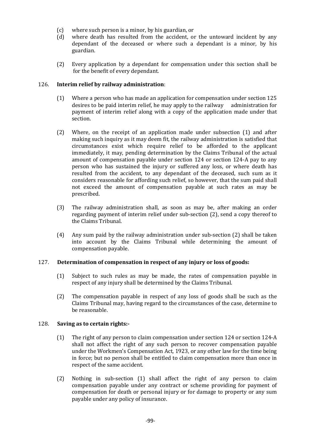- (c) where such person is a minor, by his guardian, or
- (d) where death has resulted from the accident, or the untoward incident by any dependant of the deceased or where such a dependant is a minor, by his guardian.
- (2) Every application by a dependant for compensation under this section shall be for the benefit of every dependant.

#### 126. **Interim relief by railway administration**:

- (1) Where a person who has made an application for compensation under section 125 desires to be paid interim relief, he may apply to the railway administration for payment of interim relief along with a copy of the application made under that section.
- (2) Where, on the receipt of an application made under subsection (1) and after making such inquiry as it may deem fit, the railway administration is satisfied that circumstances exist which require relief to be afforded to the applicant immediately, it may, pending determination by the Claims Tribunal of the actual amount of compensation payable under section 124 or section 124-A pay to any person who has sustained the injury or suffered any loss, or where death has resulted from the accident, to any dependant of the deceased, such sum as it considers reasonable for affording such relief, so however, that the sum paid shall not exceed the amount of compensation payable at such rates as may be prescribed.
- (3) The railway administration shall, as soon as may be, after making an order regarding payment of interim relief under sub-section (2), send a copy thereof to the Claims Tribunal.
- (4) Any sum paid by the railway administration under sub-section (2) shall be taken into account by the Claims Tribunal while determining the amount of compensation payable.

#### 127. **Determination of compensation in respect of any injury or loss of goods:**

- (1) Subject to such rules as may be made, the rates of compensation payable in respect of any injury shall be determined by the Claims Tribunal.
- (2) The compensation payable in respect of any loss of goods shall be such as the Claims Tribunal may, having regard to the circumstances of the case, determine to be reasonable.

#### 128. **Saving as to certain rights:-**

- (1) The right of any person to claim compensation under section 124 or section 124-A shall not affect the right of any such person to recover compensation payable under the Workmen's Compensation Act, 1923, or any other law for the time being in force; but no person shall be entitled to claim compensation more than once in respect of the same accident.
- (2) Nothing in sub-section (1) shall affect the right of any person to claim compensation payable under any contract or scheme providing for payment of compensation for death or personal injury or for damage to property or any sum payable under any policy of insurance.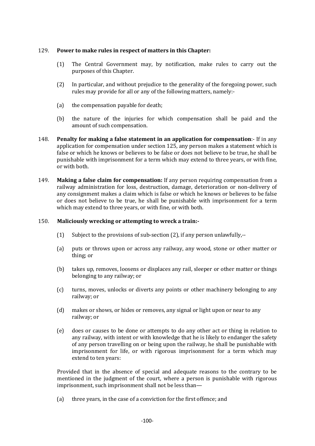# 129. **Power to make rules in respect of matters in this Chapter:**

- (1) The Central Government may, by notification, make rules to carry out the purposes of this Chapter.
- (2) In particular, and without prejudice to the generality of the foregoing power, such rules may provide for all or any of the following matters, namely:-
- (a) the compensation payable for death;
- (b) the nature of the injuries for which compensation shall be paid and the amount of such compensation.
- 148. **Penalty for making a false statement in an application for compensation**:- If in any application for compensation under section 125, any person makes a statement which is false or which he knows or believes to be false or does not believe to be true, he shall be punishable with imprisonment for a term which may extend to three years, or with fine, or with both.
- 149. **Making a false claim for compensation:** If any person requiring compensation from a railway administration for loss, destruction, damage, deterioration or non-delivery of any consignment makes a claim which is false or which he knows or believes to be false or does not believe to be true, he shall be punishable with imprisonment for a term which may extend to three years, or with fine, or with both.

## 150. **Maliciously wrecking or attempting to wreck a train:-**

- (1) Subject to the provisions of sub-section (2), if any person unlawfully,--
- (a) puts or throws upon or across any railway, any wood, stone or other matter or thing; or
- (b) takes up, removes, loosens or displaces any rail, sleeper or other matter or things belonging to any railway; or
- (c) turns, moves, unlocks or diverts any points or other machinery belonging to any railway; or
- (d) makes or shows, or hides or removes, any signal or light upon or near to any railway; or
- (e) does or causes to be done or attempts to do any other act or thing in relation to any railway, with intent or with knowledge that he is likely to endanger the safety of any person travelling on or being upon the railway, he shall be punishable with imprisonment for life, or with rigorous imprisonment for a term which may extend to ten years:

Provided that in the absence of special and adequate reasons to the contrary to be mentioned in the judgment of the court, where a person is punishable with rigorous imprisonment, such imprisonment shall not be less than—

(a) three years, in the case of a conviction for the first offence; and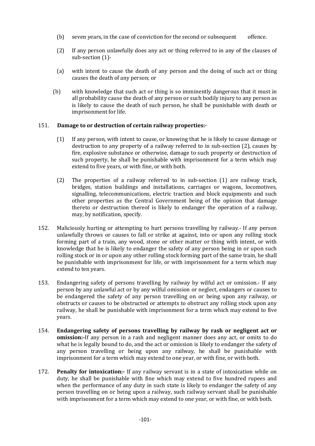- (b) seven years, in the case of conviction for the second or subsequent offence.
- (2) If any person unlawfully does any act or thing referred to in any of the clauses of sub-section (1)-
- (a) with intent to cause the death of any person and the doing of such act or thing causes the death of any person; or
- (b) with knowledge that such act or thing is so imminently dangerous that it must in all probability cause the death of any person or such bodily injury to any person as is likely to cause the death of such person, he shall be punishable with death or imprisonment for life.

#### 151. **Damage to or destruction of certain railway properties:-**

- (1) If any person, with intent to cause, or knowing that he is likely to cause damage or destruction to any property of a railway referred to in sub-section (2), causes by fire, explosive substance or otherwise, damage to such property or destruction of such property, he shall be punishable with imprisonment for a term which may extend to five years, or with fine, or with both.
- (2) The properties of a railway referred to in sub-section (1) are railway track, bridges, station buildings and installations, carriages or wagons, locomotives, signalling, telecommunications, electric traction and block equipments and such other properties as the Central Government being of the opinion that damage thereto or destruction thereof is likely to endanger the operation of a railway, may, by notification, specify.
- 152. Maliciously hurting or attempting to hurt persons travelling by railway.- If any person unlawfully throws or causes to fall or strike at against, into or upon any rolling stock forming part of a train, any wood, stone or other matter or thing with intent, or with knowledge that he is likely to endanger the safety of any person being in or upon such rolling stock or in or upon any other rolling stock forming part of the same train, he shall be punishable with imprisonment for life, or with imprisonment for a term which may extend to ten years.
- 153. Endangering safety of persons travelling by railway by wilful act or omission.- If any person by any unlawful act or by any wilful omission or neglect, endangers or causes to be endangered the safety of any person travelling on or being upon any railway, or obstructs or causes to be obstructed or attempts to obstruct any rolling stock upon any railway, he shall be punishable with imprisonment for a term which may extend to five years.
- 154. **Endangering safety of persons travelling by railway by rash or negligent act or omission:-**If any person in a rash and negligent manner does any act, or omits to do what he is legally bound to do, and the act or omission is likely to endanger the safety of any person travelling or being upon any railway, he shall be punishable with imprisonment for a term which may extend to one year, or with fine, or with both.
- 172. **Penalty for intoxication:-** If any railway servant is in a state of intoxication while on duty, he shall be punishable with fine which may extend to five hundred rupees and when the performance of any duty in such state is likely to endanger the safety of any person travelling on or being upon a railway, such railway servant shall be punishable with imprisonment for a term which may extend to one year, or with fine, or with both.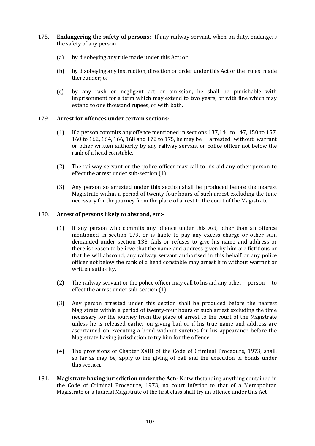- 175. **Endangering the safety of persons:-** If any railway servant, when on duty, endangers the safety of any person—
	- (a) by disobeying any rule made under this Act; or
	- (b) by disobeying any instruction, direction or order under this Act or the rules made thereunder; or
	- (c) by any rash or negligent act or omission, he shall be punishable with imprisonment for a term which may extend to two years, or with fine which may extend to one thousand rupees, or with both.

# 179. **Arrest for offences under certain sections**:-

- (1) If a person commits any offence mentioned in sections 137,141 to 147, 150 to 157, 160 to 162, 164, 166, 168 and 172 to 175, he may be arrested without warrant or other written authority by any railway servant or police officer not below the rank of a head constable.
- (2) The railway servant or the police officer may call to his aid any other person to effect the arrest under sub-section (1).
- (3) Any person so arrested under this section shall be produced before the nearest Magistrate within a period of twenty-four hours of such arrest excluding the time necessary for the journey from the place of arrest to the court of the Magistrate.

# 180. **Arrest of persons likely to abscond, etc:-**

- (1) If any person who commits any offence under this Act, other than an offence mentioned in section 179, or is liable to pay any excess charge or other sum demanded under section 138, fails or refuses to give his name and address or there is reason to believe that the name and address given by him are fictitious or that he will abscond, any railway servant authorised in this behalf or any police officer not below the rank of a head constable may arrest him without warrant or written authority.
- (2) The railway servant or the police officer may call to his aid any other person to effect the arrest under sub-section (1).
- (3) Any person arrested under this section shall be produced before the nearest Magistrate within a period of twenty-four hours of such arrest excluding the time necessary for the journey from the place of arrest to the court of the Magistrate unless he is released earlier on giving bail or if his true name and address are ascertained on executing a bond without sureties for his appearance before the Magistrate having jurisdiction to try him for the offence.
- (4) The provisions of Chapter XXIII of the Code of Criminal Procedure, 1973, shall, so far as may be, apply to the giving of bail and the execution of bonds under this section.
- 181. **Magistrate having jurisdiction under the Act:-** Notwithstanding anything contained in the Code of Criminal Procedure, 1973, no court inferior to that of a Metropolitan Magistrate or a Judicial Magistrate of the first class shall try an offence under this Act.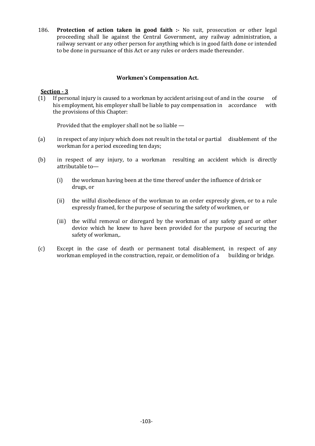186. **Protection of action taken in good faith :-** No suit, prosecution or other legal proceeding shall lie against the Central Government, any railway administration, a railway servant or any other person for anything which is in good faith done or intended to be done in pursuance of this Act or any rules or orders made thereunder.

# **Workmen's Compensation Act.**

# **Section - 3**

(1) If personal injury is caused to a workman by accident arising out of and in the course of his employment, his employer shall be liable to pay compensation in accordance with the provisions of this Chapter:

Provided that the employer shall not be so liable —

- (a) in respect of any injury which does not result in the total or partial disablement of the workman for a period exceeding ten days;
- (b) in respect of any injury, to a workman resulting an accident which is directly attributable to—
	- (i) the workman having been at the time thereof under the influence of drink or drugs, or
	- (ii) the wilful disobedience of the workman to an order expressly given, or to a rule expressly framed, for the purpose of securing the safety of workmen, or
	- (iii) the wilful removal or disregard by the workman of any safety guard or other device which he knew to have been provided for the purpose of securing the safety of workman,.
- (c) Except in the case of death or permanent total disablement, in respect of any workman employed in the construction, repair, or demolition of a building or bridge.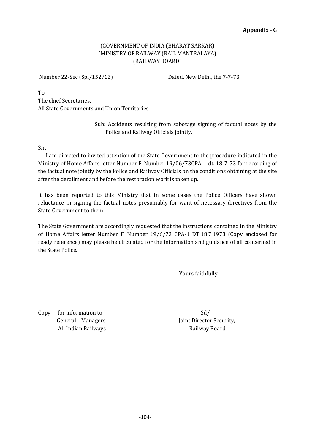# (GOVERNMENT OF INDIA (BHARAT SARKAR) (MINISTRY OF RAILWAY (RAIL MANTRALAYA) (RAILWAY BOARD)

Number 22-Sec (Spl/152/12) Dated, New Delhi, the 7-7-73

To The chief Secretaries, All State Governments and Union Territories

> Sub: Accidents resulting from sabotage signing of factual notes by the Police and Railway Officials jointly.

Sir,

 I am directed to invited attention of the State Government to the procedure indicated in the Ministry of Home Affairs letter Number F. Number 19/06/73CPA-1 dt. 18-7-73 for recording of the factual note jointly by the Police and Railway Officials on the conditions obtaining at the site after the derailment and before the restoration work is taken up.

It has been reported to this Ministry that in some cases the Police Officers have shown reluctance in signing the factual notes presumably for want of necessary directives from the State Government to them.

The State Government are accordingly requested that the instructions contained in the Ministry of Home Affairs letter Number F. Number 19/6/73 CPA-1 DT.18.7.1973 (Copy enclosed for ready reference) may please be circulated for the information and guidance of all concerned in the State Police.

Yours faithfully,

 $Copy-$  for information to  $Sd$ All Indian Railways **Railway Board** Railway Board

General Managers, Joint Director Security,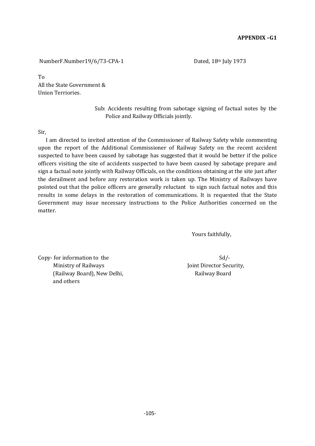NumberF.Number19/6/73-CPA-1 Dated, 18th July 1973

To All the State Government & Union Terriories.

> Sub: Accidents resulting from sabotage signing of factual notes by the Police and Railway Officials jointly.

Sir,

 I am directed to invited attention of the Commissioner of Railway Safety while commenting upon the report of the Additional Commissioner of Railway Safety on the recent accident suspected to have been caused by sabotage has suggested that it would be better if the police officers visiting the site of accidents suspected to have been caused by sabotage prepare and sign a factual note jointly with Railway Officials, on the conditions obtaining at the site just after the derailment and before any restoration work is taken up. The Ministry of Railways have pointed out that the police officers are generally reluctant to sign such factual notes and this results in some delays in the restoration of communications. It is requested that the State Government may issue necessary instructions to the Police Authorities concerned on the matter.

Yours faithfully,

Copy- for information to the Sd/-Ministry of Railways The Communisties of Railways Joint Director Security, (Railway Board), New Delhi, The Controller and Railway Board and others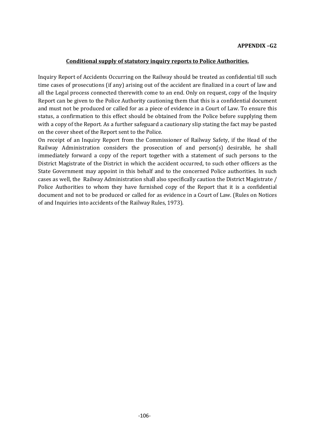#### **Conditional supply of statutory inquiry reports to Police Authorities.**

Inquiry Report of Accidents Occurring on the Railway should be treated as confidential till such time cases of prosecutions (if any) arising out of the accident are finalized in a court of law and all the Legal process connected therewith come to an end. Only on request, copy of the Inquiry Report can be given to the Police Authority cautioning them that this is a confidential document and must not be produced or called for as a piece of evidence in a Court of Law. To ensure this status, a confirmation to this effect should be obtained from the Police before supplying them with a copy of the Report. As a further safeguard a cautionary slip stating the fact may be pasted on the cover sheet of the Report sent to the Police.

On receipt of an Inquiry Report from the Commissioner of Railway Safety, if the Head of the Railway Administration considers the prosecution of and person(s) desirable, he shall immediately forward a copy of the report together with a statement of such persons to the District Magistrate of the District in which the accident occurred, to such other officers as the State Government may appoint in this behalf and to the concerned Police authorities. In such cases as well, the Railway Administration shall also specifically caution the District Magistrate / Police Authorities to whom they have furnished copy of the Report that it is a confidential document and not to be produced or called for as evidence in a Court of Law. (Rules on Notices of and Inquiries into accidents of the Railway Rules, 1973).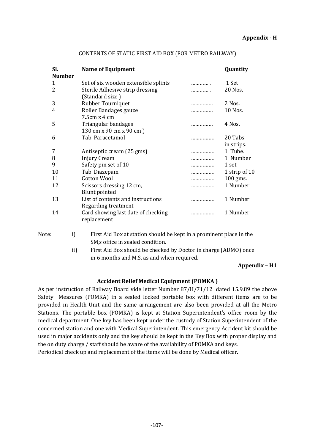| SI.                      | <b>Name of Equipment</b>                          |            | Quantity      |
|--------------------------|---------------------------------------------------|------------|---------------|
| <b>Number</b>            |                                                   |            |               |
| 1                        | Set of six wooden extensible splints              |            | 1 Set         |
| $\overline{\mathcal{L}}$ | Sterile Adhesive strip dressing                   |            | 20 Nos.       |
|                          | (Standard size)                                   |            |               |
| 3                        | Rubber Tourniquet                                 | . <b>.</b> | 2 Nos.        |
| 4                        | Roller Bandages gauze                             |            | 10 Nos.       |
|                          | $7.5cm \times 4 cm$                               |            |               |
| 5                        | Triangular bandages                               | .          | 4 Nos.        |
|                          | 130 cm x 90 cm x 90 cm)                           |            |               |
| 6                        | Tab. Paracetamol                                  | .          | 20 Tabs       |
|                          |                                                   |            | in strips.    |
| 7                        | Antiseptic cream (25 gms)                         | .          | 1 Tube.       |
| 8                        | Injury Cream                                      |            | 1 Number      |
| 9                        | Safety pin set of 10                              | .          | 1 set         |
| 10                       | Tab. Diazepam                                     |            | 1 strip of 10 |
| 11                       | <b>Cotton Wool</b>                                | .          | $100$ gms.    |
| 12                       | Scissors dressing 12 cm,                          | .          | 1 Number      |
|                          | <b>Blunt pointed</b>                              |            |               |
| 13                       | List of contents and instructions                 |            | 1 Number      |
|                          | Regarding treatment                               |            |               |
| 14                       | Card showing last date of checking<br>replacement |            | 1 Number      |

#### CONTENTS OF STATIC FIRST AID BOX (FOR METRO RAILWAY)

Note: i) First Aid Box at station should be kept in a prominent place in the SM,s office in sealed condition.

> ii) First Aid Box should be checked by Doctor in charge (ADMO) once in 6 months and M.S. as and when required.

#### **Appendix – H1**

#### **Accident Relief Medical Equipment (POMKA )**

As per instruction of Railway Board vide letter Number 87/H/71/12 dated 15.9.89 the above Safety Measures (POMKA) in a sealed locked portable box with different items are to be provided in Health Unit and the same arrangement are also been provided at all the Metro Stations. The portable box (POMKA) is kept at Station Superintendent's office room by the medical department. One key has been kept under the custody of Station Superintendent of the concerned station and one with Medical Superintendent. This emergency Accident kit should be used in major accidents only and the key should be kept in the Key Box with proper display and the on duty charge / staff should be aware of the availability of POMKA and keys.

Periodical check up and replacement of the items will be done by Medical officer.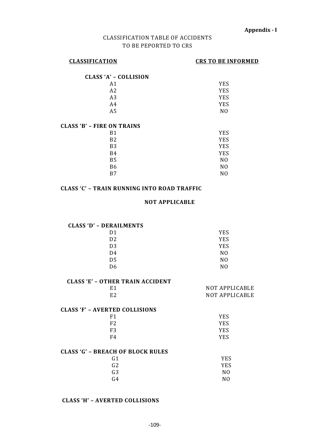# CLASSIFICATION TABLE OF ACCIDENTS TO BE PEPORTED TO CRS

# **CLASSIFICATION CRS TO BE INFORMED**

| <b>CLASS 'A' - COLLISION</b> |     |
|------------------------------|-----|
| A1                           | YES |
| A <sub>2</sub>               | YES |
| A <sub>3</sub>               | YES |
| A4                           | YES |
| A5                           | NΩ  |
|                              |     |

# **CLASS 'B' – FIRE ON TRAINS**

| B1             | <b>YES</b>     |
|----------------|----------------|
| B <sub>2</sub> | <b>YES</b>     |
| B <sub>3</sub> | <b>YES</b>     |
| <b>B4</b>      | <b>YES</b>     |
| <b>B5</b>      | N <sub>0</sub> |
| <b>B6</b>      | N <sub>0</sub> |
| B7             | N <sub>0</sub> |

## **CLASS 'C' – TRAIN RUNNING INTO ROAD TRAFFIC**

#### **NOT APPLICABLE**

## **CLASS 'D' – DERAILMENTS**

| D <sub>1</sub> | <b>YES</b>     |
|----------------|----------------|
| D <sub>2</sub> | <b>YES</b>     |
| D <sub>3</sub> | <b>YES</b>     |
| D4             | N0             |
| D <sub>5</sub> | N <sub>0</sub> |
| D <sub>6</sub> | N <sub>0</sub> |

# **CLASS 'E' – OTHER TRAIN ACCIDENT**

| E <sub>1</sub>                        | <b>NOT APPLICABLE</b> |
|---------------------------------------|-----------------------|
| E <sub>2</sub>                        | <b>NOT APPLICABLE</b> |
| <b>CLASS 'F' - AVERTED COLLISIONS</b> |                       |
| F1                                    | <b>YES</b>            |
| F <sub>2</sub>                        | <b>YES</b>            |
| F <sub>3</sub>                        | YES                   |
| F4                                    | YES                   |
|                                       |                       |

# **CLASS 'G' – BREACH OF BLOCK RULES**

| YES            |
|----------------|
| <b>YES</b>     |
| N0             |
| N <sub>0</sub> |
|                |

# **CLASS 'H' – AVERTED COLLISIONS**